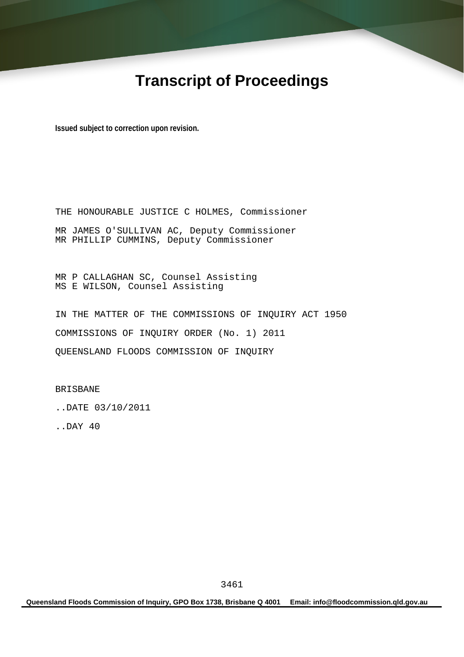# **Transcript of Proceedings**

**Issued subject to correction upon revision.** 

THE HONOURABLE JUSTICE C HOLMES, Commissioner MR JAMES O'SULLIVAN AC, Deputy Commissioner MR PHILLIP CUMMINS, Deputy Commissioner

MR P CALLAGHAN SC, Counsel Assisting MS E WILSON, Counsel Assisting

IN THE MATTER OF THE COMMISSIONS OF INQUIRY ACT 1950 COMMISSIONS OF INQUIRY ORDER (No. 1) 2011 QUEENSLAND FLOODS COMMISSION OF INQUIRY

BRISBANE

..DATE 03/10/2011

..DAY 40

**Queensland Floods Commission of Inquiry, GPO Box 1738, Brisbane Q 4001 Email: info@floodcommission.qld.gov.au**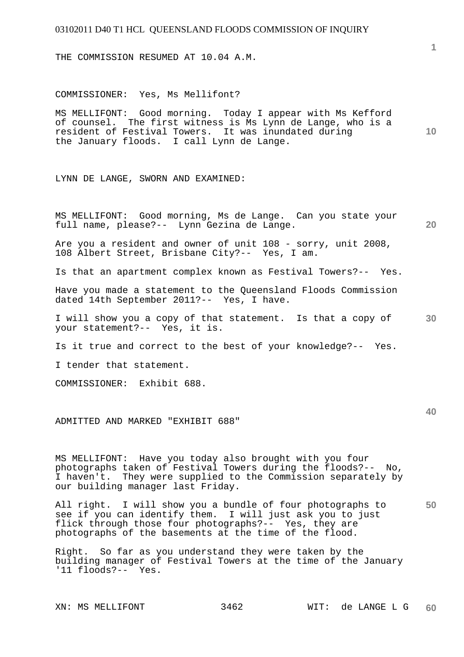THE COMMISSION RESUMED AT 10.04 A.M.

COMMISSIONER: Yes, Ms Mellifont?

MS MELLIFONT: Good morning. Today I appear with Ms Kefford of counsel. The first witness is Ms Lynn de Lange, who is a resident of Festival Towers. It was inundated during the January floods. I call Lynn de Lange.

LYNN DE LANGE, SWORN AND EXAMINED:

MS MELLIFONT: Good morning, Ms de Lange. Can you state your full name, please?-- Lynn Gezina de Lange.

Are you a resident and owner of unit 108 - sorry, unit 2008, 108 Albert Street, Brisbane City?-- Yes, I am.

Is that an apartment complex known as Festival Towers?-- Yes.

Have you made a statement to the Queensland Floods Commission dated 14th September 2011?-- Yes, I have.

**30**  I will show you a copy of that statement. Is that a copy of your statement?-- Yes, it is.

Is it true and correct to the best of your knowledge?-- Yes.

I tender that statement.

COMMISSIONER: Exhibit 688.

ADMITTED AND MARKED "EXHIBIT 688"

MS MELLIFONT: Have you today also brought with you four photographs taken of Festival Towers during the floods?-- No, I haven't. They were supplied to the Commission separately by our building manager last Friday.

**50**  All right. I will show you a bundle of four photographs to see if you can identify them. I will just ask you to just flick through those four photographs?-- Yes, they are photographs of the basements at the time of the flood.

Right. So far as you understand they were taken by the building manager of Festival Towers at the time of the January '11 floods?-- Yes.

**1**

**10** 

**20**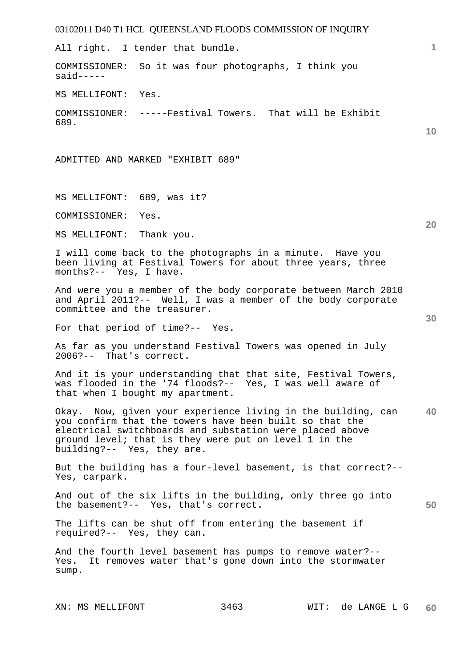# 03102011 D40 T1 HCL QUEENSLAND FLOODS COMMISSION OF INQUIRY **1 10 20 30 40 50**  All right. I tender that bundle. COMMISSIONER: So it was four photographs, I think you  $said---$ MS MELLIFONT: Yes. COMMISSIONER: -----Festival Towers. That will be Exhibit 689. ADMITTED AND MARKED "EXHIBIT 689" MS MELLIFONT: 689, was it? COMMISSIONER: Yes. MS MELLIFONT: Thank you. I will come back to the photographs in a minute. Have you been living at Festival Towers for about three years, three months?-- Yes, I have. And were you a member of the body corporate between March 2010 and April 2011?-- Well, I was a member of the body corporate committee and the treasurer. For that period of time?-- Yes. As far as you understand Festival Towers was opened in July 2006?-- That's correct. And it is your understanding that that site, Festival Towers, was flooded in the '74 floods?-- Yes, I was well aware of that when I bought my apartment. Okay. Now, given your experience living in the building, can you confirm that the towers have been built so that the electrical switchboards and substation were placed above ground level; that is they were put on level 1 in the building?-- Yes, they are. But the building has a four-level basement, is that correct?-- Yes, carpark. And out of the six lifts in the building, only three go into the basement?-- Yes, that's correct. The lifts can be shut off from entering the basement if required?-- Yes, they can. And the fourth level basement has pumps to remove water?-- Yes. It removes water that's gone down into the stormwater sump.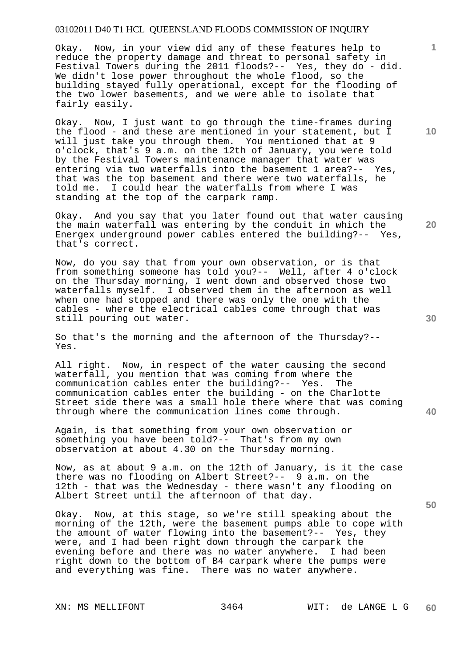Okay. Now, in your view did any of these features help to reduce the property damage and threat to personal safety in Festival Towers during the 2011 floods?-- Yes, they do - did. We didn't lose power throughout the whole flood, so the building stayed fully operational, except for the flooding of the two lower basements, and we were able to isolate that fairly easily.

Okay. Now, I just want to go through the time-frames during the flood - and these are mentioned in your statement, but I will just take you through them. You mentioned that at 9 o'clock, that's 9 a.m. on the 12th of January, you were told by the Festival Towers maintenance manager that water was entering via two waterfalls into the basement 1 area?-- Yes, that was the top basement and there were two waterfalls, he told me. I could hear the waterfalls from where I was standing at the top of the carpark ramp.

Okay. And you say that you later found out that water causing the main waterfall was entering by the conduit in which the Energex underground power cables entered the building?-- Yes, that's correct.

Now, do you say that from your own observation, or is that from something someone has told you?-- Well, after 4 o'clock on the Thursday morning, I went down and observed those two waterfalls myself. I observed them in the afternoon as well when one had stopped and there was only the one with the cables - where the electrical cables come through that was still pouring out water.

So that's the morning and the afternoon of the Thursday?-- Yes.

All right. Now, in respect of the water causing the second waterfall, you mention that was coming from where the communication cables enter the building?-- Yes. The communication cables enter the building - on the Charlotte Street side there was a small hole there where that was coming through where the communication lines come through.

Again, is that something from your own observation or something you have been told?-- That's from my own observation at about 4.30 on the Thursday morning.

Now, as at about 9 a.m. on the 12th of January, is it the case there was no flooding on Albert Street?-- 9 a.m. on the 12th - that was the Wednesday - there wasn't any flooding on Albert Street until the afternoon of that day.

Okay. Now, at this stage, so we're still speaking about the morning of the 12th, were the basement pumps able to cope with the amount of water flowing into the basement?-- Yes, they were, and I had been right down through the carpark the evening before and there was no water anywhere. I had been right down to the bottom of B4 carpark where the pumps were and everything was fine. There was no water anywhere.

**10** 

**1**

**20** 

**40**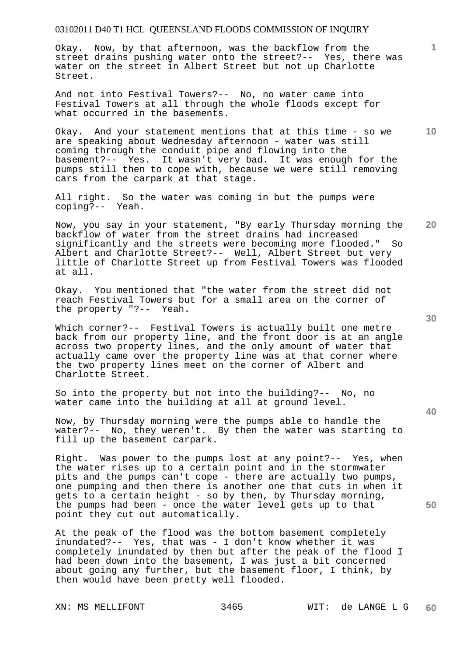Okay. Now, by that afternoon, was the backflow from the street drains pushing water onto the street?-- Yes, there was water on the street in Albert Street but not up Charlotte Street.

And not into Festival Towers?-- No, no water came into Festival Towers at all through the whole floods except for what occurred in the basements.

Okay. And your statement mentions that at this time - so we are speaking about Wednesday afternoon - water was still coming through the conduit pipe and flowing into the basement?-- Yes. It wasn't very bad. It was enough for the pumps still then to cope with, because we were still removing cars from the carpark at that stage.

All right. So the water was coming in but the pumps were coping?-- Yeah.

Now, you say in your statement, "By early Thursday morning the backflow of water from the street drains had increased significantly and the streets were becoming more flooded." So Albert and Charlotte Street?-- Well, Albert Street but very little of Charlotte Street up from Festival Towers was flooded at all.

Okay. You mentioned that "the water from the street did not reach Festival Towers but for a small area on the corner of the property "?-- Yeah.

Which corner?-- Festival Towers is actually built one metre back from our property line, and the front door is at an angle across two property lines, and the only amount of water that actually came over the property line was at that corner where the two property lines meet on the corner of Albert and Charlotte Street.

So into the property but not into the building?-- No, no water came into the building at all at ground level.

Now, by Thursday morning were the pumps able to handle the water?-- No, they weren't. By then the water was starting to fill up the basement carpark.

Right. Was power to the pumps lost at any point?-- Yes, when the water rises up to a certain point and in the stormwater pits and the pumps can't cope - there are actually two pumps, one pumping and then there is another one that cuts in when it gets to a certain height - so by then, by Thursday morning, the pumps had been - once the water level gets up to that point they cut out automatically.

At the peak of the flood was the bottom basement completely inundated?-- Yes, that was - I don't know whether it was completely inundated by then but after the peak of the flood I had been down into the basement, I was just a bit concerned about going any further, but the basement floor, I think, by then would have been pretty well flooded.

**30** 

**40** 

**50** 

**10** 

**20**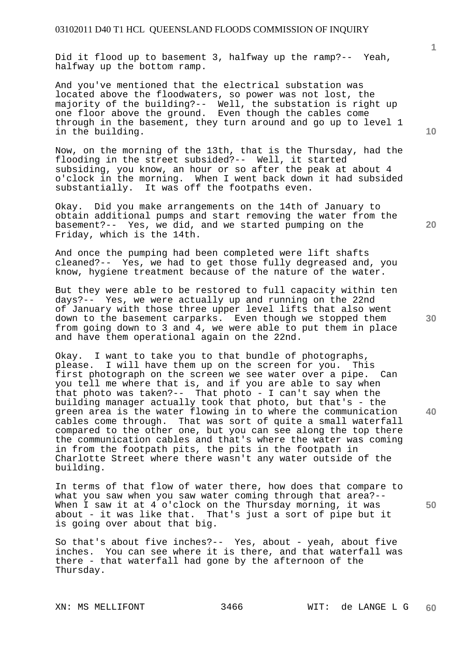Did it flood up to basement 3, halfway up the ramp?-- Yeah, halfway up the bottom ramp.

And you've mentioned that the electrical substation was located above the floodwaters, so power was not lost, the majority of the building?-- Well, the substation is right up one floor above the ground. Even though the cables come through in the basement, they turn around and go up to level 1 in the building.

Now, on the morning of the 13th, that is the Thursday, had the flooding in the street subsided?-- Well, it started subsiding, you know, an hour or so after the peak at about 4 o'clock in the morning. When I went back down it had subsided substantially. It was off the footpaths even.

Okay. Did you make arrangements on the 14th of January to obtain additional pumps and start removing the water from the basement?-- Yes, we did, and we started pumping on the Friday, which is the 14th.

And once the pumping had been completed were lift shafts cleaned?-- Yes, we had to get those fully degreased and, you know, hygiene treatment because of the nature of the water.

But they were able to be restored to full capacity within ten days?-- Yes, we were actually up and running on the 22nd of January with those three upper level lifts that also went down to the basement carparks. Even though we stopped them from going down to 3 and 4, we were able to put them in place and have them operational again on the 22nd.

Okay. I want to take you to that bundle of photographs, please. I will have them up on the screen for you. This first photograph on the screen we see water over a pipe. Can you tell me where that is, and if you are able to say when that photo was taken?-- That photo - I can't say when the building manager actually took that photo, but that's - the green area is the water flowing in to where the communication cables come through. That was sort of quite a small waterfall compared to the other one, but you can see along the top there the communication cables and that's where the water was coming in from the footpath pits, the pits in the footpath in Charlotte Street where there wasn't any water outside of the building.

In terms of that flow of water there, how does that compare to what you saw when you saw water coming through that area?-- When I saw it at 4 o'clock on the Thursday morning, it was about - it was like that. That's just a sort of pipe but it is going over about that big.

So that's about five inches?-- Yes, about - yeah, about five inches. You can see where it is there, and that waterfall was there - that waterfall had gone by the afternoon of the Thursday.

**10** 

**1**

**20** 

**40**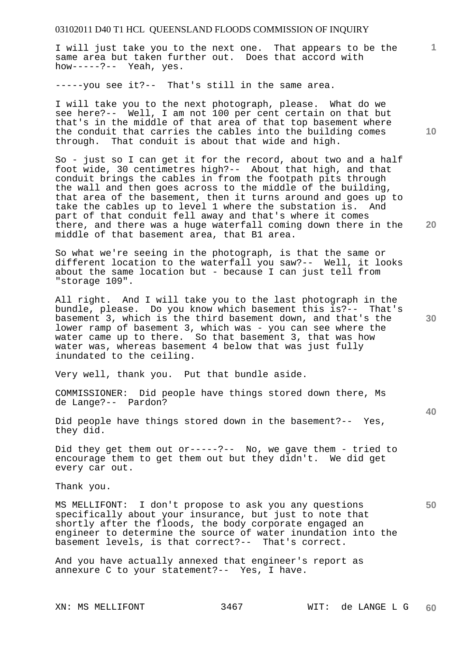I will just take you to the next one. That appears to be the same area but taken further out. Does that accord with how-----?-- Yeah, yes.

-----you see it?-- That's still in the same area.

I will take you to the next photograph, please. What do we see here?-- Well, I am not 100 per cent certain on that but that's in the middle of that area of that top basement where the conduit that carries the cables into the building comes through. That conduit is about that wide and high.

So - just so I can get it for the record, about two and a half foot wide, 30 centimetres high?-- About that high, and that conduit brings the cables in from the footpath pits through the wall and then goes across to the middle of the building, that area of the basement, then it turns around and goes up to take the cables up to level 1 where the substation is. And part of that conduit fell away and that's where it comes there, and there was a huge waterfall coming down there in the middle of that basement area, that B1 area.

So what we're seeing in the photograph, is that the same or different location to the waterfall you saw?-- Well, it looks about the same location but - because I can just tell from "storage 109".

All right. And I will take you to the last photograph in the bundle, please. Do you know which basement this is?-- That's basement 3, which is the third basement down, and that's the lower ramp of basement 3, which was - you can see where the water came up to there. So that basement 3, that was how water was, whereas basement 4 below that was just fully inundated to the ceiling.

Very well, thank you. Put that bundle aside.

COMMISSIONER: Did people have things stored down there, Ms de Lange?-- Pardon?

Did people have things stored down in the basement?-- Yes, they did.

Did they get them out or-----?-- No, we gave them - tried to encourage them to get them out but they didn't. We did get every car out.

Thank you.

MS MELLIFONT: I don't propose to ask you any questions specifically about your insurance, but just to note that shortly after the floods, the body corporate engaged an engineer to determine the source of water inundation into the basement levels, is that correct?-- That's correct.

And you have actually annexed that engineer's report as annexure C to your statement?-- Yes, I have.

**10** 

**1**

**20** 

**40** 

**50**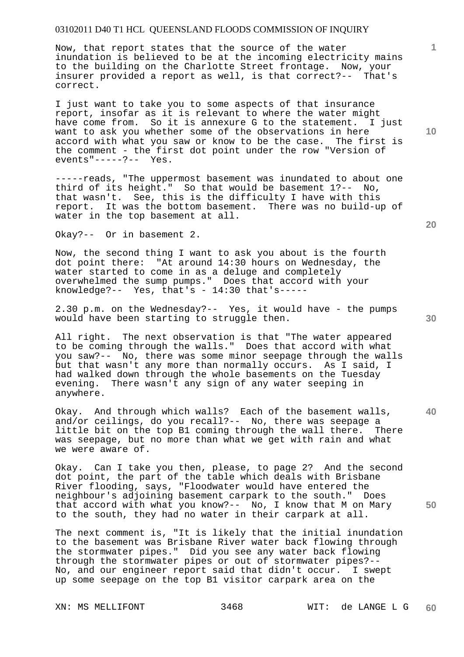Now, that report states that the source of the water inundation is believed to be at the incoming electricity mains to the building on the Charlotte Street frontage. Now, your insurer provided a report as well, is that correct?-- That's correct.

I just want to take you to some aspects of that insurance report, insofar as it is relevant to where the water might have come from. So it is annexure G to the statement. I just want to ask you whether some of the observations in here accord with what you saw or know to be the case. The first is the comment - the first dot point under the row "Version of events"-----?-- Yes.

-----reads, "The uppermost basement was inundated to about one third of its height." So that would be basement 1?-- No, that wasn't. See, this is the difficulty I have with this report. It was the bottom basement. There was no build-up of water in the top basement at all.

Okay?-- Or in basement 2.

Now, the second thing I want to ask you about is the fourth dot point there: "At around 14:30 hours on Wednesday, the water started to come in as a deluge and completely overwhelmed the sump pumps." Does that accord with your knowledge?-- Yes, that's -  $14:30$  that's-----

2.30 p.m. on the Wednesday?-- Yes, it would have - the pumps would have been starting to struggle then.

All right. The next observation is that "The water appeared to be coming through the walls." Does that accord with what you saw?-- No, there was some minor seepage through the walls but that wasn't any more than normally occurs. As I said, I had walked down through the whole basements on the Tuesday evening. There wasn't any sign of any water seeping in anywhere.

Okay. And through which walls? Each of the basement walls, and/or ceilings, do you recall?-- No, there was seepage a little bit on the top B1 coming through the wall there. There was seepage, but no more than what we get with rain and what we were aware of.

Okay. Can I take you then, please, to page 2? And the second dot point, the part of the table which deals with Brisbane River flooding, says, "Floodwater would have entered the neighbour's adjoining basement carpark to the south." Does that accord with what you know?-- No, I know that M on Mary to the south, they had no water in their carpark at all.

The next comment is, "It is likely that the initial inundation to the basement was Brisbane River water back flowing through the stormwater pipes." Did you see any water back flowing through the stormwater pipes or out of stormwater pipes?-- No, and our engineer report said that didn't occur. I swept up some seepage on the top B1 visitor carpark area on the

**20** 

**40** 

**50** 

**10**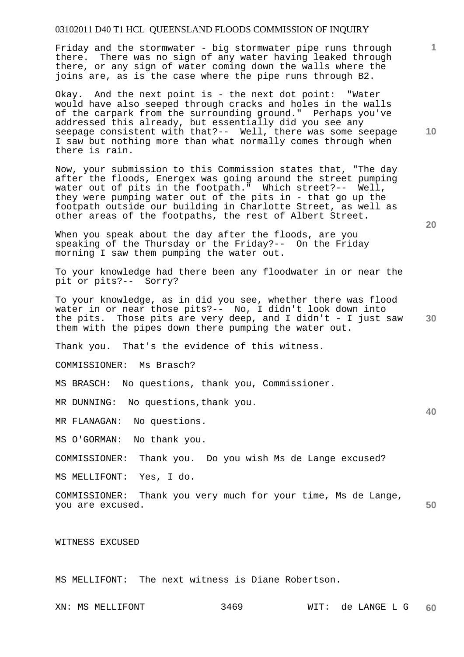Friday and the stormwater - big stormwater pipe runs through there. There was no sign of any water having leaked through there, or any sign of water coming down the walls where the joins are, as is the case where the pipe runs through B2.

Okay. And the next point is - the next dot point: "Water would have also seeped through cracks and holes in the walls of the carpark from the surrounding ground." Perhaps you've addressed this already, but essentially did you see any seepage consistent with that?-- Well, there was some seepage I saw but nothing more than what normally comes through when there is rain.

Now, your submission to this Commission states that, "The day after the floods, Energex was going around the street pumping water out of pits in the footpath." Which street?-- Well, they were pumping water out of the pits in - that go up the footpath outside our building in Charlotte Street, as well as other areas of the footpaths, the rest of Albert Street.

When you speak about the day after the floods, are you speaking of the Thursday or the Friday?-- On the Friday morning I saw them pumping the water out.

To your knowledge had there been any floodwater in or near the pit or pits?-- Sorry?

**30**  To your knowledge, as in did you see, whether there was flood water in or near those pits?-- No, I didn't look down into the pits. Those pits are very deep, and I didn't - I just saw them with the pipes down there pumping the water out.

Thank you. That's the evidence of this witness.

COMMISSIONER: Ms Brasch?

MS BRASCH: No questions, thank you, Commissioner.

MR DUNNING: No questions,thank you.

MR FLANAGAN: No questions.

MS O'GORMAN: No thank you.

COMMISSIONER: Thank you. Do you wish Ms de Lange excused?

MS MELLIFONT: Yes, I do.

**50**  COMMISSIONER: Thank you very much for your time, Ms de Lange, you are excused.

WITNESS EXCUSED

MS MELLIFONT: The next witness is Diane Robertson.

**20** 

**40** 

**10**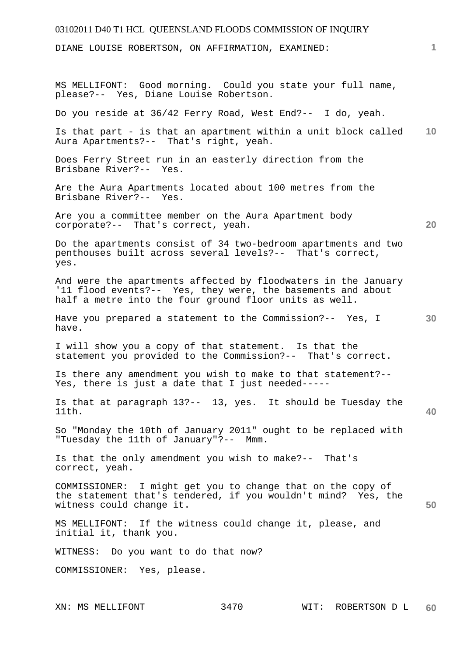DIANE LOUISE ROBERTSON, ON AFFIRMATION, EXAMINED:

XN: MS MELLIFONT 3470 WIT: ROBERTSON D L **10 20 30 40 50 60**  MS MELLIFONT: Good morning. Could you state your full name, please?-- Yes, Diane Louise Robertson. Do you reside at 36/42 Ferry Road, West End?-- I do, yeah. Is that part - is that an apartment within a unit block called Aura Apartments?-- That's right, yeah. Does Ferry Street run in an easterly direction from the Brisbane River?-- Yes. Are the Aura Apartments located about 100 metres from the Brisbane River?-- Yes. Are you a committee member on the Aura Apartment body corporate?-- That's correct, yeah. Do the apartments consist of 34 two-bedroom apartments and two penthouses built across several levels?-- That's correct, yes. And were the apartments affected by floodwaters in the January '11 flood events?-- Yes, they were, the basements and about half a metre into the four ground floor units as well. Have you prepared a statement to the Commission?-- Yes, I have. I will show you a copy of that statement. Is that the statement you provided to the Commission?-- That's correct. Is there any amendment you wish to make to that statement?-- Yes, there is just a date that I just needed----- Is that at paragraph 13?-- 13, yes. It should be Tuesday the 11th. So "Monday the 10th of January 2011" ought to be replaced with "Tuesday the 11th of January"?-- Mmm. Is that the only amendment you wish to make?-- That's correct, yeah. COMMISSIONER: I might get you to change that on the copy of the statement that's tendered, if you wouldn't mind? Yes, the witness could change it. MS MELLIFONT: If the witness could change it, please, and initial it, thank you. WITNESS: Do you want to do that now? COMMISSIONER: Yes, please.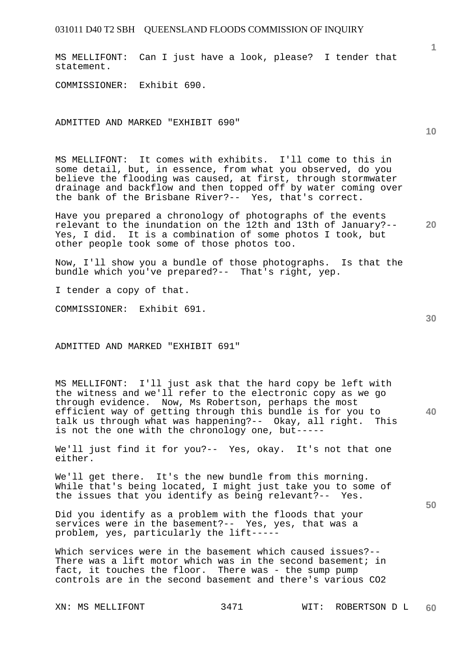MS MELLIFONT: Can I just have a look, please? I tender that statement.

COMMISSIONER: Exhibit 690.

ADMITTED AND MARKED "EXHIBIT 690"

MS MELLIFONT: It comes with exhibits. I'll come to this in some detail, but, in essence, from what you observed, do you believe the flooding was caused, at first, through stormwater drainage and backflow and then topped off by water coming over the bank of the Brisbane River?-- Yes, that's correct.

**20**  Have you prepared a chronology of photographs of the events relevant to the inundation on the 12th and 13th of January?-- Yes, I did. It is a combination of some photos I took, but other people took some of those photos too.

Now, I'll show you a bundle of those photographs. Is that the bundle which you've prepared?-- That's right, yep.

I tender a copy of that.

COMMISSIONER: Exhibit 691.

ADMITTED AND MARKED "EXHIBIT 691"

**40**  MS MELLIFONT: I'll just ask that the hard copy be left with the witness and we'll refer to the electronic copy as we go through evidence. Now, Ms Robertson, perhaps the most efficient way of getting through this bundle is for you to talk us through what was happening?-- Okay, all right. This is not the one with the chronology one, but-----

We'll just find it for you?-- Yes, okay. It's not that one either.

We'll get there. It's the new bundle from this morning. While that's being located, I might just take you to some of the issues that you identify as being relevant?-- Yes.

Did you identify as a problem with the floods that your services were in the basement?-- Yes, yes, that was a problem, yes, particularly the lift-----

Which services were in the basement which caused issues?-- There was a lift motor which was in the second basement; in fact, it touches the floor. There was - the sump pump controls are in the second basement and there's various CO2

**50** 

**10**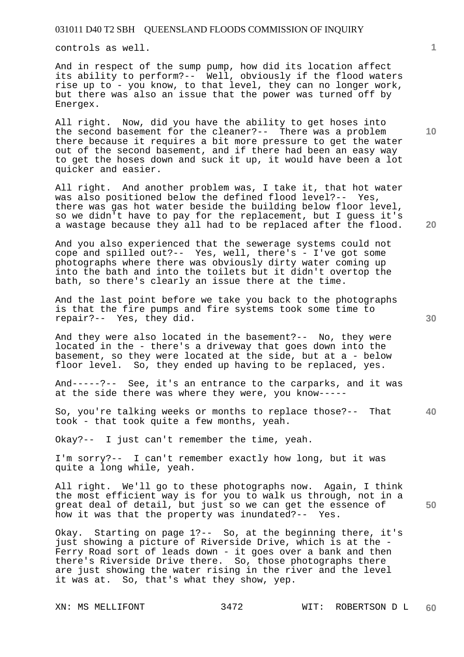controls as well.

And in respect of the sump pump, how did its location affect its ability to perform?-- Well, obviously if the flood waters rise up to - you know, to that level, they can no longer work, but there was also an issue that the power was turned off by Energex.

All right. Now, did you have the ability to get hoses into the second basement for the cleaner?-- There was a problem there because it requires a bit more pressure to get the water out of the second basement, and if there had been an easy way to get the hoses down and suck it up, it would have been a lot quicker and easier.

All right. And another problem was, I take it, that hot water was also positioned below the defined flood level?-- Yes, there was gas hot water beside the building below floor level, so we didn't have to pay for the replacement, but I guess it's a wastage because they all had to be replaced after the flood.

And you also experienced that the sewerage systems could not cope and spilled out?-- Yes, well, there's - I've got some photographs where there was obviously dirty water coming up into the bath and into the toilets but it didn't overtop the bath, so there's clearly an issue there at the time.

And the last point before we take you back to the photographs is that the fire pumps and fire systems took some time to repair?-- Yes, they did.

And they were also located in the basement?-- No, they were located in the - there's a driveway that goes down into the basement, so they were located at the side, but at a - below floor level. So, they ended up having to be replaced, yes.

And-----?-- See, it's an entrance to the carparks, and it was at the side there was where they were, you know-----

**40**  So, you're talking weeks or months to replace those?-- That took - that took quite a few months, yeah.

Okay?-- I just can't remember the time, yeah.

I'm sorry?-- I can't remember exactly how long, but it was quite a long while, yeah.

All right. We'll go to these photographs now. Again, I think the most efficient way is for you to walk us through, not in a great deal of detail, but just so we can get the essence of how it was that the property was inundated?-- Yes.

Okay. Starting on page 1?-- So, at the beginning there, it's just showing a picture of Riverside Drive, which is at the - Ferry Road sort of leads down - it goes over a bank and then there's Riverside Drive there. So, those photographs there are just showing the water rising in the river and the level it was at. So, that's what they show, yep.

**1**

**10** 

**30** 

**20**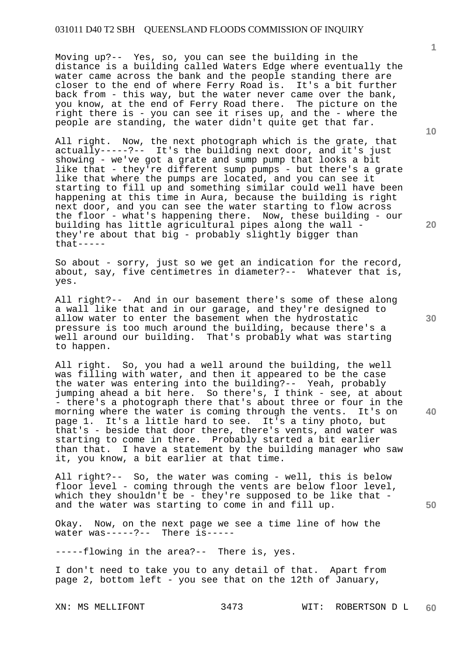Moving up?-- Yes, so, you can see the building in the distance is a building called Waters Edge where eventually the water came across the bank and the people standing there are closer to the end of where Ferry Road is. It's a bit further back from - this way, but the water never came over the bank, you know, at the end of Ferry Road there. The picture on the right there is - you can see it rises up, and the - where the people are standing, the water didn't quite get that far.

All right. Now, the next photograph which is the grate, that actually-----?-- It's the building next door, and it's just showing - we've got a grate and sump pump that looks a bit like that - they're different sump pumps - but there's a grate like that where the pumps are located, and you can see it starting to fill up and something similar could well have been happening at this time in Aura, because the building is right next door, and you can see the water starting to flow across the floor - what's happening there. Now, these building - our building has little agricultural pipes along the wall they're about that big - probably slightly bigger than that-----

So about - sorry, just so we get an indication for the record, about, say, five centimetres in diameter?-- Whatever that is, yes.

All right?-- And in our basement there's some of these along a wall like that and in our garage, and they're designed to allow water to enter the basement when the hydrostatic pressure is too much around the building, because there's a well around our building. That's probably what was starting to happen.

All right. So, you had a well around the building, the well was filling with water, and then it appeared to be the case the water was entering into the building?-- Yeah, probably jumping ahead a bit here. So there's, I think - see, at about - there's a photograph there that's about three or four in the morning where the water is coming through the vents. It's on page 1. It's a little hard to see. It's a tiny photo, but that's - beside that door there, there's vents, and water was starting to come in there. Probably started a bit earlier than that. I have a statement by the building manager who saw it, you know, a bit earlier at that time.

All right?-- So, the water was coming - well, this is below floor level - coming through the vents are below floor level, which they shouldn't be - they're supposed to be like that and the water was starting to come in and fill up.

Okay. Now, on the next page we see a time line of how the water was-----?-- There is-----

-----flowing in the area?-- There is, yes.

I don't need to take you to any detail of that. Apart from page 2, bottom left - you see that on the 12th of January,

**10** 

**1**

**30** 

**40**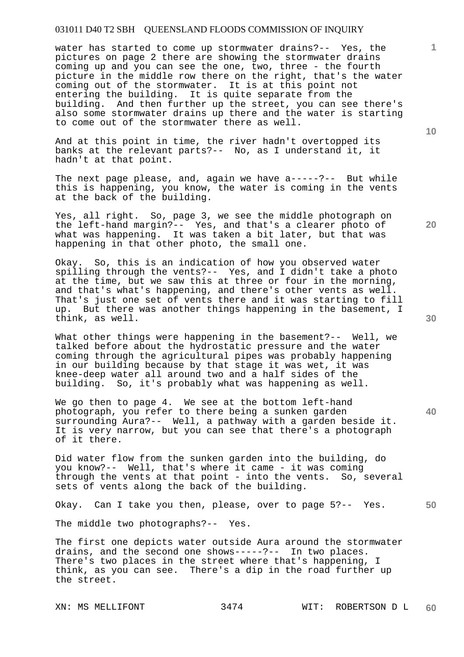water has started to come up stormwater drains?-- Yes, the pictures on page 2 there are showing the stormwater drains coming up and you can see the one, two, three - the fourth picture in the middle row there on the right, that's the water coming out of the stormwater. It is at this point not entering the building. It is quite separate from the building. And then further up the street, you can see there's also some stormwater drains up there and the water is starting to come out of the stormwater there as well.

And at this point in time, the river hadn't overtopped its banks at the relevant parts?-- No, as I understand it, it hadn't at that point.

The next page please, and, again we have a-----?-- But while this is happening, you know, the water is coming in the vents at the back of the building.

Yes, all right. So, page 3, we see the middle photograph on the left-hand margin?-- Yes, and that's a clearer photo of what was happening. It was taken a bit later, but that was happening in that other photo, the small one.

Okay. So, this is an indication of how you observed water spilling through the vents?-- Yes, and I didn't take a photo at the time, but we saw this at three or four in the morning, and that's what's happening, and there's other vents as well. That's just one set of vents there and it was starting to fill up. But there was another things happening in the basement, I think, as well.

What other things were happening in the basement?-- Well, we talked before about the hydrostatic pressure and the water coming through the agricultural pipes was probably happening in our building because by that stage it was wet, it was knee-deep water all around two and a half sides of the building. So, it's probably what was happening as well.

We go then to page 4. We see at the bottom left-hand photograph, you refer to there being a sunken garden surrounding Aura?-- Well, a pathway with a garden beside it. It is very narrow, but you can see that there's a photograph of it there.

Did water flow from the sunken garden into the building, do you know?-- Well, that's where it came - it was coming through the vents at that point - into the vents. So, several sets of vents along the back of the building.

Okay. Can I take you then, please, over to page 5?-- Yes.

The middle two photographs?-- Yes.

The first one depicts water outside Aura around the stormwater drains, and the second one shows-----?-- In two places. There's two places in the street where that's happening, I think, as you can see. There's a dip in the road further up the street.

**10** 

**1**

**40**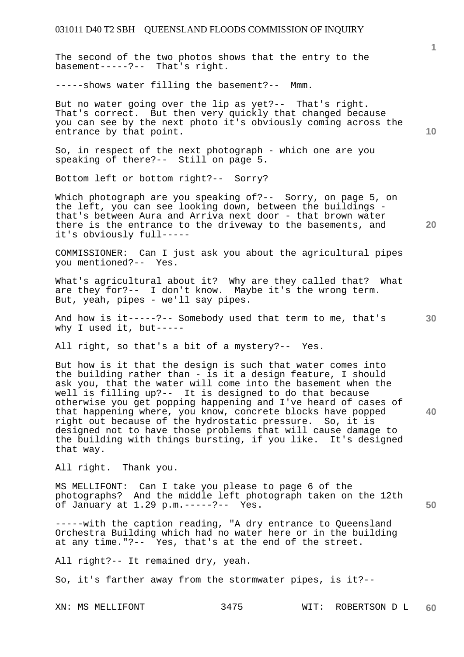The second of the two photos shows that the entry to the basement-----?-- That's right.

-----shows water filling the basement?-- Mmm.

But no water going over the lip as yet?-- That's right. That's correct. But then very quickly that changed because you can see by the next photo it's obviously coming across the entrance by that point.

So, in respect of the next photograph - which one are you speaking of there?-- Still on page 5.

Bottom left or bottom right?-- Sorry?

Which photograph are you speaking of?-- Sorry, on page 5, on the left, you can see looking down, between the buildings that's between Aura and Arriva next door - that brown water there is the entrance to the driveway to the basements, and it's obviously full-----

COMMISSIONER: Can I just ask you about the agricultural pipes you mentioned?--

What's agricultural about it? Why are they called that? What are they for?-- I don't know. Maybe it's the wrong term. But, yeah, pipes - we'll say pipes.

And how is it-----?-- Somebody used that term to me, that's why I used it, but-----

All right, so that's a bit of a mystery?-- Yes.

But how is it that the design is such that water comes into the building rather than - is it a design feature, I should ask you, that the water will come into the basement when the well is filling up?-- It is designed to do that because otherwise you get popping happening and I've heard of cases of that happening where, you know, concrete blocks have popped right out because of the hydrostatic pressure. So, it is designed not to have those problems that will cause damage to the building with things bursting, if you like. It's designed that way.

All right. Thank you.

MS MELLIFONT: Can I take you please to page 6 of the photographs? And the middle left photograph taken on the 12th of January at 1.29 p.m.-----?-- Yes.

-----with the caption reading, "A dry entrance to Queensland Orchestra Building which had no water here or in the building at any time."?-- Yes, that's at the end of the street.

All right?-- It remained dry, yeah.

So, it's farther away from the stormwater pipes, is it?--

**1**

**10** 

**20** 

**30** 

**40**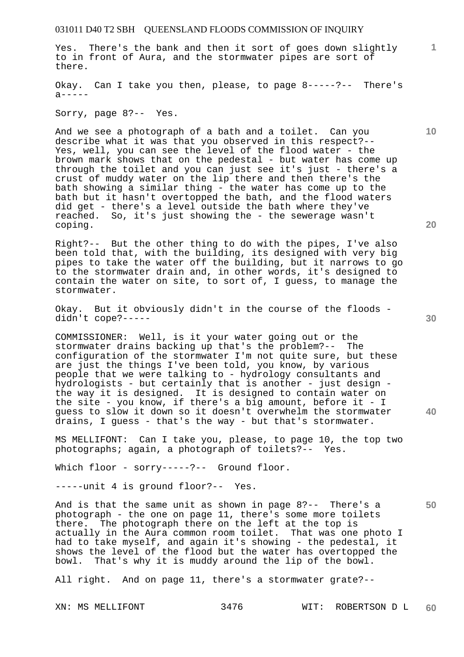Yes. There's the bank and then it sort of goes down slightly to in front of Aura, and the stormwater pipes are sort of there.

Okay. Can I take you then, please, to page 8-----?-- There's  $a$ -----

Sorry, page 8?-- Yes.

And we see a photograph of a bath and a toilet. Can you describe what it was that you observed in this respect?-- Yes, well, you can see the level of the flood water - the brown mark shows that on the pedestal - but water has come up through the toilet and you can just see it's just - there's a crust of muddy water on the lip there and then there's the bath showing a similar thing - the water has come up to the bath but it hasn't overtopped the bath, and the flood waters did get - there's a level outside the bath where they've reached. So, it's just showing the - the sewerage wasn't coping.

Right?-- But the other thing to do with the pipes, I've also been told that, with the building, its designed with very big pipes to take the water off the building, but it narrows to go to the stormwater drain and, in other words, it's designed to contain the water on site, to sort of, I guess, to manage the stormwater.

Okay. But it obviously didn't in the course of the floods didn't cope?-----

COMMISSIONER: Well, is it your water going out or the stormwater drains backing up that's the problem?-- The configuration of the stormwater I'm not quite sure, but these are just the things I've been told, you know, by various people that we were talking to - hydrology consultants and hydrologists - but certainly that is another - just design the way it is designed. It is designed to contain water on the site - you know, if there's a big amount, before it - I guess to slow it down so it doesn't overwhelm the stormwater drains, I guess - that's the way - but that's stormwater.

MS MELLIFONT: Can I take you, please, to page 10, the top two photographs; again, a photograph of toilets?-- Yes.

Which floor - sorry-----?-- Ground floor.

-----unit 4 is ground floor?-- Yes.

And is that the same unit as shown in page 8?-- There's a photograph - the one on page 11, there's some more toilets there. The photograph there on the left at the top is actually in the Aura common room toilet. That was one photo I had to take myself, and again it's showing - the pedestal, it shows the level of the flood but the water has overtopped the bowl. That's why it is muddy around the lip of the bowl.

All right. And on page 11, there's a stormwater grate?--

**10** 

**1**

**20** 

**50**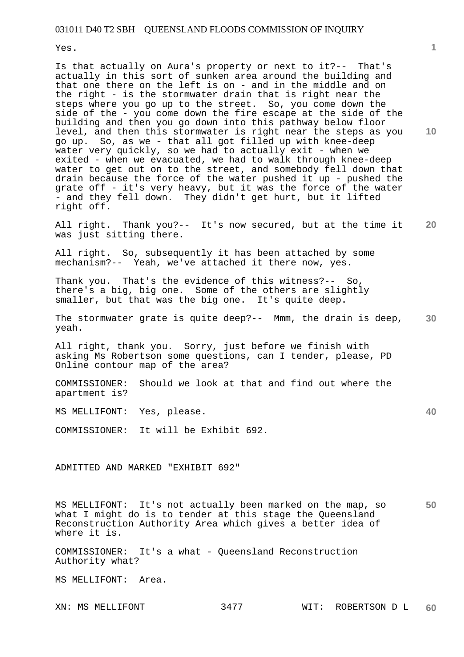Yes.

Is that actually on Aura's property or next to it?-- That's actually in this sort of sunken area around the building and that one there on the left is on - and in the middle and on the right - is the stormwater drain that is right near the steps where you go up to the street. So, you come down the side of the - you come down the fire escape at the side of the building and then you go down into this pathway below floor level, and then this stormwater is right near the steps as you go up. So, as we - that all got filled up with knee-deep water very quickly, so we had to actually exit - when we exited - when we evacuated, we had to walk through knee-deep water to get out on to the street, and somebody fell down that drain because the force of the water pushed it up - pushed the grate off - it's very heavy, but it was the force of the water - and they fell down. They didn't get hurt, but it lifted right off.

**20**  All right. Thank you?-- It's now secured, but at the time it was just sitting there.

All right. So, subsequently it has been attached by some mechanism?-- Yeah, we've attached it there now, yes.

Thank you. That's the evidence of this witness?-- So, there's a big, big one. Some of the others are slightly smaller, but that was the big one. It's quite deep.

**30**  The stormwater grate is quite deep?-- Mmm, the drain is deep, yeah.

All right, thank you. Sorry, just before we finish with asking Ms Robertson some questions, can I tender, please, PD Online contour map of the area?

COMMISSIONER: Should we look at that and find out where the apartment is?

MS MELLIFONT: Yes, please.

COMMISSIONER: It will be Exhibit 692.

ADMITTED AND MARKED "EXHIBIT 692"

**50**  MS MELLIFONT: It's not actually been marked on the map, so what I might do is to tender at this stage the Queensland Reconstruction Authority Area which gives a better idea of where it is.

COMMISSIONER: It's a what - Queensland Reconstruction Authority what?

MS MELLIFONT: Area.

**10** 

**1**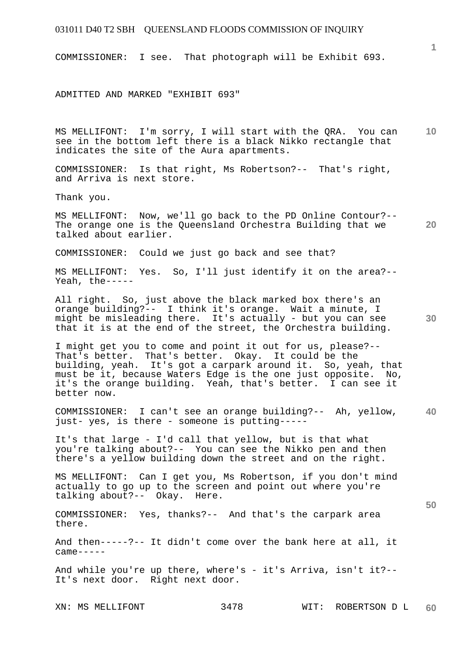COMMISSIONER: I see. That photograph will be Exhibit 693.

ADMITTED AND MARKED "EXHIBIT 693"

**10**  MS MELLIFONT: I'm sorry, I will start with the QRA. You can see in the bottom left there is a black Nikko rectangle that indicates the site of the Aura apartments.

COMMISSIONER: Is that right, Ms Robertson?-- That's right, and Arriva is next store.

Thank you.

MS MELLIFONT: Now, we'll go back to the PD Online Contour?-- The orange one is the Queensland Orchestra Building that we talked about earlier.

COMMISSIONER: Could we just go back and see that?

MS MELLIFONT: Yes. So, I'll just identify it on the area?-- Yeah, the-----

All right. So, just above the black marked box there's an orange building?-- I think it's orange. Wait a minute, I might be misleading there. It's actually - but you can see that it is at the end of the street, the Orchestra building.

I might get you to come and point it out for us, please?-- That's better. That's better. Okay. It could be the building, yeah. It's got a carpark around it. So, yeah, that must be it, because Waters Edge is the one just opposite. No, it's the orange building. Yeah, that's better. I can see it better now.

**40**  COMMISSIONER: I can't see an orange building?-- Ah, yellow, just- yes, is there - someone is putting-----

It's that large - I'd call that yellow, but is that what you're talking about?-- You can see the Nikko pen and then there's a yellow building down the street and on the right.

MS MELLIFONT: Can I get you, Ms Robertson, if you don't mind actually to go up to the screen and point out where you're talking about?-- Okay. Here.

COMMISSIONER: Yes, thanks?-- And that's the carpark area there.

And then-----?-- It didn't come over the bank here at all, it  $came---$ 

And while you're up there, where's - it's Arriva, isn't it?--It's next door. Right next door.

XN: MS MELLIFONT 3478 WIT: ROBERTSON D L **60** 

**30** 

**20** 

**50**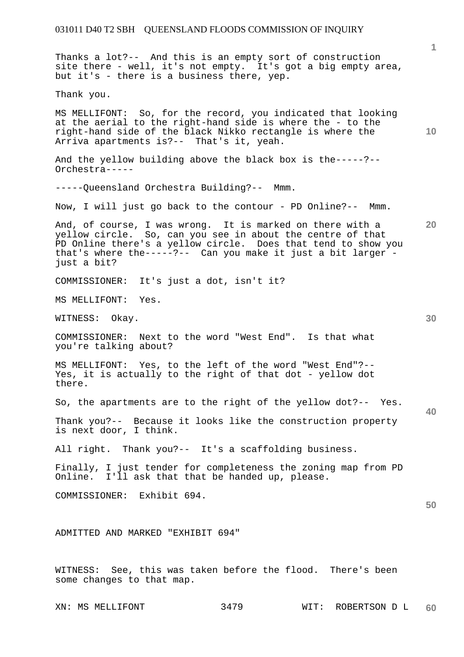**1 10 20 30 40 50**  Thanks a lot?-- And this is an empty sort of construction site there - well, it's not empty. It's got a big empty area, but it's - there is a business there, yep. Thank you. MS MELLIFONT: So, for the record, you indicated that looking at the aerial to the right-hand side is where the - to the right-hand side of the black Nikko rectangle is where the Arriva apartments is?-- That's it, yeah. And the yellow building above the black box is the-----?-- Orchestra----- -----Queensland Orchestra Building?-- Mmm. Now, I will just go back to the contour - PD Online?-- Mmm. And, of course, I was wrong. It is marked on there with a yellow circle. So, can you see in about the centre of that PD Online there's a yellow circle. Does that tend to show you that's where the-----?-- Can you make it just a bit larger just a bit? COMMISSIONER: It's just a dot, isn't it? MS MELLIFONT: Yes. WITNESS: Okay. COMMISSIONER: Next to the word "West End". Is that what you're talking about? MS MELLIFONT: Yes, to the left of the word "West End"?-- Yes, it is actually to the right of that dot - yellow dot there. So, the apartments are to the right of the yellow dot?-- Yes. Thank you?-- Because it looks like the construction property is next door, I think. All right. Thank you?-- It's a scaffolding business. Finally, I just tender for completeness the zoning map from PD Online. I'll ask that that be handed up, please. COMMISSIONER: Exhibit 694. ADMITTED AND MARKED "EXHIBIT 694" WITNESS: See, this was taken before the flood. There's been some changes to that map.

XN: MS MELLIFONT 3479 WIT: ROBERTSON D L **60**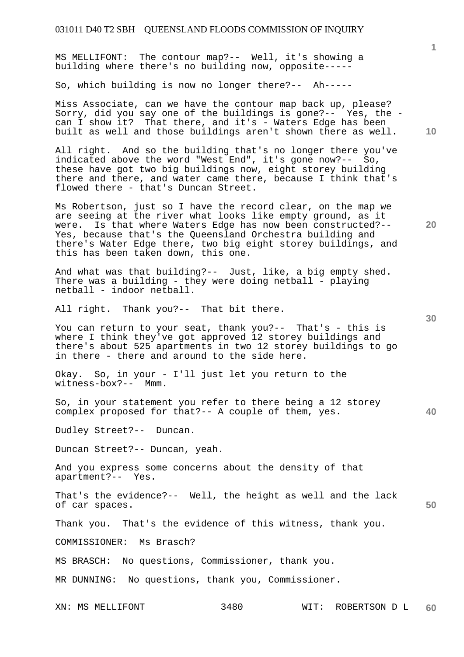MS MELLIFONT: The contour map?-- Well, it's showing a building where there's no building now, opposite-----

So, which building is now no longer there?-- Ah-----

Miss Associate, can we have the contour map back up, please? Sorry, did you say one of the buildings is gone?-- Yes, the can I show it? That there, and it's - Waters Edge has been built as well and those buildings aren't shown there as well.

All right. And so the building that's no longer there you've indicated above the word "West End", it's gone now?-- So, these have got two big buildings now, eight storey building there and there, and water came there, because I think that's flowed there - that's Duncan Street.

Ms Robertson, just so I have the record clear, on the map we are seeing at the river what looks like empty ground, as it were. Is that where Waters Edge has now been constructed?-- Yes, because that's the Queensland Orchestra building and there's Water Edge there, two big eight storey buildings, and this has been taken down, this one.

And what was that building?-- Just, like, a big empty shed. There was a building - they were doing netball - playing netball - indoor netball.

All right. Thank you?-- That bit there.

You can return to your seat, thank you?-- That's - this is where I think they've got approved 12 storey buildings and there's about 525 apartments in two 12 storey buildings to go in there - there and around to the side here.

Okay. So, in your - I'll just let you return to the witness-box?-- Mmm.

So, in your statement you refer to there being a 12 storey complex proposed for that?-- A couple of them, yes.

Dudley Street?-- Duncan.

Duncan Street?-- Duncan, yeah.

And you express some concerns about the density of that apartment?-- Yes.

That's the evidence?-- Well, the height as well and the lack of car spaces.

Thank you. That's the evidence of this witness, thank you.

COMMISSIONER: Ms Brasch?

MS BRASCH: No questions, Commissioner, thank you.

MR DUNNING: No questions, thank you, Commissioner.

**20** 

**30** 

**40** 

**50**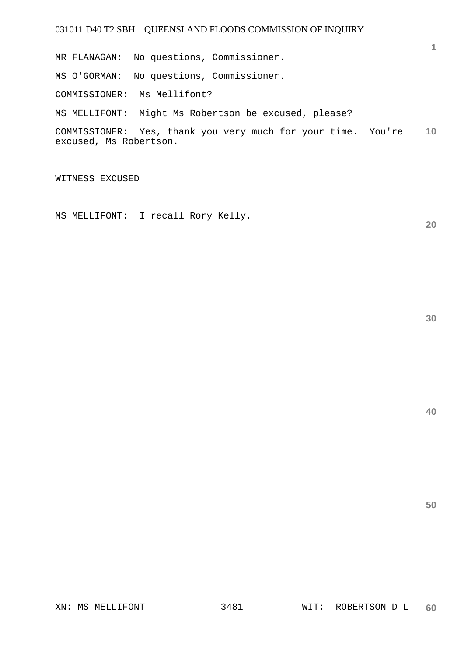**10**  COMMISSIONER: Yes, thank you very much for your time. You're MR FLANAGAN: No questions, Commissioner. MS O'GORMAN: No questions, Commissioner. COMMISSIONER: Ms Mellifont? MS MELLIFONT: Might Ms Robertson be excused, please? excused, Ms Robertson.

WITNESS EXCUSED

MS MELLIFONT: I recall Rory Kelly.

**30** 

**20** 

**1**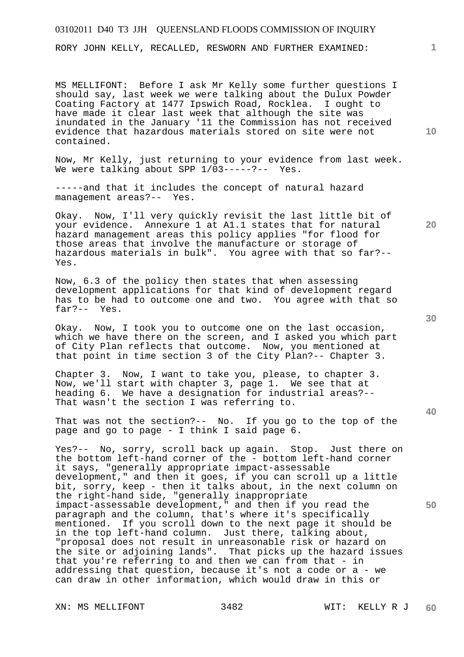RORY JOHN KELLY, RECALLED, RESWORN AND FURTHER EXAMINED:

MS MELLIFONT: Before I ask Mr Kelly some further questions I should say, last week we were talking about the Dulux Powder Coating Factory at 1477 Ipswich Road, Rocklea. I ought to have made it clear last week that although the site was inundated in the January '11 the Commission has not received evidence that hazardous materials stored on site were not contained.

Now, Mr Kelly, just returning to your evidence from last week. We were talking about SPP  $1/\overline{0}3---?---$  Yes.

-----and that it includes the concept of natural hazard management areas?-- Yes.

Okay. Now, I'll very quickly revisit the last little bit of your evidence. Annexure 1 at A1.1 states that for natural hazard management areas this policy applies "for flood for those areas that involve the manufacture or storage of hazardous materials in bulk". You agree with that so far?-- Yes.

Now, 6.3 of the policy then states that when assessing development applications for that kind of development regard has to be had to outcome one and two. You agree with that so far?-- Yes.

Okay. Now, I took you to outcome one on the last occasion, which we have there on the screen, and I asked you which part of City Plan reflects that outcome. Now, you mentioned at that point in time section 3 of the City Plan?-- Chapter 3.

Chapter 3. Now, I want to take you, please, to chapter 3. Now, we'll start with chapter 3, page 1. We see that at heading 6. We have a designation for industrial areas?-- That wasn't the section I was referring to.

That was not the section?-- No. If you go to the top of the page and go to page - I think I said page 6.

Yes?-- No, sorry, scroll back up again. Stop. Just there on the bottom left-hand corner of the - bottom left-hand corner it says, "generally appropriate impact-assessable development," and then it goes, if you can scroll up a little bit, sorry, keep - then it talks about, in the next column on the right-hand side, "generally inappropriate impact-assessable development," and then if you read the paragraph and the column, that's where it's specifically mentioned. If you scroll down to the next page it should be in the top left-hand column. Just there, talking about, "proposal does not result in unreasonable risk or hazard on the site or adjoining lands". That picks up the hazard issues that you're referring to and then we can from that - in addressing that question, because it's not a code or a - we can draw in other information, which would draw in this or

XN: MS MELLIFONT 3482 WIT: KELLY R J

**30** 

**20** 

**40** 

**50** 

**10**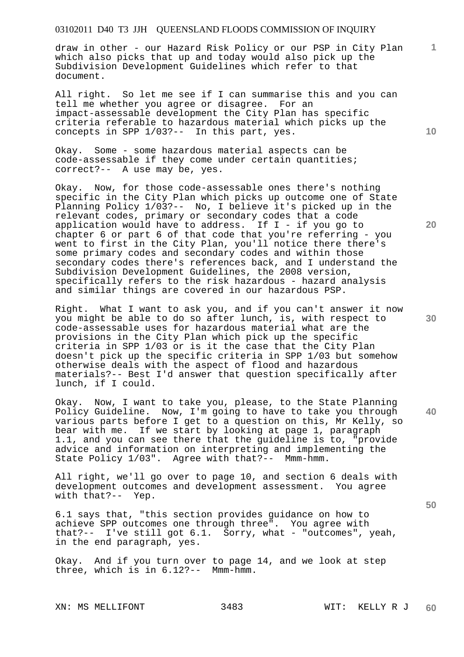draw in other - our Hazard Risk Policy or our PSP in City Plan which also picks that up and today would also pick up the Subdivision Development Guidelines which refer to that document.

All right. So let me see if I can summarise this and you can tell me whether you agree or disagree. For an impact-assessable development the City Plan has specific criteria referable to hazardous material which picks up the concepts in SPP 1/03?-- In this part, yes.

Okay. Some - some hazardous material aspects can be code-assessable if they come under certain quantities; correct?-- A use may be, yes.

Okay. Now, for those code-assessable ones there's nothing specific in the City Plan which picks up outcome one of State Planning Policy 1/03?-- No, I believe it's picked up in the relevant codes, primary or secondary codes that a code application would have to address. If  $I - if$  you go to chapter 6 or part 6 of that code that you're referring - you went to first in the City Plan, you'll notice there there's some primary codes and secondary codes and within those secondary codes there's references back, and I understand the Subdivision Development Guidelines, the 2008 version, specifically refers to the risk hazardous - hazard analysis and similar things are covered in our hazardous PSP.

Right. What I want to ask you, and if you can't answer it now you might be able to do so after lunch, is, with respect to code-assessable uses for hazardous material what are the provisions in the City Plan which pick up the specific criteria in SPP 1/03 or is it the case that the City Plan doesn't pick up the specific criteria in SPP 1/03 but somehow otherwise deals with the aspect of flood and hazardous materials?-- Best I'd answer that question specifically after lunch, if I could.

Okay. Now, I want to take you, please, to the State Planning Policy Guideline. Now, I'm going to have to take you through various parts before I get to a question on this, Mr Kelly, so bear with me. If we start by looking at page 1, paragraph 1.1, and you can see there that the guideline is to, "provide advice and information on interpreting and implementing the State Policy 1/03". Agree with that?-- Mmm-hmm.

All right, we'll go over to page 10, and section 6 deals with development outcomes and development assessment. You agree with that?-- Yep.

6.1 says that, "this section provides guidance on how to achieve SPP outcomes one through three". You agree with that?-- I've still got 6.1. Sorry, what - "outcomes", yeah, in the end paragraph, yes.

Okay. And if you turn over to page 14, and we look at step three, which is in 6.12?-- Mmm-hmm.

**10** 

**1**

**30** 

**20** 

**40**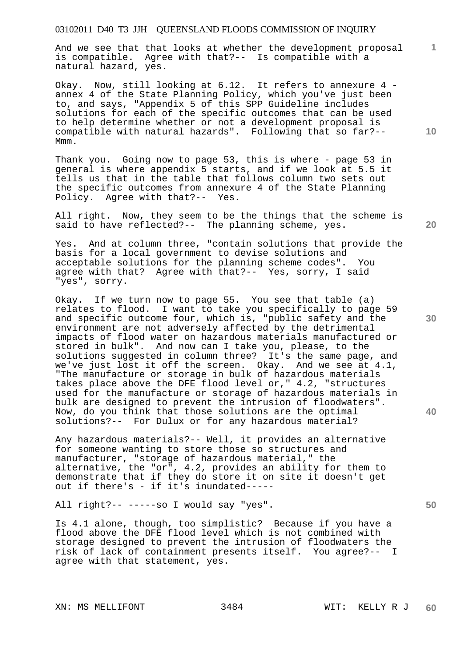And we see that that looks at whether the development proposal is compatible. Agree with that?-- Is compatible with a natural hazard, yes.

Okay. Now, still looking at 6.12. It refers to annexure 4 annex 4 of the State Planning Policy, which you've just been to, and says, "Appendix 5 of this SPP Guideline includes solutions for each of the specific outcomes that can be used to help determine whether or not a development proposal is compatible with natural hazards". Following that so far?-- Mmm.

Thank you. Going now to page 53, this is where - page 53 in general is where appendix 5 starts, and if we look at 5.5 it tells us that in the table that follows column two sets out the specific outcomes from annexure 4 of the State Planning Policy. Agree with that?-- Yes.

All right. Now, they seem to be the things that the scheme is said to have reflected?-- The planning scheme, yes.

Yes. And at column three, "contain solutions that provide the basis for a local government to devise solutions and acceptable solutions for the planning scheme codes". You agree with that? Agree with that?-- Yes, sorry, I said "yes", sorry.

Okay. If we turn now to page 55. You see that table (a) relates to flood. I want to take you specifically to page 59 and specific outcome four, which is, "public safety and the environment are not adversely affected by the detrimental impacts of flood water on hazardous materials manufactured or stored in bulk". And now can I take you, please, to the solutions suggested in column three? It's the same page, and we've just lost it off the screen. Okay. And we see at 4.1, "The manufacture or storage in bulk of hazardous materials takes place above the DFE flood level or," 4.2, "structures used for the manufacture or storage of hazardous materials in bulk are designed to prevent the intrusion of floodwaters". Now, do you think that those solutions are the optimal solutions?-- For Dulux or for any hazardous material?

Any hazardous materials?-- Well, it provides an alternative for someone wanting to store those so structures and manufacturer, "storage of hazardous material," the alternative, the "or", 4.2, provides an ability for them to demonstrate that if they do store it on site it doesn't get out if there's - if it's inundated-----

All right?-- -----so I would say "yes".

Is 4.1 alone, though, too simplistic? Because if you have a flood above the DFE flood level which is not combined with storage designed to prevent the intrusion of floodwaters the risk of lack of containment presents itself. You agree?-- I agree with that statement, yes.

XN: MS MELLIFONT 3484 WIT: KELLY R J

**10** 

**1**

**20** 

**40** 

**30**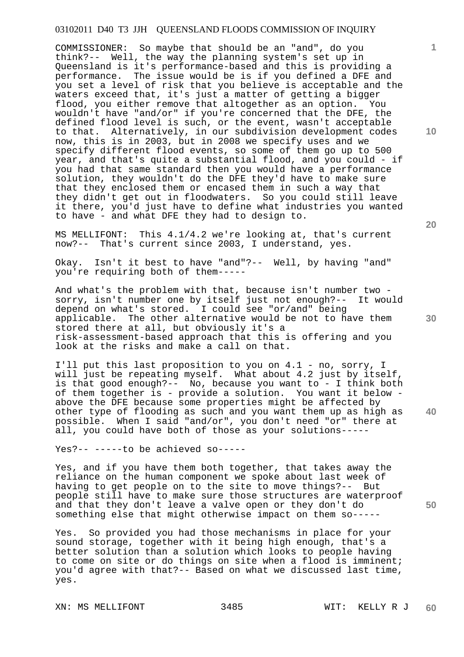COMMISSIONER: So maybe that should be an "and", do you think?-- Well, the way the planning system's set up in Queensland is it's performance-based and this is providing a performance. The issue would be is if you defined a DFE and you set a level of risk that you believe is acceptable and the waters exceed that, it's just a matter of getting a bigger flood, you either remove that altogether as an option. You wouldn't have "and/or" if you're concerned that the DFE, the defined flood level is such, or the event, wasn't acceptable to that. Alternatively, in our subdivision development codes now, this is in 2003, but in 2008 we specify uses and we specify different flood events, so some of them go up to 500 year, and that's quite a substantial flood, and you could - if you had that same standard then you would have a performance solution, they wouldn't do the DFE they'd have to make sure that they enclosed them or encased them in such a way that they didn't get out in floodwaters. So you could still leave it there, you'd just have to define what industries you wanted to have - and what DFE they had to design to.

MS MELLIFONT: This 4.1/4.2 we're looking at, that's current now?-- That's current since 2003, I understand, yes.

Okay. Isn't it best to have "and"?-- Well, by having "and" you're requiring both of them-----

And what's the problem with that, because isn't number two sorry, isn't number one by itself just not enough?-- It would depend on what's stored. I could see "or/and" being applicable. The other alternative would be not to have them stored there at all, but obviously it's a risk-assessment-based approach that this is offering and you look at the risks and make a call on that.

I'll put this last proposition to you on 4.1 - no, sorry, I will just be repeating myself. What about 4.2 just by itself, is that good enough?-- No, because you want to - I think both of them together is - provide a solution. You want it below above the DFE because some properties might be affected by other type of flooding as such and you want them up as high as possible. When I said "and/or", you don't need "or" there at all, you could have both of those as your solutions-----

Yes?-- -----to be achieved so-----

Yes, and if you have them both together, that takes away the reliance on the human component we spoke about last week of having to get people on to the site to move things?-- But people still have to make sure those structures are waterproof and that they don't leave a valve open or they don't do something else that might otherwise impact on them so-----

Yes. So provided you had those mechanisms in place for your sound storage, together with it being high enough, that's a better solution than a solution which looks to people having to come on site or do things on site when a flood is imminent; you'd agree with that?-- Based on what we discussed last time, yes.

XN: MS MELLIFONT 3485 WIT: KELLY R J

**20** 

**10** 

**1**

**30** 

**50**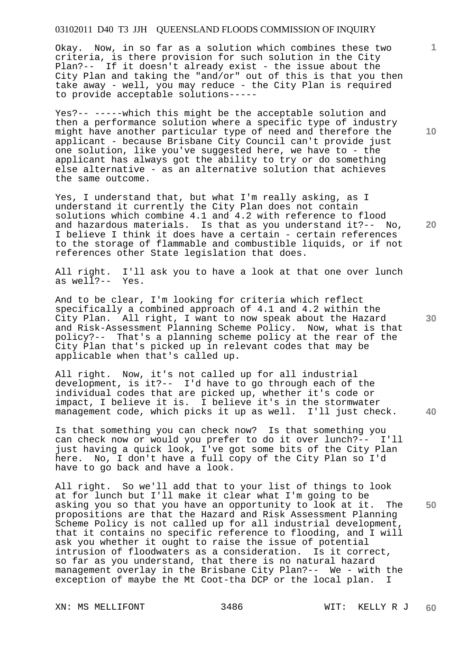Okay. Now, in so far as a solution which combines these two criteria, is there provision for such solution in the City Plan?-- If it doesn't already exist - the issue about the City Plan and taking the "and/or" out of this is that you then take away - well, you may reduce - the City Plan is required to provide acceptable solutions-----

Yes?-- -----which this might be the acceptable solution and then a performance solution where a specific type of industry might have another particular type of need and therefore the applicant - because Brisbane City Council can't provide just one solution, like you've suggested here, we have to - the applicant has always got the ability to try or do something else alternative - as an alternative solution that achieves the same outcome.

Yes, I understand that, but what I'm really asking, as I understand it currently the City Plan does not contain solutions which combine 4.1 and 4.2 with reference to flood and hazardous materials. Is that as you understand it?-- No, I believe I think it does have a certain - certain references to the storage of flammable and combustible liquids, or if not references other State legislation that does.

All right. I'll ask you to have a look at that one over lunch as well?-- Yes.

And to be clear, I'm looking for criteria which reflect specifically a combined approach of 4.1 and 4.2 within the City Plan. All right, I want to now speak about the Hazard and Risk-Assessment Planning Scheme Policy. Now, what is that policy?-- That's a planning scheme policy at the rear of the City Plan that's picked up in relevant codes that may be applicable when that's called up.

All right. Now, it's not called up for all industrial development, is it?-- I'd have to go through each of the individual codes that are picked up, whether it's code or impact, I believe it is. I believe it's in the stormwater<br>management code, which picks it up as well. I'll just check. management code, which picks it up as well.

Is that something you can check now? Is that something you can check now or would you prefer to do it over lunch?-- I'll just having a quick look, I've got some bits of the City Plan here. No, I don't have a full copy of the City Plan so I'd have to go back and have a look.

All right. So we'll add that to your list of things to look at for lunch but I'll make it clear what I'm going to be asking you so that you have an opportunity to look at it. The propositions are that the Hazard and Risk Assessment Planning Scheme Policy is not called up for all industrial development, that it contains no specific reference to flooding, and I will ask you whether it ought to raise the issue of potential intrusion of floodwaters as a consideration. Is it correct, so far as you understand, that there is no natural hazard management overlay in the Brisbane City Plan?-- We - with the exception of maybe the Mt Coot-tha DCP or the local plan. I

**10** 

**1**

**20** 

**30** 

**40**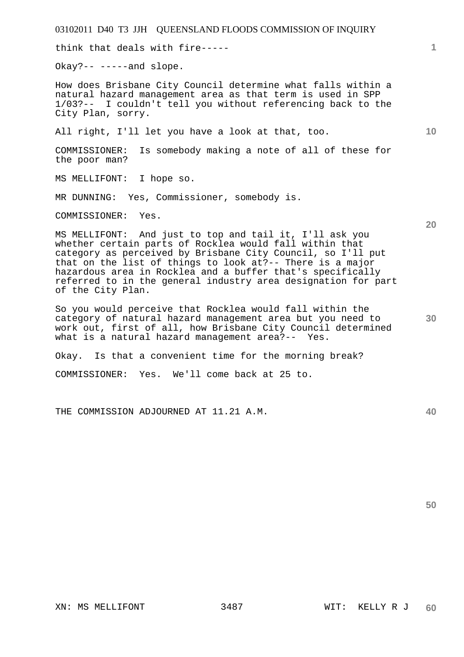think that deals with fire-----

Okay?-- -----and slope.

How does Brisbane City Council determine what falls within a natural hazard management area as that term is used in SPP 1/03?-- I couldn't tell you without referencing back to the City Plan, sorry.

All right, I'll let you have a look at that, too.

COMMISSIONER: Is somebody making a note of all of these for the poor man?

MS MELLIFONT: I hope so.

MR DUNNING: Yes, Commissioner, somebody is.

COMMISSIONER: Yes.

MS MELLIFONT: And just to top and tail it, I'll ask you whether certain parts of Rocklea would fall within that category as perceived by Brisbane City Council, so I'll put that on the list of things to look at?-- There is a major hazardous area in Rocklea and a buffer that's specifically referred to in the general industry area designation for part of the City Plan.

So you would perceive that Rocklea would fall within the category of natural hazard management area but you need to work out, first of all, how Brisbane City Council determined what is a natural hazard management area?-- Yes.

Okay. Is that a convenient time for the morning break?

COMMISSIONER: Yes. We'll come back at 25 to.

THE COMMISSION ADJOURNED AT 11.21 A.M.

**50** 

**20** 

**10** 

**1**

**30**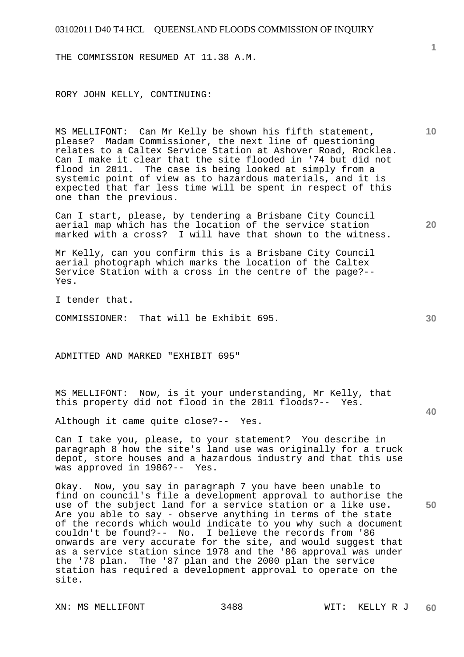THE COMMISSION RESUMED AT 11.38 A.M.

RORY JOHN KELLY, CONTINUING:

MS MELLIFONT: Can Mr Kelly be shown his fifth statement, please? Madam Commissioner, the next line of questioning relates to a Caltex Service Station at Ashover Road, Rocklea. Can I make it clear that the site flooded in '74 but did not flood in 2011. The case is being looked at simply from a systemic point of view as to hazardous materials, and it is expected that far less time will be spent in respect of this one than the previous.

Can I start, please, by tendering a Brisbane City Council aerial map which has the location of the service station marked with a cross? I will have that shown to the witness.

Mr Kelly, can you confirm this is a Brisbane City Council aerial photograph which marks the location of the Caltex Service Station with a cross in the centre of the page?-- Yes.

I tender that.

COMMISSIONER: That will be Exhibit 695.

ADMITTED AND MARKED "EXHIBIT 695"

MS MELLIFONT: Now, is it your understanding, Mr Kelly, that this property did not flood in the 2011 floods?-- Yes.

Although it came quite close?-- Yes.

Can I take you, please, to your statement? You describe in paragraph 8 how the site's land use was originally for a truck depot, store houses and a hazardous industry and that this use was approved in 1986?-- Yes.

Okay. Now, you say in paragraph 7 you have been unable to find on council's file a development approval to authorise the use of the subject land for a service station or a like use. Are you able to say - observe anything in terms of the state of the records which would indicate to you why such a document couldn't be found?-- No. I believe the records from '86 onwards are very accurate for the site, and would suggest that as a service station since 1978 and the '86 approval was under the '78 plan. The '87 plan and the 2000 plan the service station has required a development approval to operate on the site.

**10** 

**20** 

**30** 

**50**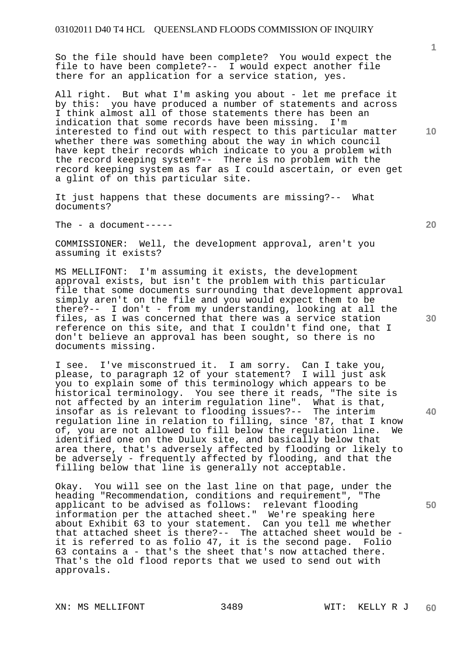So the file should have been complete? You would expect the file to have been complete?-- I would expect another file there for an application for a service station, yes.

All right. But what I'm asking you about - let me preface it by this: you have produced a number of statements and across I think almost all of those statements there has been an indication that some records have been missing. I'm interested to find out with respect to this particular matter whether there was something about the way in which council have kept their records which indicate to you a problem with the record keeping system?-- There is no problem with the record keeping system as far as I could ascertain, or even get a glint of on this particular site.

It just happens that these documents are missing?-- What documents?

The - a document-----

COMMISSIONER: Well, the development approval, aren't you assuming it exists?

MS MELLIFONT: I'm assuming it exists, the development approval exists, but isn't the problem with this particular file that some documents surrounding that development approval simply aren't on the file and you would expect them to be there?-- I don't - from my understanding, looking at all the files, as I was concerned that there was a service station reference on this site, and that I couldn't find one, that I don't believe an approval has been sought, so there is no documents missing.

I see. I've misconstrued it. I am sorry. Can I take you, please, to paragraph 12 of your statement? I will just ask you to explain some of this terminology which appears to be historical terminology. You see there it reads, "The site is not affected by an interim regulation line". What is that, insofar as is relevant to flooding issues?-- The interim regulation line in relation to filling, since '87, that I know of, you are not allowed to fill below the regulation line. We identified one on the Dulux site, and basically below that area there, that's adversely affected by flooding or likely to be adversely - frequently affected by flooding, and that the filling below that line is generally not acceptable.

Okay. You will see on the last line on that page, under the heading "Recommendation, conditions and requirement", "The applicant to be advised as follows: relevant flooding information per the attached sheet." We're speaking here about Exhibit 63 to your statement. Can you tell me whether that attached sheet is there?-- The attached sheet would be it is referred to as folio 47, it is the second page. Folio 63 contains a - that's the sheet that's now attached there. That's the old flood reports that we used to send out with approvals.

XN: MS MELLIFONT 3489 WIT: KELLY R J

**20** 

**10** 

**1**

**30** 

**40**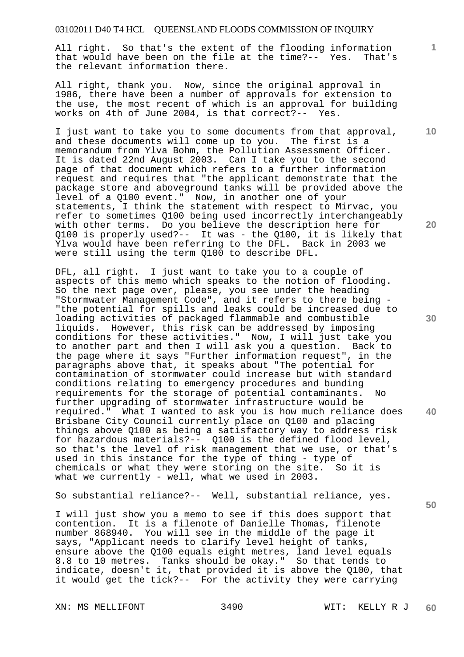All right. So that's the extent of the flooding information that would have been on the file at the time?-- Yes. That's the relevant information there.

All right, thank you. Now, since the original approval in 1986, there have been a number of approvals for extension to the use, the most recent of which is an approval for building works on 4th of June 2004, is that correct?-- Yes.

I just want to take you to some documents from that approval, and these documents will come up to you. The first is a memorandum from Ylva Bohm, the Pollution Assessment Officer. It is dated 22nd August 2003. Can I take you to the second page of that document which refers to a further information request and requires that "the applicant demonstrate that the package store and aboveground tanks will be provided above the level of a Q100 event." Now, in another one of your statements, I think the statement with respect to Mirvac, you refer to sometimes Q100 being used incorrectly interchangeably with other terms. Do you believe the description here for Q100 is properly used?-- It was - the Q100, it is likely that Ylva would have been referring to the DFL. Back in 2003 we were still using the term Q100 to describe DFL.

DFL, all right. I just want to take you to a couple of aspects of this memo which speaks to the notion of flooding. So the next page over, please, you see under the heading "Stormwater Management Code", and it refers to there being - "the potential for spills and leaks could be increased due to loading activities of packaged flammable and combustible liquids. However, this risk can be addressed by imposing conditions for these activities." Now, I will just take you to another part and then I will ask you a question. Back to the page where it says "Further information request", in the paragraphs above that, it speaks about "The potential for contamination of stormwater could increase but with standard conditions relating to emergency procedures and bunding requirements for the storage of potential contaminants. No further upgrading of stormwater infrastructure would be required." What I wanted to ask you is how much reliance does Brisbane City Council currently place on Q100 and placing things above Q100 as being a satisfactory way to address risk for hazardous materials?-- Q100 is the defined flood level, so that's the level of risk management that we use, or that's used in this instance for the type of thing - type of chemicals or what they were storing on the site. So it is what we currently - well, what we used in 2003.

So substantial reliance?-- Well, substantial reliance, yes.

I will just show you a memo to see if this does support that contention. It is a filenote of Danielle Thomas, filenote number 868940. You will see in the middle of the page it says, "Applicant needs to clarify level height of tanks, ensure above the Q100 equals eight metres, land level equals 8.8 to 10 metres. Tanks should be okay." So that tends to indicate, doesn't it, that provided it is above the Q100, that it would get the tick?-- For the activity they were carrying

XN: MS MELLIFONT 3490 WIT: KELLY R J

**20** 

**10** 

**1**

**30** 

**40**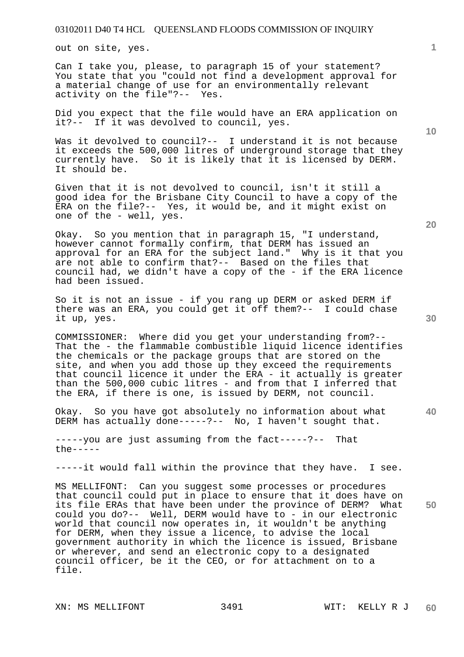out on site, yes.

Can I take you, please, to paragraph 15 of your statement? You state that you "could not find a development approval for a material change of use for an environmentally relevant activity on the file"?-- Yes. activity on the file"?--

Did you expect that the file would have an ERA application on it?-- If it was devolved to council, yes.

Was it devolved to council?-- I understand it is not because it exceeds the 500,000 litres of underground storage that they currently have. So it is likely that it is licensed by DERM. It should be.

Given that it is not devolved to council, isn't it still a good idea for the Brisbane City Council to have a copy of the ERA on the file?-- Yes, it would be, and it might exist on one of the - well, yes.

Okay. So you mention that in paragraph 15, "I understand, however cannot formally confirm, that DERM has issued an approval for an ERA for the subject land." Why is it that you are not able to confirm that?-- Based on the files that council had, we didn't have a copy of the - if the ERA licence had been issued.

So it is not an issue - if you rang up DERM or asked DERM if there was an ERA, you could get it off them?-- I could chase it up, yes.

COMMISSIONER: Where did you get your understanding from?-- That the - the flammable combustible liquid licence identifies the chemicals or the package groups that are stored on the site, and when you add those up they exceed the requirements that council licence it under the ERA - it actually is greater than the 500,000 cubic litres - and from that I inferred that the ERA, if there is one, is issued by DERM, not council.

Okay. So you have got absolutely no information about what DERM has actually done-----?-- No, I haven't sought that.

-----you are just assuming from the fact-----?-- That  $the---$ 

-----it would fall within the province that they have. I see.

**50**  MS MELLIFONT: Can you suggest some processes or procedures that council could put in place to ensure that it does have on its file ERAs that have been under the province of DERM? What could you do?-- Well, DERM would have to - in our electronic world that council now operates in, it wouldn't be anything for DERM, when they issue a licence, to advise the local government authority in which the licence is issued, Brisbane or wherever, and send an electronic copy to a designated council officer, be it the CEO, or for attachment on to a file.

**20** 

**40** 

**10**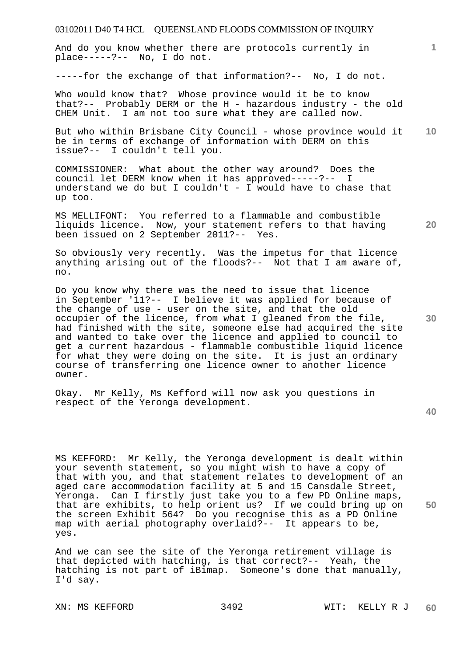And do you know whether there are protocols currently in place-----?-- No, I do not.

-----for the exchange of that information?-- No, I do not.

Who would know that? Whose province would it be to know that?-- Probably DERM or the H - hazardous industry - the old CHEM Unit. I am not too sure what they are called now.

**10**  But who within Brisbane City Council - whose province would it be in terms of exchange of information with DERM on this issue?-- I couldn't tell you.

COMMISSIONER: What about the other way around? Does the council let DERM know when it has approved-----?-- I understand we do but I couldn't - I would have to chase that up too.

MS MELLIFONT: You referred to a flammable and combustible liquids licence. Now, your statement refers to that having been issued on 2 September 2011?-- Yes.

So obviously very recently. Was the impetus for that licence anything arising out of the floods?-- Not that I am aware of, no.

Do you know why there was the need to issue that licence in September '11?-- I believe it was applied for because of the change of use - user on the site, and that the old occupier of the licence, from what I gleaned from the file, had finished with the site, someone else had acquired the site and wanted to take over the licence and applied to council to get a current hazardous - flammable combustible liquid licence for what they were doing on the site. It is just an ordinary course of transferring one licence owner to another licence owner.

Okay. Mr Kelly, Ms Kefford will now ask you questions in respect of the Yeronga development.

**40** 

**50** 

**1**

**20** 

**30** 

MS KEFFORD: Mr Kelly, the Yeronga development is dealt within your seventh statement, so you might wish to have a copy of that with you, and that statement relates to development of an aged care accommodation facility at 5 and 15 Cansdale Street, Yeronga. Can I firstly just take you to a few PD Online maps, that are exhibits, to help orient us? If we could bring up on the screen Exhibit 564? Do you recognise this as a PD Online map with aerial photography overlaid?-- It appears to be, yes.

And we can see the site of the Yeronga retirement village is that depicted with hatching, is that correct?-- Yeah, the hatching is not part of iBimap. Someone's done that manually, I'd say.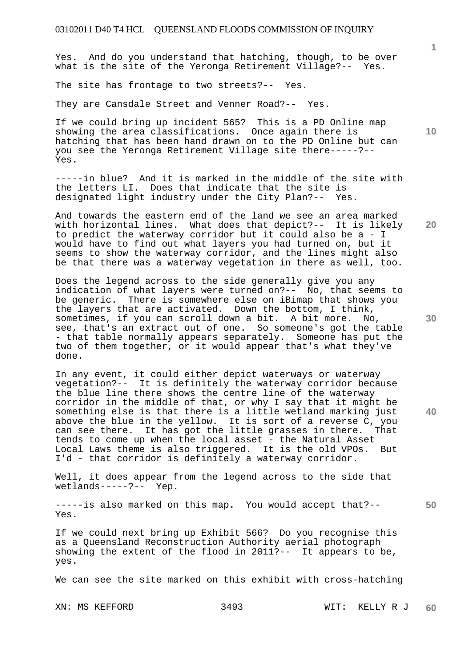Yes. And do you understand that hatching, though, to be over what is the site of the Yeronga Retirement Village?-- Yes.

The site has frontage to two streets?-- Yes.

They are Cansdale Street and Venner Road?-- Yes.

If we could bring up incident 565? This is a PD Online map showing the area classifications. Once again there is hatching that has been hand drawn on to the PD Online but can you see the Yeronga Retirement Village site there-----?-- Yes.

-----in blue? And it is marked in the middle of the site with the letters LI. Does that indicate that the site is designated light industry under the City Plan?-- Yes.

**20**  And towards the eastern end of the land we see an area marked with horizontal lines. What does that depict?-- It is likely to predict the waterway corridor but it could also be a - I would have to find out what layers you had turned on, but it seems to show the waterway corridor, and the lines might also be that there was a waterway vegetation in there as well, too.

Does the legend across to the side generally give you any indication of what layers were turned on?-- No, that seems to be generic. There is somewhere else on iBimap that shows you the layers that are activated. Down the bottom, I think, sometimes, if you can scroll down a bit. A bit more. No, see, that's an extract out of one. So someone's got the table - that table normally appears separately. Someone has put the two of them together, or it would appear that's what they've done.

In any event, it could either depict waterways or waterway vegetation?-- It is definitely the waterway corridor because the blue line there shows the centre line of the waterway corridor in the middle of that, or why I say that it might be something else is that there is a little wetland marking just above the blue in the yellow. It is sort of a reverse C, you can see there. It has got the little grasses in there. That tends to come up when the local asset - the Natural Asset Local Laws theme is also triggered. It is the old VPOs. But I'd - that corridor is definitely a waterway corridor.

Well, it does appear from the legend across to the side that wetlands-----?-- Yep.

-----is also marked on this map. You would accept that?-- Yes.

If we could next bring up Exhibit 566? Do you recognise this as a Queensland Reconstruction Authority aerial photograph showing the extent of the flood in 2011?-- It appears to be, yes.

We can see the site marked on this exhibit with cross-hatching

XN: MS KEFFORD 3493 WIT: KELLY R J **60** 

**30** 

**40** 

**50**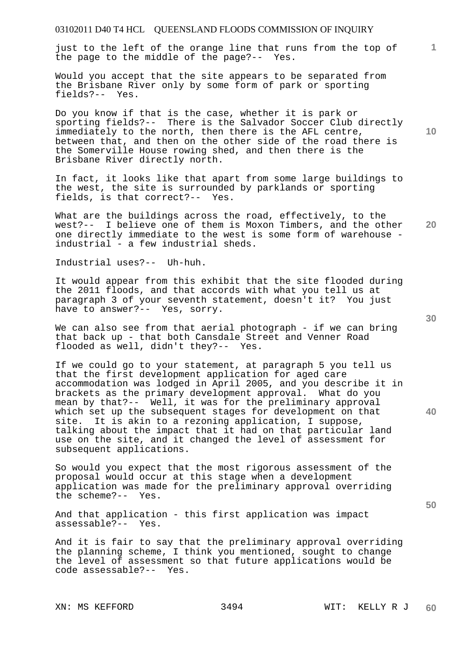just to the left of the orange line that runs from the top of the page to the middle of the page?-- Yes.

Would you accept that the site appears to be separated from the Brisbane River only by some form of park or sporting fields?-- Yes.

Do you know if that is the case, whether it is park or sporting fields?-- There is the Salvador Soccer Club directly immediately to the north, then there is the AFL centre, between that, and then on the other side of the road there is the Somerville House rowing shed, and then there is the Brisbane River directly north.

In fact, it looks like that apart from some large buildings to the west, the site is surrounded by parklands or sporting fields, is that correct?-- Yes.

**20**  What are the buildings across the road, effectively, to the west?-- I believe one of them is Moxon Timbers, and the other one directly immediate to the west is some form of warehouse industrial - a few industrial sheds.

Industrial uses?-- Uh-huh.

It would appear from this exhibit that the site flooded during the 2011 floods, and that accords with what you tell us at paragraph 3 of your seventh statement, doesn't it? You just have to answer?-- Yes, sorry.

We can also see from that aerial photograph - if we can bring that back up - that both Cansdale Street and Venner Road flooded as well, didn't they?-- Yes.

If we could go to your statement, at paragraph 5 you tell us that the first development application for aged care accommodation was lodged in April 2005, and you describe it in brackets as the primary development approval. What do you mean by that?-- Well, it was for the preliminary approval which set up the subsequent stages for development on that site. It is akin to a rezoning application, I suppose, talking about the impact that it had on that particular land use on the site, and it changed the level of assessment for subsequent applications.

So would you expect that the most rigorous assessment of the proposal would occur at this stage when a development application was made for the preliminary approval overriding the scheme?-- Yes.

And that application - this first application was impact assessable?-- Yes.

And it is fair to say that the preliminary approval overriding the planning scheme, I think you mentioned, sought to change the level of assessment so that future applications would be code assessable?-- Yes.

**10** 

**1**

**30** 



**40**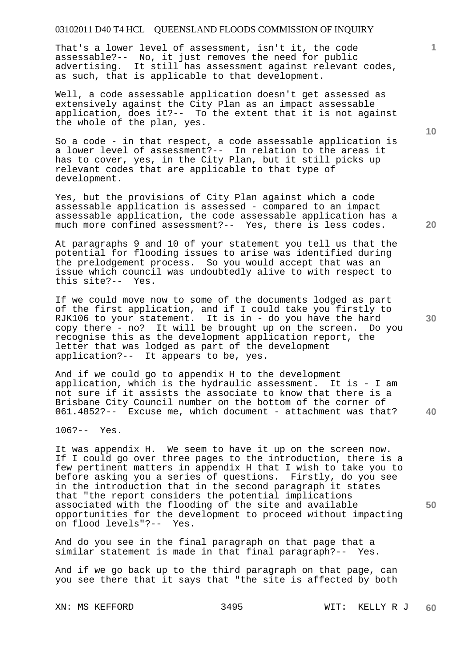That's a lower level of assessment, isn't it, the code assessable?-- No, it just removes the need for public advertising. It still has assessment against relevant codes, as such, that is applicable to that development.

Well, a code assessable application doesn't get assessed as extensively against the City Plan as an impact assessable application, does it?-- To the extent that it is not against the whole of the plan, yes.

So a code - in that respect, a code assessable application is a lower level of assessment?-- In relation to the areas it has to cover, yes, in the City Plan, but it still picks up relevant codes that are applicable to that type of development.

Yes, but the provisions of City Plan against which a code assessable application is assessed - compared to an impact assessable application, the code assessable application has a much more confined assessment?-- Yes, there is less codes.

At paragraphs 9 and 10 of your statement you tell us that the potential for flooding issues to arise was identified during the prelodgement process. So you would accept that was an issue which council was undoubtedly alive to with respect to this site?-- Yes.

If we could move now to some of the documents lodged as part of the first application, and if I could take you firstly to RJK106 to your statement. It is in - do you have the hard copy there - no? It will be brought up on the screen. Do you recognise this as the development application report, the letter that was lodged as part of the development application?-- It appears to be, yes.

And if we could go to appendix H to the development application, which is the hydraulic assessment. It is - I am not sure if it assists the associate to know that there is a Brisbane City Council number on the bottom of the corner of 061.4852?-- Excuse me, which document - attachment was that?

106?-- Yes.

It was appendix H. We seem to have it up on the screen now. If I could go over three pages to the introduction, there is a few pertinent matters in appendix H that I wish to take you to before asking you a series of questions. Firstly, do you see in the introduction that in the second paragraph it states that "the report considers the potential implications associated with the flooding of the site and available opportunities for the development to proceed without impacting on flood levels"?-- Yes.

And do you see in the final paragraph on that page that a similar statement is made in that final paragraph?-- Yes.

And if we go back up to the third paragraph on that page, can you see there that it says that "the site is affected by both

**10** 

**20** 

**1**

**30** 

**40**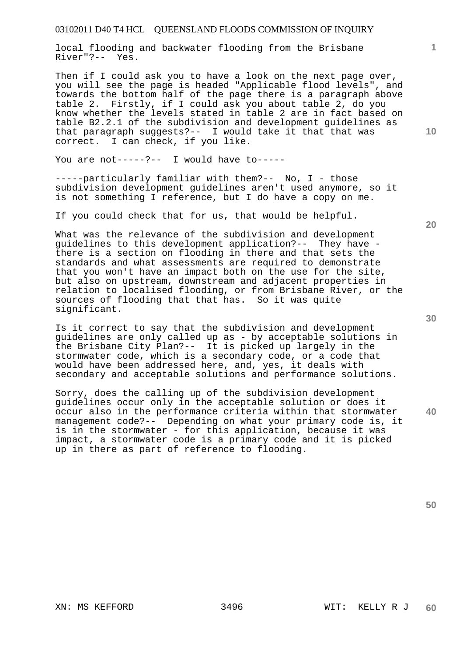local flooding and backwater flooding from the Brisbane River"?-- Yes.

Then if I could ask you to have a look on the next page over, you will see the page is headed "Applicable flood levels", and towards the bottom half of the page there is a paragraph above table 2. Firstly, if I could ask you about table 2, do you know whether the levels stated in table 2 are in fact based on table B2.2.1 of the subdivision and development guidelines as that paragraph suggests?-- I would take it that that was correct. I can check, if you like.

You are not-----?-- I would have to-----

-----particularly familiar with them?-- No, I - those subdivision development guidelines aren't used anymore, so it is not something I reference, but I do have a copy on me.

If you could check that for us, that would be helpful.

What was the relevance of the subdivision and development guidelines to this development application?-- They have there is a section on flooding in there and that sets the standards and what assessments are required to demonstrate that you won't have an impact both on the use for the site, but also on upstream, downstream and adjacent properties in relation to localised flooding, or from Brisbane River, or the sources of flooding that that has. So it was quite significant.

Is it correct to say that the subdivision and development guidelines are only called up as - by acceptable solutions in the Brisbane City Plan?-- It is picked up largely in the stormwater code, which is a secondary code, or a code that would have been addressed here, and, yes, it deals with secondary and acceptable solutions and performance solutions.

**40**  Sorry, does the calling up of the subdivision development guidelines occur only in the acceptable solution or does it occur also in the performance criteria within that stormwater management code?-- Depending on what your primary code is, it is in the stormwater - for this application, because it was impact, a stormwater code is a primary code and it is picked up in there as part of reference to flooding.

**20** 

**1**

**10**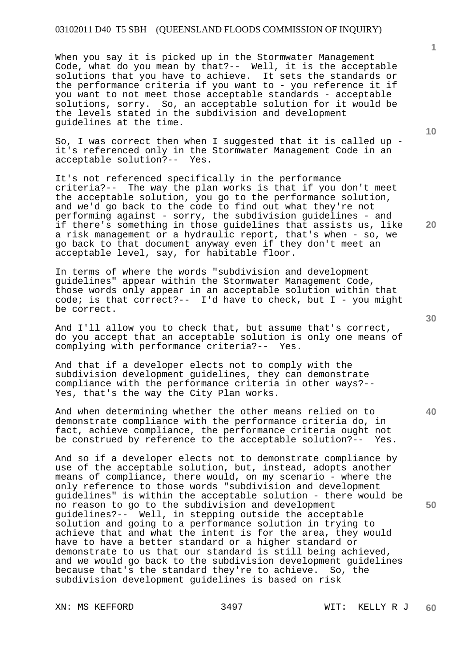When you say it is picked up in the Stormwater Management Code, what do you mean by that?-- Well, it is the acceptable solutions that you have to achieve. It sets the standards or the performance criteria if you want to - you reference it if you want to not meet those acceptable standards - acceptable solutions, sorry. So, an acceptable solution for it would be the levels stated in the subdivision and development guidelines at the time.

So, I was correct then when I suggested that it is called up  $$ it's referenced only in the Stormwater Management Code in an acceptable solution?-- Yes.

It's not referenced specifically in the performance criteria?-- The way the plan works is that if you don't meet the acceptable solution, you go to the performance solution, and we'd go back to the code to find out what they're not performing against - sorry, the subdivision guidelines - and if there's something in those guidelines that assists us, like a risk management or a hydraulic report, that's when - so, we go back to that document anyway even if they don't meet an acceptable level, say, for habitable floor.

In terms of where the words "subdivision and development guidelines" appear within the Stormwater Management Code, those words only appear in an acceptable solution within that code; is that correct?-- I'd have to check, but  $I$  - you might be correct.

And I'll allow you to check that, but assume that's correct, do you accept that an acceptable solution is only one means of complying with performance criteria?-- Yes.

And that if a developer elects not to comply with the subdivision development guidelines, they can demonstrate compliance with the performance criteria in other ways?-- Yes, that's the way the City Plan works.

And when determining whether the other means relied on to demonstrate compliance with the performance criteria do, in fact, achieve compliance, the performance criteria ought not be construed by reference to the acceptable solution?-- Yes.

And so if a developer elects not to demonstrate compliance by use of the acceptable solution, but, instead, adopts another means of compliance, there would, on my scenario - where the only reference to those words "subdivision and development guidelines" is within the acceptable solution - there would be no reason to go to the subdivision and development guidelines?-- Well, in stepping outside the acceptable solution and going to a performance solution in trying to achieve that and what the intent is for the area, they would have to have a better standard or a higher standard or demonstrate to us that our standard is still being achieved, and we would go back to the subdivision development guidelines because that's the standard they're to achieve. So, the subdivision development guidelines is based on risk

**10** 

**1**

**20** 

**30**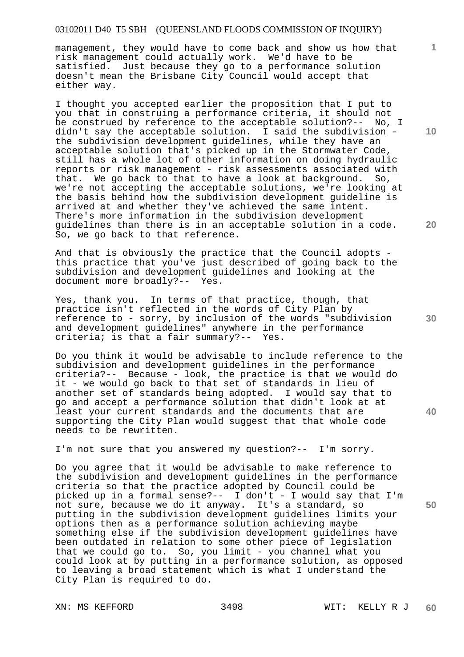management, they would have to come back and show us how that risk management could actually work. We'd have to be satisfied. Just because they go to a performance solution doesn't mean the Brisbane City Council would accept that either way.

I thought you accepted earlier the proposition that I put to you that in construing a performance criteria, it should not be construed by reference to the acceptable solution?-- No, I didn't say the acceptable solution. I said the subdivision the subdivision development guidelines, while they have an acceptable solution that's picked up in the Stormwater Code, still has a whole lot of other information on doing hydraulic reports or risk management - risk assessments associated with that. We go back to that to have a look at background. So, we're not accepting the acceptable solutions, we're looking at the basis behind how the subdivision development guideline is arrived at and whether they've achieved the same intent. There's more information in the subdivision development guidelines than there is in an acceptable solution in a code. So, we go back to that reference.

And that is obviously the practice that the Council adopts this practice that you've just described of going back to the subdivision and development guidelines and looking at the document more broadly?-- Yes.

Yes, thank you. In terms of that practice, though, that practice isn't reflected in the words of City Plan by reference to - sorry, by inclusion of the words "subdivision and development guidelines" anywhere in the performance criteria; is that a fair summary?-- Yes.

Do you think it would be advisable to include reference to the subdivision and development guidelines in the performance criteria?-- Because - look, the practice is that we would do it - we would go back to that set of standards in lieu of another set of standards being adopted. I would say that to go and accept a performance solution that didn't look at at least your current standards and the documents that are supporting the City Plan would suggest that that whole code needs to be rewritten.

I'm not sure that you answered my question?-- I'm sorry.

Do you agree that it would be advisable to make reference to the subdivision and development guidelines in the performance criteria so that the practice adopted by Council could be picked up in a formal sense?-- I don't - I would say that I'm not sure, because we do it anyway. It's a standard, so putting in the subdivision development guidelines limits your options then as a performance solution achieving maybe something else if the subdivision development guidelines have been outdated in relation to some other piece of legislation that we could go to. So, you limit - you channel what you could look at by putting in a performance solution, as opposed to leaving a broad statement which is what I understand the City Plan is required to do.

**10** 

**1**

**30** 

**20** 



**40**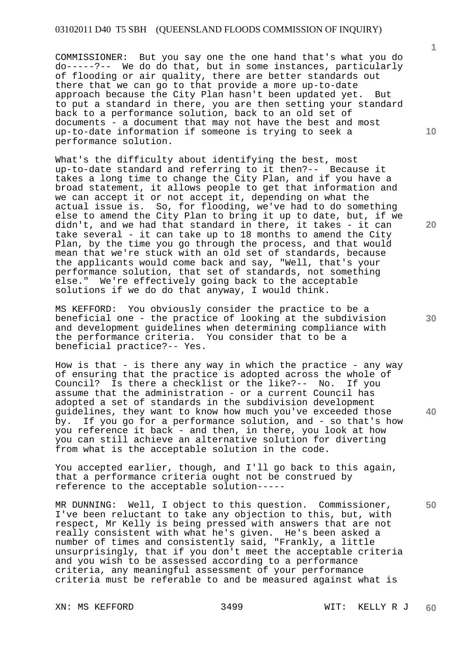COMMISSIONER: But you say one the one hand that's what you do do-----?-- We do do that, but in some instances, particularly of flooding or air quality, there are better standards out there that we can go to that provide a more up-to-date approach because the City Plan hasn't been updated yet. But to put a standard in there, you are then setting your standard back to a performance solution, back to an old set of documents - a document that may not have the best and most up-to-date information if someone is trying to seek a performance solution.

What's the difficulty about identifying the best, most up-to-date standard and referring to it then?-- Because it takes a long time to change the City Plan, and if you have a broad statement, it allows people to get that information and we can accept it or not accept it, depending on what the actual issue is. So, for flooding, we've had to do something else to amend the City Plan to bring it up to date, but, if we didn't, and we had that standard in there, it takes - it can take several - it can take up to 18 months to amend the City Plan, by the time you go through the process, and that would mean that we're stuck with an old set of standards, because the applicants would come back and say, "Well, that's your performance solution, that set of standards, not something else." We're effectively going back to the acceptable solutions if we do do that anyway, I would think.

MS KEFFORD: You obviously consider the practice to be a beneficial one - the practice of looking at the subdivision and development guidelines when determining compliance with the performance criteria. You consider that to be a beneficial practice?-- Yes.

How is that - is there any way in which the practice - any way of ensuring that the practice is adopted across the whole of Council? Is there a checklist or the like?-- No. If you assume that the administration - or a current Council has adopted a set of standards in the subdivision development guidelines, they want to know how much you've exceeded those by. If you go for a performance solution, and - so that's how you reference it back - and then, in there, you look at how you can still achieve an alternative solution for diverting from what is the acceptable solution in the code.

You accepted earlier, though, and I'll go back to this again, that a performance criteria ought not be construed by reference to the acceptable solution-----

MR DUNNING: Well, I object to this question. Commissioner, I've been reluctant to take any objection to this, but, with respect, Mr Kelly is being pressed with answers that are not really consistent with what he's given. He's been asked a number of times and consistently said, "Frankly, a little unsurprisingly, that if you don't meet the acceptable criteria and you wish to be assessed according to a performance criteria, any meaningful assessment of your performance criteria must be referable to and be measured against what is

**10** 

**1**

**20** 

**30** 

**40**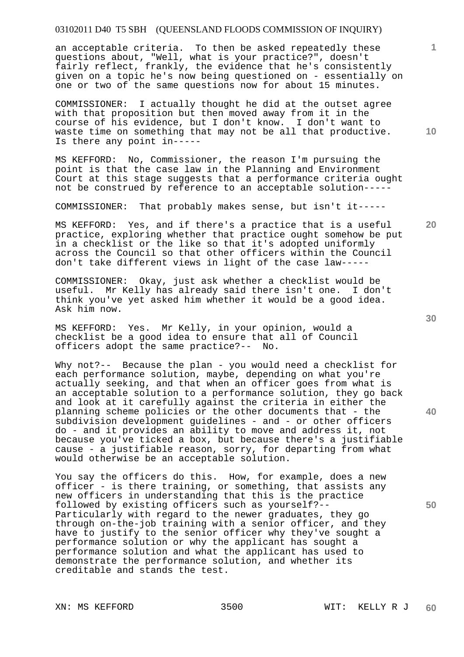an acceptable criteria. To then be asked repeatedly these questions about, "Well, what is your practice?", doesn't fairly reflect, frankly, the evidence that he's consistently given on a topic he's now being questioned on - essentially on one or two of the same questions now for about 15 minutes.

COMMISSIONER: I actually thought he did at the outset agree with that proposition but then moved away from it in the course of his evidence, but I don't know. I don't want to waste time on something that may not be all that productive. Is there any point in-----

MS KEFFORD: No, Commissioner, the reason I'm pursuing the point is that the case law in the Planning and Environment Court at this stage suggests that a performance criteria ought not be construed by reference to an acceptable solution-----

COMMISSIONER: That probably makes sense, but isn't it-----

MS KEFFORD: Yes, and if there's a practice that is a useful practice, exploring whether that practice ought somehow be put in a checklist or the like so that it's adopted uniformly across the Council so that other officers within the Council don't take different views in light of the case law-----

COMMISSIONER: Okay, just ask whether a checklist would be useful. Mr Kelly has already said there isn't one. I don't think you've yet asked him whether it would be a good idea. Ask him now.

MS KEFFORD: Yes. Mr Kelly, in your opinion, would a checklist be a good idea to ensure that all of Council officers adopt the same practice?-- No.

Why not?-- Because the plan - you would need a checklist for each performance solution, maybe, depending on what you're actually seeking, and that when an officer goes from what is an acceptable solution to a performance solution, they go back and look at it carefully against the criteria in either the planning scheme policies or the other documents that - the subdivision development guidelines - and - or other officers do - and it provides an ability to move and address it, not because you've ticked a box, but because there's a justifiable cause - a justifiable reason, sorry, for departing from what would otherwise be an acceptable solution.

You say the officers do this. How, for example, does a new officer - is there training, or something, that assists any new officers in understanding that this is the practice followed by existing officers such as yourself?-- Particularly with regard to the newer graduates, they go through on-the-job training with a senior officer, and they have to justify to the senior officer why they've sought a performance solution or why the applicant has sought a performance solution and what the applicant has used to demonstrate the performance solution, and whether its creditable and stands the test.

**10** 

**20** 

**1**

**30** 

**40**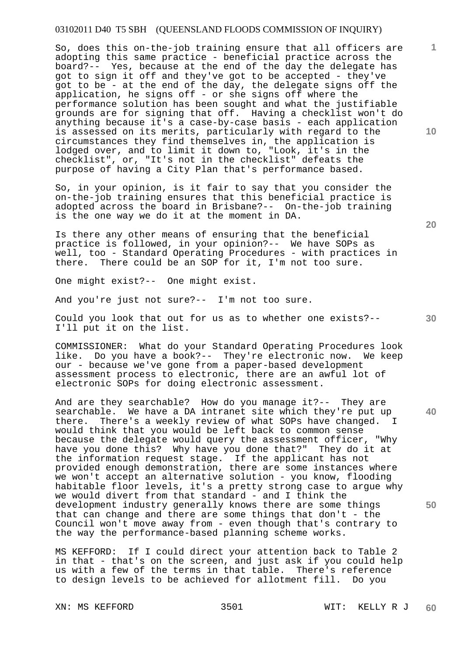So, does this on-the-job training ensure that all officers are adopting this same practice - beneficial practice across the board?-- Yes, because at the end of the day the delegate has got to sign it off and they've got to be accepted - they've got to be - at the end of the day, the delegate signs off the application, he signs off - or she signs off where the performance solution has been sought and what the justifiable grounds are for signing that off. Having a checklist won't do anything because it's a case-by-case basis - each application is assessed on its merits, particularly with regard to the circumstances they find themselves in, the application is lodged over, and to limit it down to, "Look, it's in the checklist", or, "It's not in the checklist" defeats the purpose of having a City Plan that's performance based.

So, in your opinion, is it fair to say that you consider the on-the-job training ensures that this beneficial practice is adopted across the board in Brisbane?-- On-the-job training is the one way we do it at the moment in DA.

Is there any other means of ensuring that the beneficial practice is followed, in your opinion?-- We have SOPs as well, too - Standard Operating Procedures - with practices in there. There could be an SOP for it, I'm not too sure.

One might exist?-- One might exist.

And you're just not sure?-- I'm not too sure.

Could you look that out for us as to whether one exists?-- I'll put it on the list.

COMMISSIONER: What do your Standard Operating Procedures look like. Do you have a book?-- They're electronic now. We keep our - because we've gone from a paper-based development assessment process to electronic, there are an awful lot of electronic SOPs for doing electronic assessment.

And are they searchable? How do you manage it?-- They are searchable. We have a DA intranet site which they're put up there. There's a weekly review of what SOPs have changed. I would think that you would be left back to common sense because the delegate would query the assessment officer, "Why have you done this? Why have you done that?" They do it at the information request stage. If the applicant has not provided enough demonstration, there are some instances where we won't accept an alternative solution - you know, flooding habitable floor levels, it's a pretty strong case to argue why we would divert from that standard - and I think the development industry generally knows there are some things that can change and there are some things that don't - the Council won't move away from - even though that's contrary to the way the performance-based planning scheme works.

MS KEFFORD: If I could direct your attention back to Table 2 in that - that's on the screen, and just ask if you could help us with a few of the terms in that table. There's reference to design levels to be achieved for allotment fill. Do you

**20** 

**10** 

**1**

**50**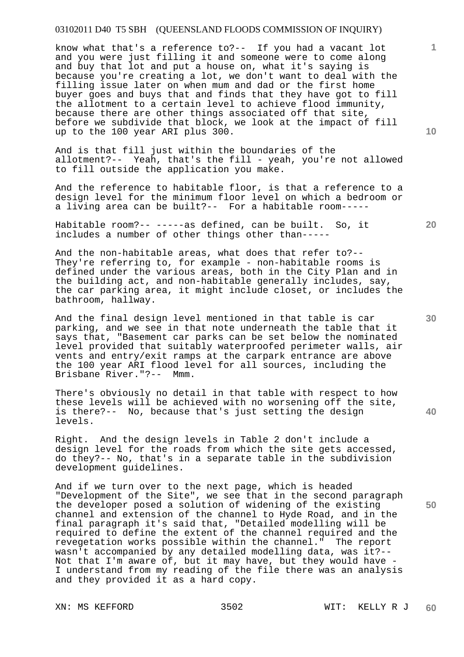know what that's a reference to?-- If you had a vacant lot and you were just filling it and someone were to come along and buy that lot and put a house on, what it's saying is because you're creating a lot, we don't want to deal with the filling issue later on when mum and dad or the first home buyer goes and buys that and finds that they have got to fill the allotment to a certain level to achieve flood immunity, because there are other things associated off that site, before we subdivide that block, we look at the impact of fill up to the 100 year ARI plus 300.

And is that fill just within the boundaries of the allotment?-- Yeah, that's the fill - yeah, you're not allowed to fill outside the application you make.

And the reference to habitable floor, is that a reference to a design level for the minimum floor level on which a bedroom or a living area can be built?-- For a habitable room-----

Habitable room?-- -----as defined, can be built. So, it includes a number of other things other than-----

And the non-habitable areas, what does that refer to?-- They're referring to, for example - non-habitable rooms is defined under the various areas, both in the City Plan and in the building act, and non-habitable generally includes, say, the car parking area, it might include closet, or includes the bathroom, hallway.

And the final design level mentioned in that table is car parking, and we see in that note underneath the table that it says that, "Basement car parks can be set below the nominated level provided that suitably waterproofed perimeter walls, air vents and entry/exit ramps at the carpark entrance are above the 100 year ARI flood level for all sources, including the Brisbane River."?-- Mmm.

There's obviously no detail in that table with respect to how these levels will be achieved with no worsening off the site, is there?-- No, because that's just setting the design levels.

Right. And the design levels in Table 2 don't include a design level for the roads from which the site gets accessed, do they?-- No, that's in a separate table in the subdivision development guidelines.

And if we turn over to the next page, which is headed "Development of the Site", we see that in the second paragraph the developer posed a solution of widening of the existing channel and extension of the channel to Hyde Road, and in the final paragraph it's said that, "Detailed modelling will be required to define the extent of the channel required and the revegetation works possible within the channel." The report wasn't accompanied by any detailed modelling data, was it?-- Not that I'm aware of, but it may have, but they would have - I understand from my reading of the file there was an analysis and they provided it as a hard copy.

**10** 

**1**

**40**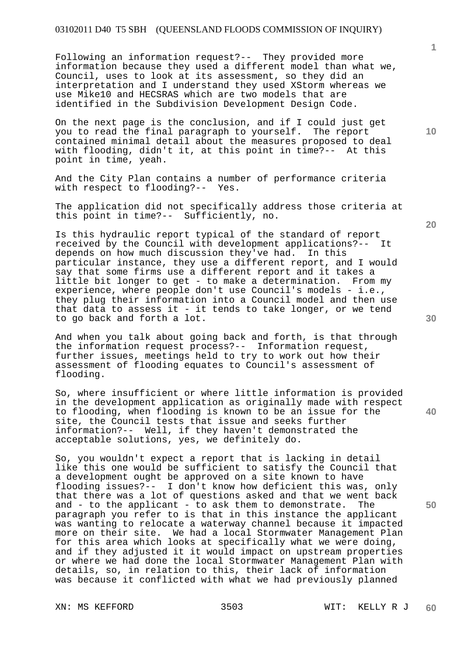Following an information request?-- They provided more information because they used a different model than what we, Council, uses to look at its assessment, so they did an interpretation and I understand they used XStorm whereas we use Mike10 and HECSRAS which are two models that are identified in the Subdivision Development Design Code.

On the next page is the conclusion, and if I could just get you to read the final paragraph to yourself. The report contained minimal detail about the measures proposed to deal with flooding, didn't it, at this point in time?-- At this point in time, yeah.

And the City Plan contains a number of performance criteria with respect to flooding?-- Yes.

The application did not specifically address those criteria at this point in time?-- Sufficiently, no.

Is this hydraulic report typical of the standard of report received by the Council with development applications?-- It depends on how much discussion they've had. In this particular instance, they use a different report, and I would say that some firms use a different report and it takes a little bit longer to get - to make a determination. From my experience, where people don't use Council's models - i.e., they plug their information into a Council model and then use that data to assess it - it tends to take longer, or we tend to go back and forth a lot.

And when you talk about going back and forth, is that through the information request process?-- Information request, further issues, meetings held to try to work out how their assessment of flooding equates to Council's assessment of flooding.

So, where insufficient or where little information is provided in the development application as originally made with respect to flooding, when flooding is known to be an issue for the site, the Council tests that issue and seeks further information?-- Well, if they haven't demonstrated the acceptable solutions, yes, we definitely do.

So, you wouldn't expect a report that is lacking in detail like this one would be sufficient to satisfy the Council that a development ought be approved on a site known to have flooding issues?-- I don't know how deficient this was, only that there was a lot of questions asked and that we went back and - to the applicant - to ask them to demonstrate. The paragraph you refer to is that in this instance the applicant was wanting to relocate a waterway channel because it impacted more on their site. We had a local Stormwater Management Plan for this area which looks at specifically what we were doing, and if they adjusted it it would impact on upstream properties or where we had done the local Stormwater Management Plan with details, so, in relation to this, their lack of information was because it conflicted with what we had previously planned

XN: MS KEFFORD 3503 WIT: KELLY R J

**20** 

**10** 

**40**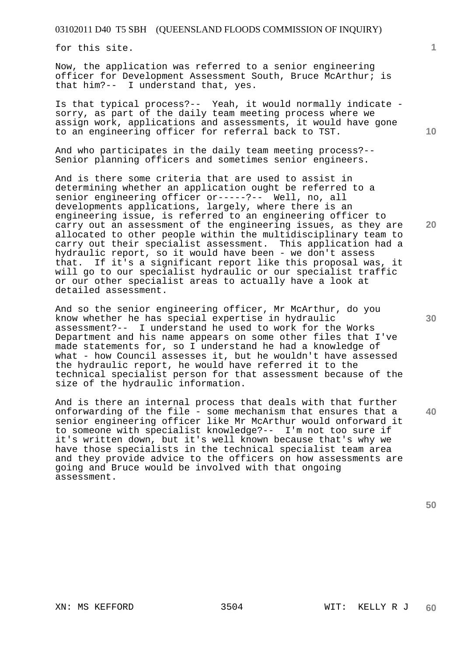for this site.

Now, the application was referred to a senior engineering officer for Development Assessment South, Bruce McArthur; is that him?-- I understand that, yes.

Is that typical process?-- Yeah, it would normally indicate sorry, as part of the daily team meeting process where we assign work, applications and assessments, it would have gone to an engineering officer for referral back to TST.

And who participates in the daily team meeting process?-- Senior planning officers and sometimes senior engineers.

And is there some criteria that are used to assist in determining whether an application ought be referred to a senior engineering officer or-----?-- Well, no, all developments applications, largely, where there is an engineering issue, is referred to an engineering officer to carry out an assessment of the engineering issues, as they are allocated to other people within the multidisciplinary team to carry out their specialist assessment. This application had a hydraulic report, so it would have been - we don't assess that. If it's a significant report like this proposal was, it will go to our specialist hydraulic or our specialist traffic or our other specialist areas to actually have a look at detailed assessment.

And so the senior engineering officer, Mr McArthur, do you know whether he has special expertise in hydraulic assessment?-- I understand he used to work for the Works Department and his name appears on some other files that I've made statements for, so I understand he had a knowledge of what - how Council assesses it, but he wouldn't have assessed the hydraulic report, he would have referred it to the technical specialist person for that assessment because of the size of the hydraulic information.

And is there an internal process that deals with that further onforwarding of the file - some mechanism that ensures that a senior engineering officer like Mr McArthur would onforward it to someone with specialist knowledge?-- I'm not too sure if it's written down, but it's well known because that's why we have those specialists in the technical specialist team area and they provide advice to the officers on how assessments are going and Bruce would be involved with that ongoing assessment.

**50** 

**10** 

**1**

**20**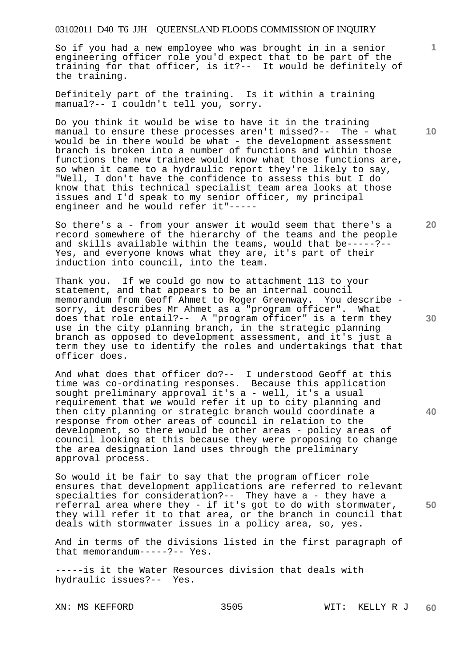So if you had a new employee who was brought in in a senior engineering officer role you'd expect that to be part of the training for that officer, is it?-- It would be definitely of the training.

Definitely part of the training. Is it within a training manual?-- I couldn't tell you, sorry.

Do you think it would be wise to have it in the training manual to ensure these processes aren't missed?-- The - what would be in there would be what - the development assessment branch is broken into a number of functions and within those functions the new trainee would know what those functions are, so when it came to a hydraulic report they're likely to say, "Well, I don't have the confidence to assess this but I do know that this technical specialist team area looks at those issues and I'd speak to my senior officer, my principal engineer and he would refer it"-----

So there's a - from your answer it would seem that there's a record somewhere of the hierarchy of the teams and the people and skills available within the teams, would that be-----?-- Yes, and everyone knows what they are, it's part of their induction into council, into the team.

Thank you. If we could go now to attachment 113 to your statement, and that appears to be an internal council memorandum from Geoff Ahmet to Roger Greenway. You describe sorry, it describes Mr Ahmet as a "program officer". What does that role entail?-- A "program officer" is a term they use in the city planning branch, in the strategic planning branch as opposed to development assessment, and it's just a term they use to identify the roles and undertakings that that officer does.

And what does that officer do?-- I understood Geoff at this time was co-ordinating responses. Because this application sought preliminary approval it's a - well, it's a usual requirement that we would refer it up to city planning and then city planning or strategic branch would coordinate a response from other areas of council in relation to the development, so there would be other areas - policy areas of council looking at this because they were proposing to change the area designation land uses through the preliminary approval process.

So would it be fair to say that the program officer role ensures that development applications are referred to relevant specialties for consideration?-- They have a - they have a referral area where they - if it's got to do with stormwater, they will refer it to that area, or the branch in council that deals with stormwater issues in a policy area, so, yes.

And in terms of the divisions listed in the first paragraph of that memorandum-----?-- Yes.

-----is it the Water Resources division that deals with hydraulic issues?-- Yes.

**10** 

**1**

**20** 

**40** 

**30**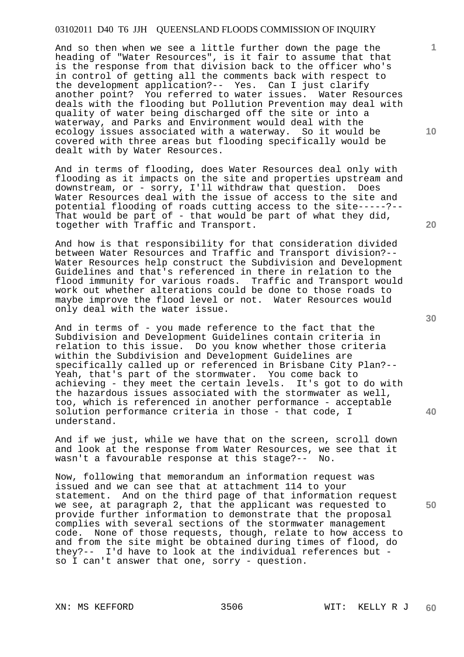And so then when we see a little further down the page the heading of "Water Resources", is it fair to assume that that is the response from that division back to the officer who's in control of getting all the comments back with respect to the development application?-- Yes. Can I just clarify another point? You referred to water issues. Water Resources deals with the flooding but Pollution Prevention may deal with quality of water being discharged off the site or into a waterway, and Parks and Environment would deal with the ecology issues associated with a waterway. So it would be covered with three areas but flooding specifically would be dealt with by Water Resources.

And in terms of flooding, does Water Resources deal only with flooding as it impacts on the site and properties upstream and downstream, or - sorry, I'll withdraw that question. Does Water Resources deal with the issue of access to the site and potential flooding of roads cutting access to the site-----?-- That would be part of - that would be part of what they did, together with Traffic and Transport.

And how is that responsibility for that consideration divided between Water Resources and Traffic and Transport division?-- Water Resources help construct the Subdivision and Development Guidelines and that's referenced in there in relation to the flood immunity for various roads. Traffic and Transport would work out whether alterations could be done to those roads to maybe improve the flood level or not. Water Resources would only deal with the water issue.

And in terms of - you made reference to the fact that the Subdivision and Development Guidelines contain criteria in relation to this issue. Do you know whether those criteria within the Subdivision and Development Guidelines are specifically called up or referenced in Brisbane City Plan?-- Yeah, that's part of the stormwater. You come back to achieving - they meet the certain levels. It's got to do with the hazardous issues associated with the stormwater as well, too, which is referenced in another performance - acceptable solution performance criteria in those - that code, I understand.

And if we just, while we have that on the screen, scroll down and look at the response from Water Resources, we see that it wasn't a favourable response at this stage?-- No.

Now, following that memorandum an information request was issued and we can see that at attachment 114 to your statement. And on the third page of that information request we see, at paragraph 2, that the applicant was requested to provide further information to demonstrate that the proposal complies with several sections of the stormwater management code. None of those requests, though, relate to how access to and from the site might be obtained during times of flood, do they?-- I'd have to look at the individual references but so I can't answer that one, sorry - question.

**20** 

**40** 

**50** 

**30** 

**10**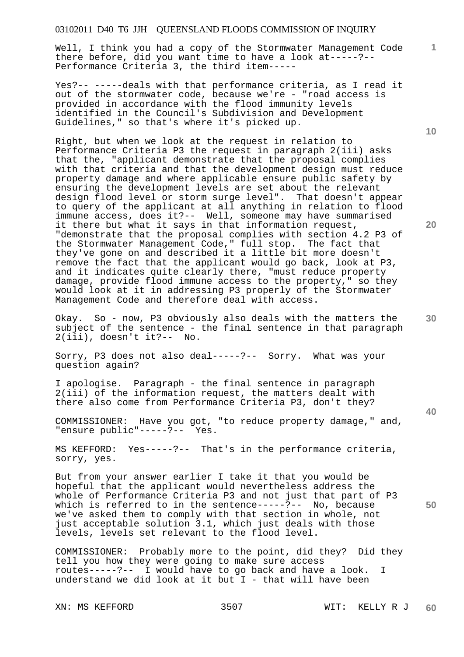Well, I think you had a copy of the Stormwater Management Code there before, did you want time to have a look at-----?-- Performance Criteria 3, the third item-----

Yes?-- -----deals with that performance criteria, as I read it out of the stormwater code, because we're - "road access is provided in accordance with the flood immunity levels identified in the Council's Subdivision and Development Guidelines," so that's where it's picked up.

Right, but when we look at the request in relation to Performance Criteria P3 the request in paragraph 2(iii) asks that the, "applicant demonstrate that the proposal complies with that criteria and that the development design must reduce property damage and where applicable ensure public safety by ensuring the development levels are set about the relevant design flood level or storm surge level". That doesn't appear to query of the applicant at all anything in relation to flood immune access, does it?-- Well, someone may have summarised it there but what it says in that information request, "demonstrate that the proposal complies with section 4.2 P3 of the Stormwater Management Code," full stop. The fact that they've gone on and described it a little bit more doesn't remove the fact that the applicant would go back, look at P3, and it indicates quite clearly there, "must reduce property damage, provide flood immune access to the property," so they would look at it in addressing P3 properly of the Stormwater Management Code and therefore deal with access.

Okay. So - now, P3 obviously also deals with the matters the subject of the sentence - the final sentence in that paragraph 2(iii), doesn't it?-- No.

Sorry, P3 does not also deal-----?-- Sorry. What was your question again?

I apologise. Paragraph - the final sentence in paragraph 2(iii) of the information request, the matters dealt with there also come from Performance Criteria P3, don't they?

COMMISSIONER: Have you got, "to reduce property damage," and, "ensure public"-----?-- Yes.

MS KEFFORD: Yes-----?-- That's in the performance criteria, sorry, yes.

But from your answer earlier I take it that you would be hopeful that the applicant would nevertheless address the whole of Performance Criteria P3 and not just that part of P3 which is referred to in the sentence-----?-- No, because we've asked them to comply with that section in whole, not just acceptable solution 3.1, which just deals with those levels, levels set relevant to the flood level.

COMMISSIONER: Probably more to the point, did they? Did they tell you how they were going to make sure access routes-----?-- I would have to go back and have a look. I understand we did look at it but I - that will have been

**10** 

**1**

**30** 

**20** 

**40**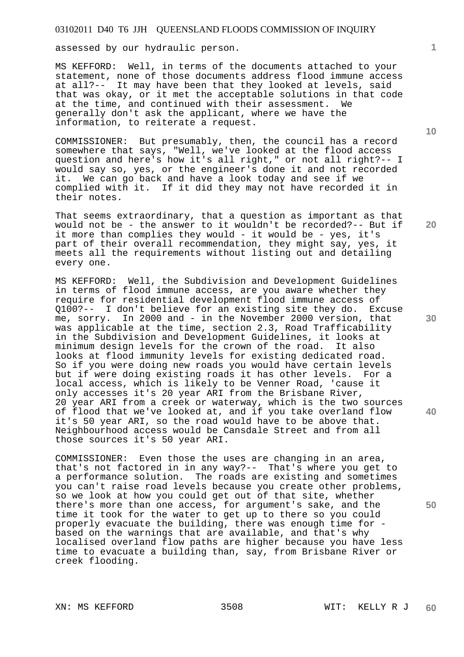assessed by our hydraulic person.

MS KEFFORD: Well, in terms of the documents attached to your statement, none of those documents address flood immune access at all?-- It may have been that they looked at levels, said that was okay, or it met the acceptable solutions in that code at the time, and continued with their assessment. We generally don't ask the applicant, where we have the information, to reiterate a request.

COMMISSIONER: But presumably, then, the council has a record somewhere that says, "Well, we've looked at the flood access question and here's how it's all right," or not all right?-- I would say so, yes, or the engineer's done it and not recorded it. We can go back and have a look today and see if we complied with it. If it did they may not have recorded it in their notes.

That seems extraordinary, that a question as important as that would not be - the answer to it wouldn't be recorded?-- But if it more than complies they would - it would be - yes, it's part of their overall recommendation, they might say, yes, it meets all the requirements without listing out and detailing every one.

MS KEFFORD: Well, the Subdivision and Development Guidelines in terms of flood immune access, are you aware whether they require for residential development flood immune access of Q100?-- I don't believe for an existing site they do. Excuse me, sorry. In 2000 and - in the November 2000 version, that was applicable at the time, section 2.3, Road Trafficability in the Subdivision and Development Guidelines, it looks at minimum design levels for the crown of the road. It also minimum design levels for the crown of the road. looks at flood immunity levels for existing dedicated road. So if you were doing new roads you would have certain levels but if were doing existing roads it has other levels. For a local access, which is likely to be Venner Road, 'cause it only accesses it's 20 year ARI from the Brisbane River, 20 year ARI from a creek or waterway, which is the two sources of flood that we've looked at, and if you take overland flow it's 50 year ARI, so the road would have to be above that. Neighbourhood access would be Cansdale Street and from all those sources it's 50 year ARI.

COMMISSIONER: Even those the uses are changing in an area, that's not factored in in any way?-- That's where you get to a performance solution. The roads are existing and sometimes you can't raise road levels because you create other problems, so we look at how you could get out of that site, whether there's more than one access, for argument's sake, and the time it took for the water to get up to there so you could properly evacuate the building, there was enough time for based on the warnings that are available, and that's why localised overland flow paths are higher because you have less time to evacuate a building than, say, from Brisbane River or creek flooding.

**1**

**20** 

**30** 

**40**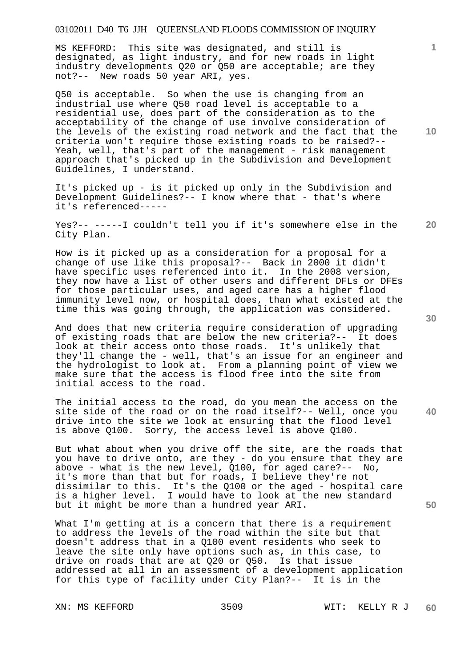MS KEFFORD: This site was designated, and still is designated, as light industry, and for new roads in light industry developments Q20 or Q50 are acceptable; are they not?-- New roads 50 year ARI, yes.

Q50 is acceptable. So when the use is changing from an industrial use where Q50 road level is acceptable to a residential use, does part of the consideration as to the acceptability of the change of use involve consideration of the levels of the existing road network and the fact that the criteria won't require those existing roads to be raised?-- Yeah, well, that's part of the management - risk management approach that's picked up in the Subdivision and Development Guidelines, I understand.

It's picked up - is it picked up only in the Subdivision and Development Guidelines?-- I know where that - that's where it's referenced-----

**20**  Yes?-- -----I couldn't tell you if it's somewhere else in the City Plan.

How is it picked up as a consideration for a proposal for a change of use like this proposal?-- Back in 2000 it didn't have specific uses referenced into it. In the 2008 version, they now have a list of other users and different DFLs or DFEs for those particular uses, and aged care has a higher flood immunity level now, or hospital does, than what existed at the time this was going through, the application was considered.

And does that new criteria require consideration of upgrading of existing roads that are below the new criteria?-- It does look at their access onto those roads. It's unlikely that they'll change the - well, that's an issue for an engineer and the hydrologist to look at. From a planning point of view we make sure that the access is flood free into the site from initial access to the road.

The initial access to the road, do you mean the access on the site side of the road or on the road itself?-- Well, once you drive into the site we look at ensuring that the flood level is above Q100. Sorry, the access level is above Q100.

But what about when you drive off the site, are the roads that you have to drive onto, are they - do you ensure that they are above - what is the new level, Q100, for aged care?-- No, it's more than that but for roads, I believe they're not dissimilar to this. It's the Q100 or the aged - hospital care is a higher level. I would have to look at the new standard but it might be more than a hundred year ARI.

What I'm getting at is a concern that there is a requirement to address the levels of the road within the site but that doesn't address that in a Q100 event residents who seek to leave the site only have options such as, in this case, to drive on roads that are at Q20 or Q50. Is that issue addressed at all in an assessment of a development application for this type of facility under City Plan?-- It is in the

**10** 

**1**

**30** 

**40**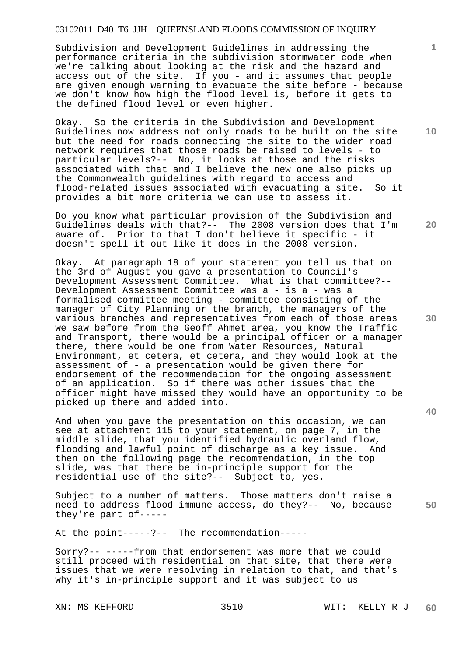Subdivision and Development Guidelines in addressing the performance criteria in the subdivision stormwater code when we're talking about looking at the risk and the hazard and access out of the site. If you - and it assumes that people are given enough warning to evacuate the site before - because we don't know how high the flood level is, before it gets to the defined flood level or even higher.

Okay. So the criteria in the Subdivision and Development Guidelines now address not only roads to be built on the site but the need for roads connecting the site to the wider road network requires that those roads be raised to levels - to particular levels?-- No, it looks at those and the risks associated with that and I believe the new one also picks up the Commonwealth guidelines with regard to access and flood-related issues associated with evacuating a site. So it provides a bit more criteria we can use to assess it.

Do you know what particular provision of the Subdivision and Guidelines deals with that?-- The 2008 version does that I'm aware of. Prior to that I don't believe it specific - it doesn't spell it out like it does in the 2008 version.

Okay. At paragraph 18 of your statement you tell us that on the 3rd of August you gave a presentation to Council's Development Assessment Committee. What is that committee?-- Development Assessment Committee was a - is a - was a formalised committee meeting - committee consisting of the manager of City Planning or the branch, the managers of the various branches and representatives from each of those areas we saw before from the Geoff Ahmet area, you know the Traffic and Transport, there would be a principal officer or a manager there, there would be one from Water Resources, Natural Environment, et cetera, et cetera, and they would look at the assessment of - a presentation would be given there for endorsement of the recommendation for the ongoing assessment of an application. So if there was other issues that the officer might have missed they would have an opportunity to be picked up there and added into.

And when you gave the presentation on this occasion, we can see at attachment 115 to your statement, on page 7, in the middle slide, that you identified hydraulic overland flow, flooding and lawful point of discharge as a key issue. And then on the following page the recommendation, in the top slide, was that there be in-principle support for the residential use of the site?-- Subject to, yes.

Subject to a number of matters. Those matters don't raise a need to address flood immune access, do they?-- No, because they're part of-----

At the point-----?-- The recommendation-----

Sorry?-- -----from that endorsement was more that we could still proceed with residential on that site, that there were issues that we were resolving in relation to that, and that's why it's in-principle support and it was subject to us

**1**

**20** 

**10** 

**30** 

**40**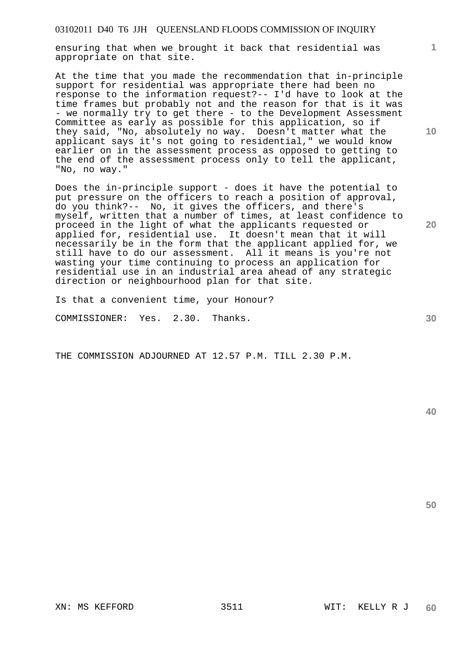ensuring that when we brought it back that residential was appropriate on that site.

At the time that you made the recommendation that in-principle support for residential was appropriate there had been no response to the information request?-- I'd have to look at the time frames but probably not and the reason for that is it was - we normally try to get there - to the Development Assessment Committee as early as possible for this application, so if they said, "No, absolutely no way. Doesn't matter what the applicant says it's not going to residential," we would know earlier on in the assessment process as opposed to getting to the end of the assessment process only to tell the applicant, "No, no way."

Does the in-principle support - does it have the potential to put pressure on the officers to reach a position of approval, do you think?-- No, it gives the officers, and there's myself, written that a number of times, at least confidence to proceed in the light of what the applicants requested or applied for, residential use. It doesn't mean that it will necessarily be in the form that the applicant applied for, we still have to do our assessment. All it means is you're not wasting your time continuing to process an application for residential use in an industrial area ahead of any strategic direction or neighbourhood plan for that site.

Is that a convenient time, your Honour?

COMMISSIONER: Yes. 2.30. Thanks.

THE COMMISSION ADJOURNED AT 12.57 P.M. TILL 2.30 P.M.

**40** 

**50** 

**1**

**20** 

**10**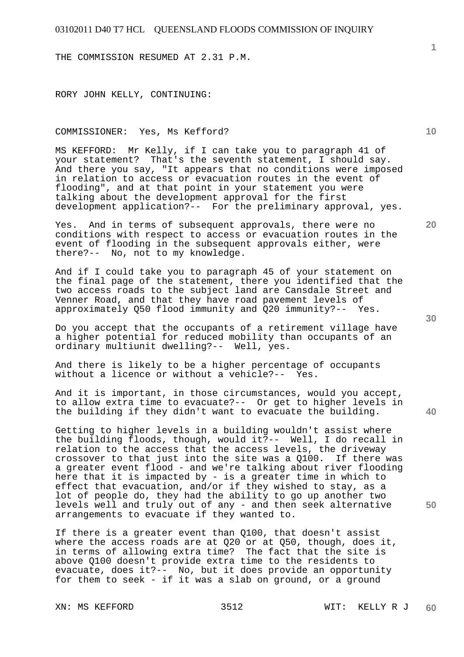THE COMMISSION RESUMED AT 2.31 P.M.

RORY JOHN KELLY, CONTINUING:

#### COMMISSIONER: Yes, Ms Kefford?

MS KEFFORD: Mr Kelly, if I can take you to paragraph 41 of your statement? That's the seventh statement, I should say. And there you say, "It appears that no conditions were imposed in relation to access or evacuation routes in the event of flooding", and at that point in your statement you were talking about the development approval for the first development application?-- For the preliminary approval, yes.

Yes. And in terms of subsequent approvals, there were no conditions with respect to access or evacuation routes in the event of flooding in the subsequent approvals either, were there?-- No, not to my knowledge.

And if I could take you to paragraph 45 of your statement on the final page of the statement, there you identified that the two access roads to the subject land are Cansdale Street and Venner Road, and that they have road pavement levels of approximately Q50 flood immunity and Q20 immunity?-- Yes.

Do you accept that the occupants of a retirement village have a higher potential for reduced mobility than occupants of an ordinary multiunit dwelling?-- Well, yes.

And there is likely to be a higher percentage of occupants without a licence or without a vehicle?-- Yes.

And it is important, in those circumstances, would you accept, to allow extra time to evacuate?-- Or get to higher levels in the building if they didn't want to evacuate the building.

Getting to higher levels in a building wouldn't assist where the building floods, though, would it?-- Well, I do recall in relation to the access that the access levels, the driveway crossover to that just into the site was a Q100. If there was a greater event flood - and we're talking about river flooding here that it is impacted by - is a greater time in which to effect that evacuation, and/or if they wished to stay, as a lot of people do, they had the ability to go up another two levels well and truly out of any - and then seek alternative arrangements to evacuate if they wanted to.

If there is a greater event than Q100, that doesn't assist where the access roads are at Q20 or at Q50, though, does it, in terms of allowing extra time? The fact that the site is above Q100 doesn't provide extra time to the residents to evacuate, does it?-- No, but it does provide an opportunity for them to seek - if it was a slab on ground, or a ground

**20** 

**40** 

**50** 

**30** 

**10**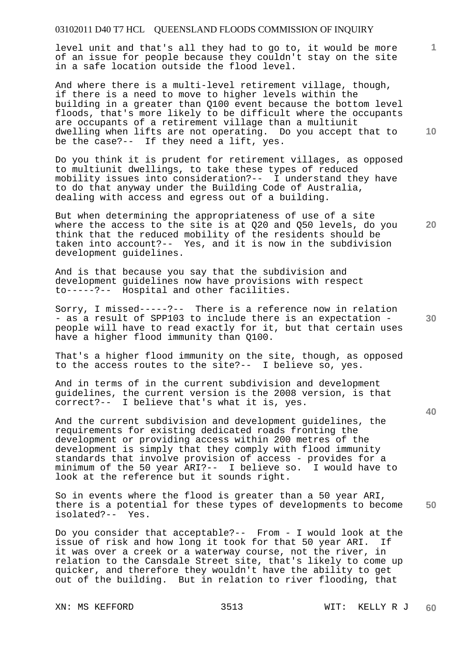level unit and that's all they had to go to, it would be more of an issue for people because they couldn't stay on the site in a safe location outside the flood level.

And where there is a multi-level retirement village, though, if there is a need to move to higher levels within the building in a greater than Q100 event because the bottom level floods, that's more likely to be difficult where the occupants are occupants of a retirement village than a multiunit dwelling when lifts are not operating. Do you accept that to be the case?-- If they need a lift, yes.

Do you think it is prudent for retirement villages, as opposed to multiunit dwellings, to take these types of reduced mobility issues into consideration?-- I understand they have to do that anyway under the Building Code of Australia, dealing with access and egress out of a building.

But when determining the appropriateness of use of a site where the access to the site is at Q20 and Q50 levels, do you think that the reduced mobility of the residents should be taken into account?-- Yes, and it is now in the subdivision development guidelines.

And is that because you say that the subdivision and development guidelines now have provisions with respect to-----?-- Hospital and other facilities.

Sorry, I missed-----?-- There is a reference now in relation - as a result of SPP103 to include there is an expectation people will have to read exactly for it, but that certain uses have a higher flood immunity than Q100.

That's a higher flood immunity on the site, though, as opposed to the access routes to the site?-- I believe so, yes.

And in terms of in the current subdivision and development guidelines, the current version is the 2008 version, is that correct?-- I believe that's what it is, yes.

And the current subdivision and development guidelines, the requirements for existing dedicated roads fronting the development or providing access within 200 metres of the development is simply that they comply with flood immunity standards that involve provision of access - provides for a minimum of the 50 year ARI?-- I believe so. I would have to look at the reference but it sounds right.

**50**  So in events where the flood is greater than a 50 year ARI, there is a potential for these types of developments to become isolated?-- Yes.

Do you consider that acceptable?-- From - I would look at the issue of risk and how long it took for that 50 year ARI. If it was over a creek or a waterway course, not the river, in relation to the Cansdale Street site, that's likely to come up quicker, and therefore they wouldn't have the ability to get out of the building. But in relation to river flooding, that

**10** 

**20** 

**1**

**30**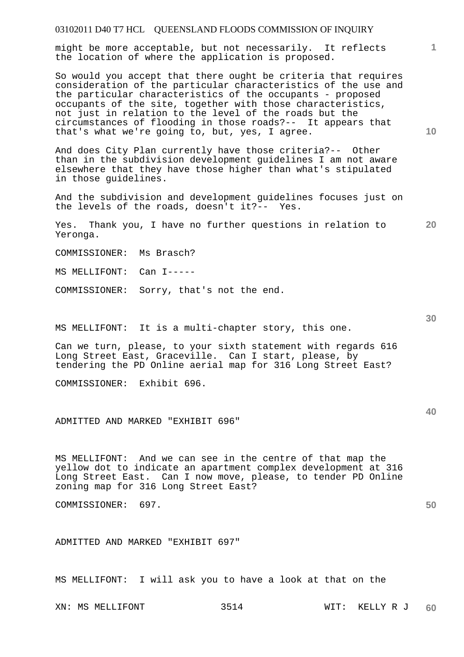might be more acceptable, but not necessarily. It reflects the location of where the application is proposed.

So would you accept that there ought be criteria that requires consideration of the particular characteristics of the use and the particular characteristics of the occupants - proposed occupants of the site, together with those characteristics, not just in relation to the level of the roads but the circumstances of flooding in those roads?-- It appears that that's what we're going to, but, yes, I agree.

And does City Plan currently have those criteria?-- Other than in the subdivision development guidelines I am not aware elsewhere that they have those higher than what's stipulated in those guidelines.

And the subdivision and development guidelines focuses just on the levels of the roads, doesn't it?-- Yes.

**20**  Yes. Thank you, I have no further questions in relation to Yeronga.

COMMISSIONER: Ms Brasch?

MS MELLIFONT: Can I-----

COMMISSIONER: Sorry, that's not the end.

MS MELLIFONT: It is a multi-chapter story, this one.

Can we turn, please, to your sixth statement with regards 616 Long Street East, Graceville. Can I start, please, by tendering the PD Online aerial map for 316 Long Street East?

COMMISSIONER: Exhibit 696.

ADMITTED AND MARKED "EXHIBIT 696"

MS MELLIFONT: And we can see in the centre of that map the yellow dot to indicate an apartment complex development at 316 Long Street East. Can I now move, please, to tender PD Online zoning map for 316 Long Street East?

COMMISSIONER: 697.

ADMITTED AND MARKED "EXHIBIT 697"

MS MELLIFONT: I will ask you to have a look at that on the

**30** 

**40** 

**50** 

**10**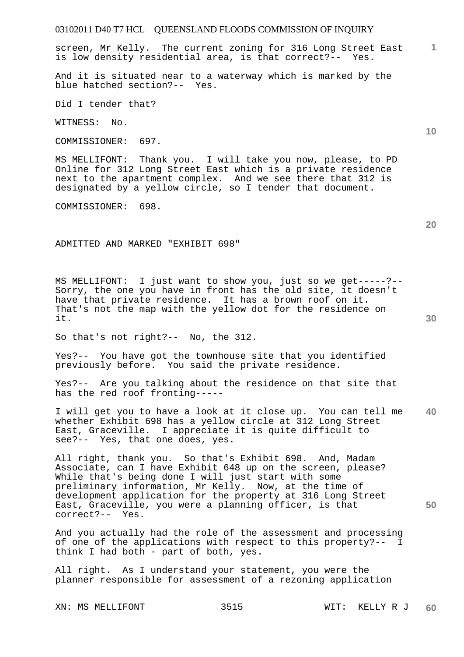screen, Mr Kelly. The current zoning for 316 Long Street East is low density residential area, is that correct?-- Yes.

And it is situated near to a waterway which is marked by the blue hatched section?-- Yes.

Did I tender that?

WITNESS: No.

COMMISSIONER: 697.

MS MELLIFONT: Thank you. I will take you now, please, to PD Online for 312 Long Street East which is a private residence next to the apartment complex. And we see there that 312 is designated by a yellow circle, so I tender that document.

COMMISSIONER: 698.

ADMITTED AND MARKED "EXHIBIT 698"

MS MELLIFONT: I just want to show you, just so we get-----?-- Sorry, the one you have in front has the old site, it doesn't have that private residence. It has a brown roof on it. That's not the map with the yellow dot for the residence on it.

So that's not right?-- No, the 312.

Yes?-- You have got the townhouse site that you identified previously before. You said the private residence.

Yes?-- Are you talking about the residence on that site that has the red roof fronting-----

**40**  I will get you to have a look at it close up. You can tell me whether Exhibit 698 has a yellow circle at 312 Long Street East, Graceville. I appreciate it is quite difficult to see?-- Yes, that one does, yes.

All right, thank you. So that's Exhibit 698. And, Madam Associate, can I have Exhibit 648 up on the screen, please? While that's being done I will just start with some preliminary information, Mr Kelly. Now, at the time of development application for the property at 316 Long Street East, Graceville, you were a planning officer, is that correct?-- Yes.

And you actually had the role of the assessment and processing of one of the applications with respect to this property?-- I think I had both - part of both, yes.

All right. As I understand your statement, you were the planner responsible for assessment of a rezoning application

XN: MS MELLIFONT 3515 WIT: KELLY R J

**20** 

**50** 

**10**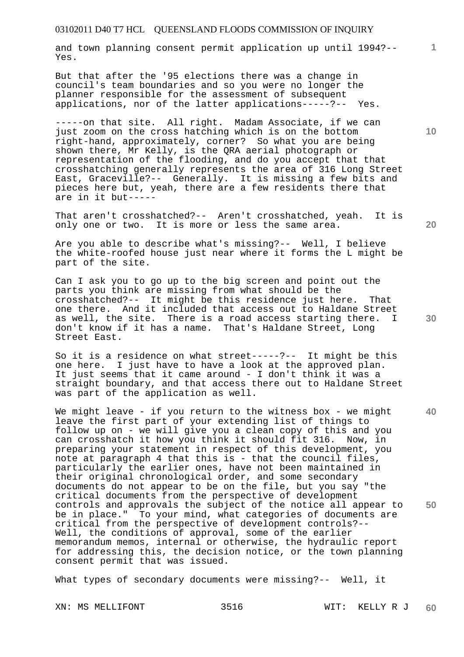and town planning consent permit application up until 1994?-- Yes.

But that after the '95 elections there was a change in council's team boundaries and so you were no longer the planner responsible for the assessment of subsequent applications, nor of the latter applications-----?-- Yes.

-----on that site. All right. Madam Associate, if we can just zoom on the cross hatching which is on the bottom right-hand, approximately, corner? So what you are being shown there, Mr Kelly, is the QRA aerial photograph or representation of the flooding, and do you accept that that crosshatching generally represents the area of 316 Long Street East, Graceville?-- Generally. It is missing a few bits and pieces here but, yeah, there are a few residents there that are in it but-----

That aren't crosshatched?-- Aren't crosshatched, yeah. It is only one or two. It is more or less the same area.

Are you able to describe what's missing?-- Well, I believe the white-roofed house just near where it forms the L might be part of the site.

Can I ask you to go up to the big screen and point out the parts you think are missing from what should be the crosshatched?-- It might be this residence just here. That one there. And it included that access out to Haldane Street as well, the site. There is a road access starting there. I don't know if it has a name. That's Haldane Street, Long Street East.

So it is a residence on what street-----?-- It might be this one here. I just have to have a look at the approved plan. It just seems that it came around - I don't think it was a straight boundary, and that access there out to Haldane Street was part of the application as well.

**40 50**  We might leave - if you return to the witness box - we might leave the first part of your extending list of things to follow up on - we will give you a clean copy of this and you can crosshatch it how you think it should fit 316. Now, in preparing your statement in respect of this development, you note at paragraph 4 that this is - that the council files, particularly the earlier ones, have not been maintained in their original chronological order, and some secondary documents do not appear to be on the file, but you say "the critical documents from the perspective of development controls and approvals the subject of the notice all appear to be in place." To your mind, what categories of documents are critical from the perspective of development controls?-- Well, the conditions of approval, some of the earlier memorandum memos, internal or otherwise, the hydraulic report for addressing this, the decision notice, or the town planning consent permit that was issued.

What types of secondary documents were missing?-- Well, it

**10** 

**1**

**30**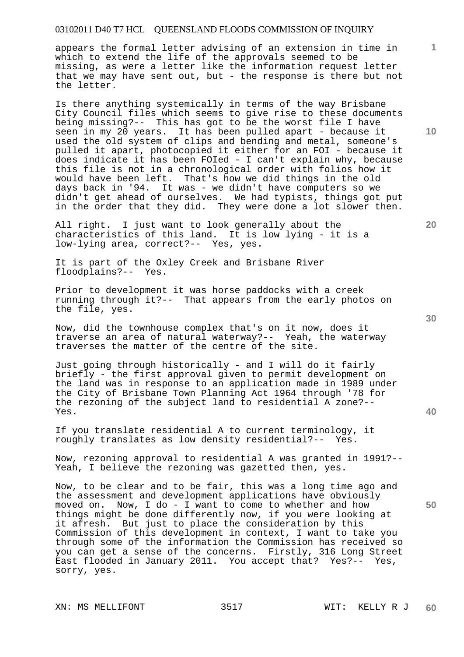appears the formal letter advising of an extension in time in which to extend the life of the approvals seemed to be missing, as were a letter like the information request letter that we may have sent out, but - the response is there but not the letter.

Is there anything systemically in terms of the way Brisbane City Council files which seems to give rise to these documents being missing?-- This has got to be the worst file I have seen in my 20 years. It has been pulled apart - because it used the old system of clips and bending and metal, someone's pulled it apart, photocopied it either for an FOI - because it does indicate it has been FOIed - I can't explain why, because this file is not in a chronological order with folios how it would have been left. That's how we did things in the old days back in '94. It was - we didn't have computers so we didn't get ahead of ourselves. We had typists, things got put in the order that they did. They were done a lot slower then.

All right. I just want to look generally about the characteristics of this land. It is low lying - it is a low-lying area, correct?-- Yes, yes.

It is part of the Oxley Creek and Brisbane River floodplains?-- Yes.

Prior to development it was horse paddocks with a creek running through it?-- That appears from the early photos on the file, yes.

Now, did the townhouse complex that's on it now, does it traverse an area of natural waterway?-- Yeah, the waterway traverses the matter of the centre of the site.

Just going through historically - and I will do it fairly briefly - the first approval given to permit development on the land was in response to an application made in 1989 under the City of Brisbane Town Planning Act 1964 through '78 for the rezoning of the subject land to residential A zone?-- Yes.

If you translate residential A to current terminology, it roughly translates as low density residential?-- Yes.

Now, rezoning approval to residential A was granted in 1991?-- Yeah, I believe the rezoning was gazetted then, yes.

Now, to be clear and to be fair, this was a long time ago and the assessment and development applications have obviously moved on. Now, I do - I want to come to whether and how things might be done differently now, if you were looking at it afresh. But just to place the consideration by this Commission of this development in context, I want to take you through some of the information the Commission has received so you can get a sense of the concerns. Firstly, 316 Long Street East flooded in January 2011. You accept that? Yes?-- Yes, sorry, yes.

XN: MS MELLIFONT 3517 WIT: KELLY R J

**10** 

**1**

**30** 

**20**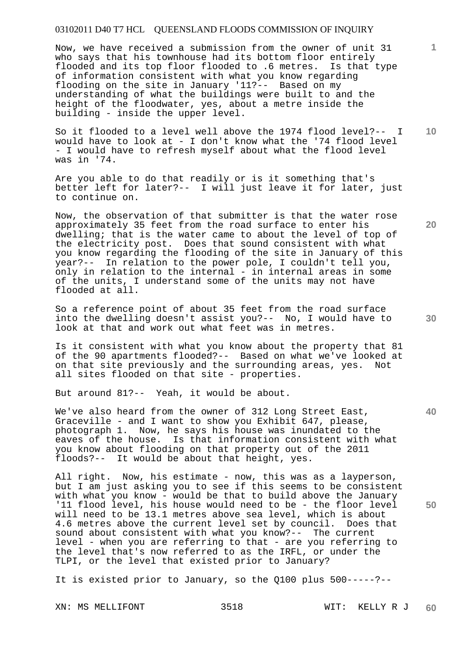Now, we have received a submission from the owner of unit 31 who says that his townhouse had its bottom floor entirely flooded and its top floor flooded to .6 metres. Is that type of information consistent with what you know regarding flooding on the site in January '11?-- Based on my understanding of what the buildings were built to and the height of the floodwater, yes, about a metre inside the building - inside the upper level.

**10**  So it flooded to a level well above the 1974 flood level?-- I would have to look at - I don't know what the '74 flood level - I would have to refresh myself about what the flood level was in '74.

Are you able to do that readily or is it something that's better left for later?-- I will just leave it for later, just to continue on.

Now, the observation of that submitter is that the water rose approximately 35 feet from the road surface to enter his dwelling; that is the water came to about the level of top of the electricity post. Does that sound consistent with what you know regarding the flooding of the site in January of this year?-- In relation to the power pole, I couldn't tell you, only in relation to the internal - in internal areas in some of the units, I understand some of the units may not have flooded at all.

So a reference point of about 35 feet from the road surface into the dwelling doesn't assist you?-- No, I would have to look at that and work out what feet was in metres.

Is it consistent with what you know about the property that 81 of the 90 apartments flooded?-- Based on what we've looked at on that site previously and the surrounding areas, yes. Not all sites flooded on that site - properties.

But around 81?-- Yeah, it would be about.

We've also heard from the owner of 312 Long Street East, Graceville - and I want to show you Exhibit 647, please, photograph 1. Now, he says his house was inundated to the eaves of the house. Is that information consistent with what you know about flooding on that property out of the 2011 floods?-- It would be about that height, yes.

All right. Now, his estimate - now, this was as a layperson, but I am just asking you to see if this seems to be consistent with what you know - would be that to build above the January '11 flood level, his house would need to be - the floor level will need to be 13.1 metres above sea level, which is about 4.6 metres above the current level set by council. Does that sound about consistent with what you know?-- The current level - when you are referring to that - are you referring to the level that's now referred to as the IRFL, or under the TLPI, or the level that existed prior to January?

It is existed prior to January, so the Q100 plus 500-----?--

**20** 

**40** 

**50**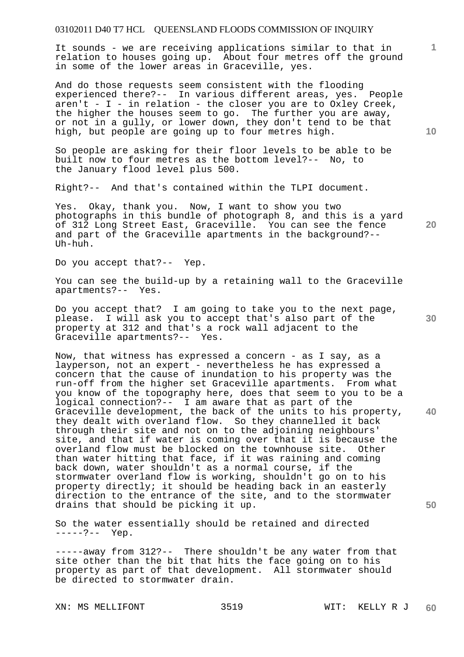It sounds - we are receiving applications similar to that in relation to houses going up. About four metres off the ground in some of the lower areas in Graceville, yes.

And do those requests seem consistent with the flooding experienced there?-- In various different areas, yes. People aren't - I - in relation - the closer you are to Oxley Creek, the higher the houses seem to go. The further you are away, or not in a gully, or lower down, they don't tend to be that high, but people are going up to four metres high.

So people are asking for their floor levels to be able to be built now to four metres as the bottom level?-- No, to the January flood level plus 500.

Right?-- And that's contained within the TLPI document.

Yes. Okay, thank you. Now, I want to show you two photographs in this bundle of photograph 8, and this is a yard of 312 Long Street East, Graceville. You can see the fence and part of the Graceville apartments in the background?-- Uh-huh.

Do you accept that?-- Yep.

You can see the build-up by a retaining wall to the Graceville apartments?-- Yes.

Do you accept that? I am going to take you to the next page, please. I will ask you to accept that's also part of the property at 312 and that's a rock wall adjacent to the Graceville apartments?-- Yes.

**40 50**  Now, that witness has expressed a concern - as I say, as a layperson, not an expert - nevertheless he has expressed a concern that the cause of inundation to his property was the run-off from the higher set Graceville apartments. From what you know of the topography here, does that seem to you to be a logical connection?-- I am aware that as part of the Graceville development, the back of the units to his property, they dealt with overland flow. So they channelled it back through their site and not on to the adjoining neighbours' site, and that if water is coming over that it is because the overland flow must be blocked on the townhouse site. Other than water hitting that face, if it was raining and coming back down, water shouldn't as a normal course, if the stormwater overland flow is working, shouldn't go on to his property directly; it should be heading back in an easterly direction to the entrance of the site, and to the stormwater drains that should be picking it up.

So the water essentially should be retained and directed -----?-- Yep.

-----away from 312?-- There shouldn't be any water from that site other than the bit that hits the face going on to his property as part of that development. All stormwater should be directed to stormwater drain.

**10** 

**1**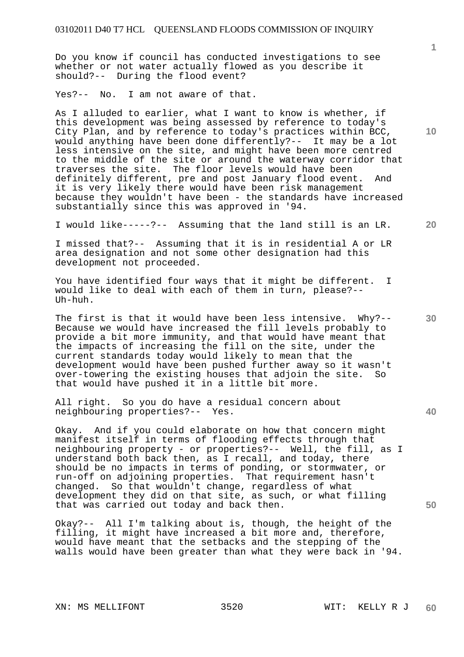Do you know if council has conducted investigations to see whether or not water actually flowed as you describe it should?-- During the flood event?

Yes?-- No. I am not aware of that.

As I alluded to earlier, what I want to know is whether, if this development was being assessed by reference to today's City Plan, and by reference to today's practices within BCC, would anything have been done differently?-- It may be a lot less intensive on the site, and might have been more centred to the middle of the site or around the waterway corridor that traverses the site. The floor levels would have been definitely different, pre and post January flood event. And it is very likely there would have been risk management because they wouldn't have been - the standards have increased substantially since this was approved in '94.

I would like-----?-- Assuming that the land still is an LR.

I missed that?-- Assuming that it is in residential A or LR area designation and not some other designation had this development not proceeded.

You have identified four ways that it might be different. I would like to deal with each of them in turn, please?-- Uh-huh.

The first is that it would have been less intensive. Why?-- Because we would have increased the fill levels probably to provide a bit more immunity, and that would have meant that the impacts of increasing the fill on the site, under the current standards today would likely to mean that the development would have been pushed further away so it wasn't over-towering the existing houses that adjoin the site. So that would have pushed it in a little bit more.

All right. So you do have a residual concern about neighbouring properties?-- Yes.

Okay. And if you could elaborate on how that concern might manifest itself in terms of flooding effects through that neighbouring property - or properties?-- Well, the fill, as I understand both back then, as I recall, and today, there should be no impacts in terms of ponding, or stormwater, or run-off on adjoining properties. That requirement hasn't changed. So that wouldn't change, regardless of what development they did on that site, as such, or what filling that was carried out today and back then.

Okay?-- All I'm talking about is, though, the height of the filling, it might have increased a bit more and, therefore, would have meant that the setbacks and the stepping of the walls would have been greater than what they were back in '94.

**20** 

**10** 

**30** 

**40**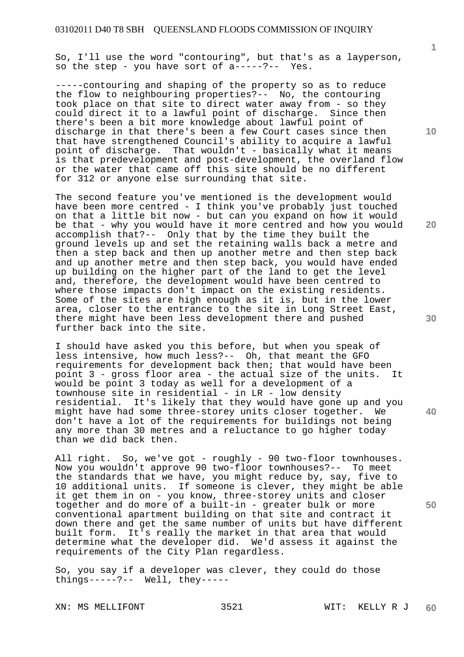So, I'll use the word "contouring", but that's as a layperson, so the step - you have sort of a-----?-- Yes.

-----contouring and shaping of the property so as to reduce the flow to neighbouring properties?-- No, the contouring took place on that site to direct water away from - so they could direct it to a lawful point of discharge. Since then there's been a bit more knowledge about lawful point of discharge in that there's been a few Court cases since then that have strengthened Council's ability to acquire a lawful point of discharge. That wouldn't - basically what it means is that predevelopment and post-development, the overland flow or the water that came off this site should be no different for 312 or anyone else surrounding that site.

The second feature you've mentioned is the development would have been more centred - I think you've probably just touched on that a little bit now - but can you expand on how it would be that - why you would have it more centred and how you would accomplish that?-- Only that by the time they built the ground levels up and set the retaining walls back a metre and then a step back and then up another metre and then step back and up another metre and then step back, you would have ended up building on the higher part of the land to get the level and, therefore, the development would have been centred to where those impacts don't impact on the existing residents. Some of the sites are high enough as it is, but in the lower area, closer to the entrance to the site in Long Street East, there might have been less development there and pushed further back into the site.

I should have asked you this before, but when you speak of less intensive, how much less?-- Oh, that meant the GFO requirements for development back then; that would have been point 3 - gross floor area - the actual size of the units. It would be point 3 today as well for a development of a townhouse site in residential - in LR - low density residential. It's likely that they would have gone up and you might have had some three-storey units closer together. We don't have a lot of the requirements for buildings not being any more than 30 metres and a reluctance to go higher today than we did back then.

All right. So, we've got - roughly - 90 two-floor townhouses. Now you wouldn't approve 90 two-floor townhouses?-- To meet the standards that we have, you might reduce by, say, five to 10 additional units. If someone is clever, they might be able it get them in on - you know, three-storey units and closer together and do more of a built-in - greater bulk or more conventional apartment building on that site and contract it down there and get the same number of units but have different built form. It's really the market in that area that would determine what the developer did. We'd assess it against the requirements of the City Plan regardless.

So, you say if a developer was clever, they could do those things-----?-- Well, they-----

XN: MS MELLIFONT 3521 WIT: KELLY R J

**1**

**20** 

**30** 

**40**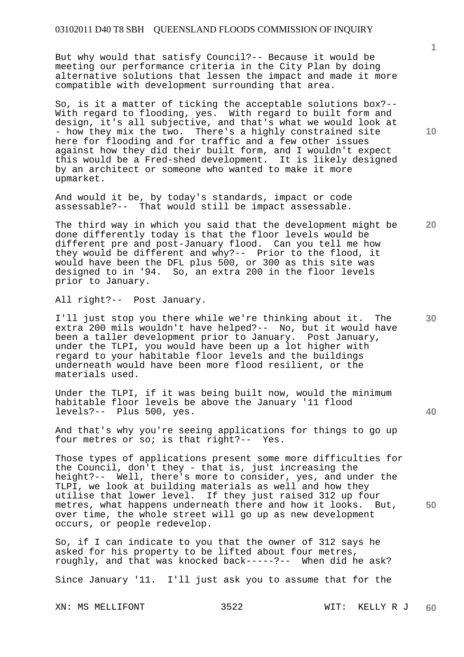But why would that satisfy Council?-- Because it would be meeting our performance criteria in the City Plan by doing alternative solutions that lessen the impact and made it more compatible with development surrounding that area.

So, is it a matter of ticking the acceptable solutions box?-- With regard to flooding, yes. With regard to built form and design, it's all subjective, and that's what we would look at - how they mix the two. There's a highly constrained site here for flooding and for traffic and a few other issues against how they did their built form, and I wouldn't expect this would be a Fred-shed development. It is likely designed by an architect or someone who wanted to make it more upmarket.

And would it be, by today's standards, impact or code assessable?-- That would still be impact assessable.

The third way in which you said that the development might be done differently today is that the floor levels would be different pre and post-January flood. Can you tell me how they would be different and why?-- Prior to the flood, it would have been the DFL plus 500, or 300 as this site was designed to in '94. So, an extra 200 in the floor levels prior to January.

All right?-- Post January.

I'll just stop you there while we're thinking about it. The extra 200 mils wouldn't have helped?-- No, but it would have been a taller development prior to January. Post January, under the TLPI, you would have been up a lot higher with regard to your habitable floor levels and the buildings underneath would have been more flood resilient, or the materials used.

Under the TLPI, if it was being built now, would the minimum habitable floor levels be above the January '11 flood levels?-- Plus 500, yes.

And that's why you're seeing applications for things to go up four metres or so; is that right?-- Yes.

Those types of applications present some more difficulties for the Council, don't they - that is, just increasing the height?-- Well, there's more to consider, yes, and under the TLPI, we look at building materials as well and how they utilise that lower level. If they just raised 312 up four metres, what happens underneath there and how it looks. But, over time, the whole street will go up as new development occurs, or people redevelop.

So, if I can indicate to you that the owner of 312 says he asked for his property to be lifted about four metres, roughly, and that was knocked back-----?-- When did he ask?

Since January '11. I'll just ask you to assume that for the

**10** 

**1**

**30** 

**20** 

**40**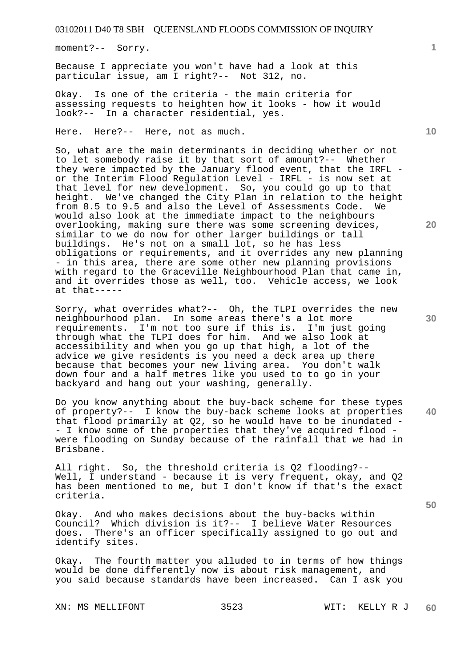moment?-- Sorry.

Because I appreciate you won't have had a look at this particular issue, am I right?-- Not 312, no.

Okay. Is one of the criteria - the main criteria for assessing requests to heighten how it looks - how it would look?-- In a character residential, yes.

Here. Here?-- Here, not as much.

So, what are the main determinants in deciding whether or not to let somebody raise it by that sort of amount?-- Whether they were impacted by the January flood event, that the IRFL or the Interim Flood Regulation Level - IRFL - is now set at that level for new development. So, you could go up to that height. We've changed the City Plan in relation to the height from 8.5 to 9.5 and also the Level of Assessments Code. We would also look at the immediate impact to the neighbours overlooking, making sure there was some screening devices, similar to we do now for other larger buildings or tall buildings. He's not on a small lot, so he has less obligations or requirements, and it overrides any new planning - in this area, there are some other new planning provisions with regard to the Graceville Neighbourhood Plan that came in, and it overrides those as well, too. Vehicle access, we look at that-----

Sorry, what overrides what?-- Oh, the TLPI overrides the new neighbourhood plan. In some areas there's a lot more requirements. I'm not too sure if this is. I'm just going through what the TLPI does for him. And we also look at accessibility and when you go up that high, a lot of the advice we give residents is you need a deck area up there because that becomes your new living area. You don't walk down four and a half metres like you used to to go in your backyard and hang out your washing, generally.

Do you know anything about the buy-back scheme for these types of property?-- I know the buy-back scheme looks at properties that flood primarily at Q2, so he would have to be inundated - - I know some of the properties that they've acquired flood were flooding on Sunday because of the rainfall that we had in Brisbane.

All right. So, the threshold criteria is Q2 flooding?-- Well, I understand - because it is very frequent, okay, and Q2 has been mentioned to me, but I don't know if that's the exact criteria.

Okay. And who makes decisions about the buy-backs within Council? Which division is it?-- I believe Water Resources does. There's an officer specifically assigned to go out and identify sites.

Okay. The fourth matter you alluded to in terms of how things would be done differently now is about risk management, and you said because standards have been increased. Can I ask you

XN: MS MELLIFONT 3523 WIT: KELLY R J

**1**

**10** 

**20** 

**30** 

**40**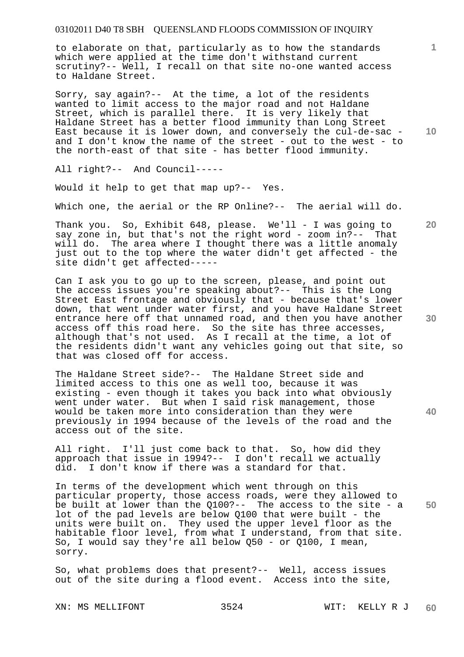to elaborate on that, particularly as to how the standards which were applied at the time don't withstand current scrutiny?-- Well, I recall on that site no-one wanted access to Haldane Street.

Sorry, say again?-- At the time, a lot of the residents wanted to limit access to the major road and not Haldane Street, which is parallel there. It is very likely that Haldane Street has a better flood immunity than Long Street East because it is lower down, and conversely the cul-de-sac and I don't know the name of the street - out to the west - to the north-east of that site - has better flood immunity.

All right?-- And Council-----

Would it help to get that map up?-- Yes.

Which one, the aerial or the RP Online?-- The aerial will do.

Thank you. So, Exhibit 648, please. We'll - I was going to say zone in, but that's not the right word - zoom in?-- That will do. The area where I thought there was a little anomaly just out to the top where the water didn't get affected - the site didn't get affected-----

Can I ask you to go up to the screen, please, and point out the access issues you're speaking about?-- This is the Long Street East frontage and obviously that - because that's lower down, that went under water first, and you have Haldane Street entrance here off that unnamed road, and then you have another access off this road here. So the site has three accesses, although that's not used. As I recall at the time, a lot of the residents didn't want any vehicles going out that site, so that was closed off for access.

The Haldane Street side?-- The Haldane Street side and limited access to this one as well too, because it was existing - even though it takes you back into what obviously went under water. But when I said risk management, those would be taken more into consideration than they were previously in 1994 because of the levels of the road and the access out of the site.

All right. I'll just come back to that. So, how did they approach that issue in 1994?-- I don't recall we actually did. I don't know if there was a standard for that.

In terms of the development which went through on this particular property, those access roads, were they allowed to be built at lower than the Q100?-- The access to the site - a lot of the pad levels are below Q100 that were built - the units were built on. They used the upper level floor as the habitable floor level, from what I understand, from that site. So, I would say they're all below Q50 - or Q100, I mean, sorry.

So, what problems does that present?-- Well, access issues out of the site during a flood event. Access into the site,

**10** 

**20** 

**1**

**30** 

**40**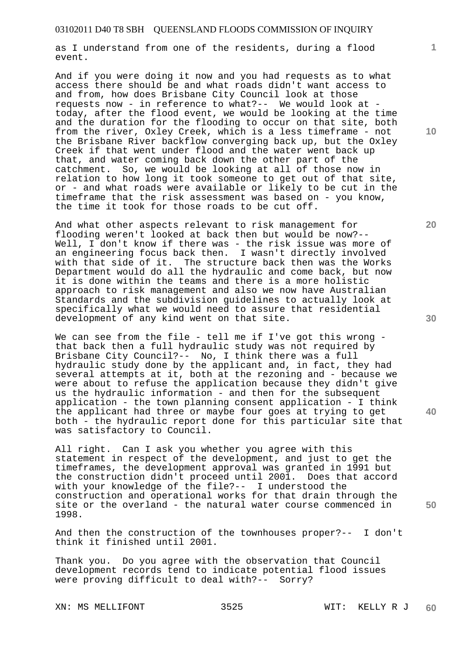as I understand from one of the residents, during a flood event.

And if you were doing it now and you had requests as to what access there should be and what roads didn't want access to and from, how does Brisbane City Council look at those requests now - in reference to what?-- We would look at today, after the flood event, we would be looking at the time and the duration for the flooding to occur on that site, both from the river, Oxley Creek, which is a less timeframe - not the Brisbane River backflow converging back up, but the Oxley Creek if that went under flood and the water went back up that, and water coming back down the other part of the catchment. So, we would be looking at all of those now in relation to how long it took someone to get out of that site, or - and what roads were available or likely to be cut in the timeframe that the risk assessment was based on - you know, the time it took for those roads to be cut off.

And what other aspects relevant to risk management for flooding weren't looked at back then but would be now?-- Well, I don't know if there was - the risk issue was more of an engineering focus back then. I wasn't directly involved with that side of it. The structure back then was the Works Department would do all the hydraulic and come back, but now it is done within the teams and there is a more holistic approach to risk management and also we now have Australian Standards and the subdivision guidelines to actually look at specifically what we would need to assure that residential development of any kind went on that site.

We can see from the file - tell me if I've got this wrong that back then a full hydraulic study was not required by Brisbane City Council?-- No, I think there was a full hydraulic study done by the applicant and, in fact, they had several attempts at it, both at the rezoning and - because we were about to refuse the application because they didn't give us the hydraulic information - and then for the subsequent application - the town planning consent application - I think the applicant had three or maybe four goes at trying to get both - the hydraulic report done for this particular site that was satisfactory to Council.

All right. Can I ask you whether you agree with this statement in respect of the development, and just to get the timeframes, the development approval was granted in 1991 but the construction didn't proceed until 2001. Does that accord with your knowledge of the file?-- I understood the construction and operational works for that drain through the site or the overland - the natural water course commenced in 1998.

And then the construction of the townhouses proper?-- I don't think it finished until 2001.

Thank you. Do you agree with the observation that Council development records tend to indicate potential flood issues were proving difficult to deal with?-- Sorry?

XN: MS MELLIFONT 3525 WIT: KELLY R J

**10** 

**1**

**30** 

**20** 

**50**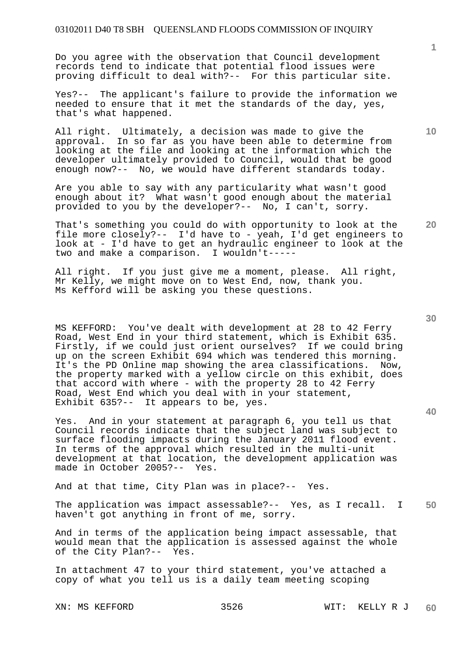Do you agree with the observation that Council development records tend to indicate that potential flood issues were proving difficult to deal with?-- For this particular site.

Yes?-- The applicant's failure to provide the information we needed to ensure that it met the standards of the day, yes, that's what happened.

All right. Ultimately, a decision was made to give the approval. In so far as you have been able to determine from looking at the file and looking at the information which the developer ultimately provided to Council, would that be good enough now?-- No, we would have different standards today.

Are you able to say with any particularity what wasn't good enough about it? What wasn't good enough about the material provided to you by the developer?-- No, I can't, sorry.

That's something you could do with opportunity to look at the file more closely?-- I'd have to - yeah, I'd get engineers to look at - I'd have to get an hydraulic engineer to look at the two and make a comparison. I wouldn't-----

All right. If you just give me a moment, please. All right, Mr Kelly, we might move on to West End, now, thank you. Ms Kefford will be asking you these questions.

MS KEFFORD: You've dealt with development at 28 to 42 Ferry Road, West End in your third statement, which is Exhibit 635. Firstly, if we could just orient ourselves? If we could bring up on the screen Exhibit 694 which was tendered this morning. It's the PD Online map showing the area classifications. Now, the property marked with a yellow circle on this exhibit, does that accord with where - with the property 28 to 42 Ferry Road, West End which you deal with in your statement, Exhibit 635?-- It appears to be, yes.

Yes. And in your statement at paragraph 6, you tell us that Council records indicate that the subject land was subject to surface flooding impacts during the January 2011 flood event. In terms of the approval which resulted in the multi-unit development at that location, the development application was made in October 2005?-- Yes.

And at that time, City Plan was in place?-- Yes.

**50**  The application was impact assessable?-- Yes, as I recall. I haven't got anything in front of me, sorry.

And in terms of the application being impact assessable, that would mean that the application is assessed against the whole of the City Plan?-- Yes.

In attachment 47 to your third statement, you've attached a copy of what you tell us is a daily team meeting scoping

**30** 

**40** 

**20** 

**10**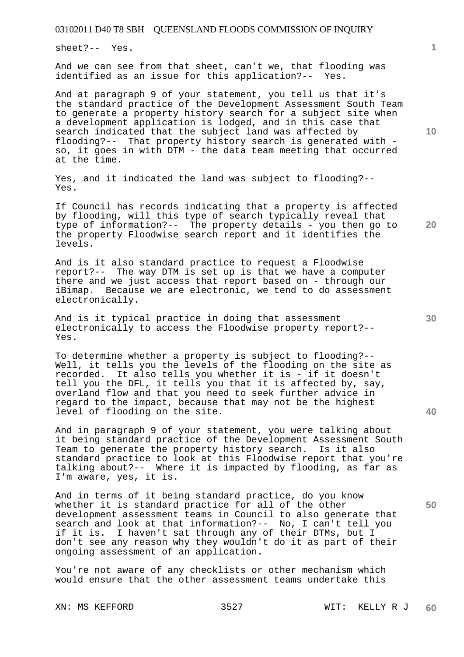sheet?-- Yes.

And we can see from that sheet, can't we, that flooding was identified as an issue for this application?-- Yes.

And at paragraph 9 of your statement, you tell us that it's the standard practice of the Development Assessment South Team to generate a property history search for a subject site when a development application is lodged, and in this case that search indicated that the subject land was affected by flooding?-- That property history search is generated with so, it goes in with DTM - the data team meeting that occurred at the time.

Yes, and it indicated the land was subject to flooding?-- Yes.

If Council has records indicating that a property is affected by flooding, will this type of search typically reveal that type of information?-- The property details - you then go to the property Floodwise search report and it identifies the levels.

And is it also standard practice to request a Floodwise report?-- The way DTM is set up is that we have a computer there and we just access that report based on - through our iBimap. Because we are electronic, we tend to do assessment electronically.

And is it typical practice in doing that assessment electronically to access the Floodwise property report?-- Yes.

To determine whether a property is subject to flooding?-- Well, it tells you the levels of the flooding on the site as recorded. It also tells you whether it is - if it doesn't tell you the DFL, it tells you that it is affected by, say, overland flow and that you need to seek further advice in regard to the impact, because that may not be the highest level of flooding on the site.

And in paragraph 9 of your statement, you were talking about it being standard practice of the Development Assessment South Team to generate the property history search. Is it also standard practice to look at this Floodwise report that you're talking about?-- Where it is impacted by flooding, as far as I'm aware, yes, it is.

And in terms of it being standard practice, do you know whether it is standard practice for all of the other development assessment teams in Council to also generate that search and look at that information?-- No, I can't tell you if it is. I haven't sat through any of their DTMs, but I don't see any reason why they wouldn't do it as part of their ongoing assessment of an application.

You're not aware of any checklists or other mechanism which would ensure that the other assessment teams undertake this

**1**

**20** 

**40** 

**50**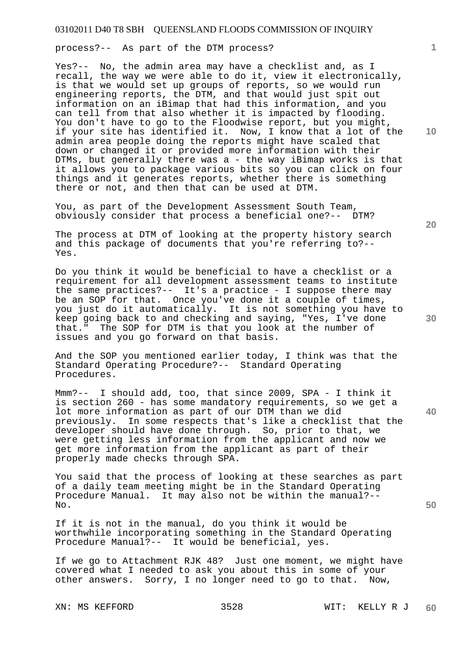process?-- As part of the DTM process?

Yes?-- No, the admin area may have a checklist and, as I recall, the way we were able to do it, view it electronically, is that we would set up groups of reports, so we would run engineering reports, the DTM, and that would just spit out information on an iBimap that had this information, and you can tell from that also whether it is impacted by flooding. You don't have to go to the Floodwise report, but you might, if your site has identified it. Now, I know that a lot of the admin area people doing the reports might have scaled that down or changed it or provided more information with their DTMs, but generally there was a - the way iBimap works is that it allows you to package various bits so you can click on four things and it generates reports, whether there is something there or not, and then that can be used at DTM.

You, as part of the Development Assessment South Team, obviously consider that process a beneficial one?-- DTM?

The process at DTM of looking at the property history search and this package of documents that you're referring to?-- Yes.

Do you think it would be beneficial to have a checklist or a requirement for all development assessment teams to institute the same practices?-- It's a practice - I suppose there may be an SOP for that. Once you've done it a couple of times, you just do it automatically. It is not something you have to keep going back to and checking and saying, "Yes, I've done that." The SOP for DTM is that you look at the number of issues and you go forward on that basis.

And the SOP you mentioned earlier today, I think was that the Standard Operating Procedure?-- Standard Operating Procedures.

Mmm?-- I should add, too, that since 2009, SPA - I think it is section 260 - has some mandatory requirements, so we get a lot more information as part of our DTM than we did previously. In some respects that's like a checklist that the developer should have done through. So, prior to that, we were getting less information from the applicant and now we get more information from the applicant as part of their properly made checks through SPA.

You said that the process of looking at these searches as part of a daily team meeting might be in the Standard Operating Procedure Manual. It may also not be within the manual?-- No.

If it is not in the manual, do you think it would be worthwhile incorporating something in the Standard Operating Procedure Manual?-- It would be beneficial, yes.

If we go to Attachment RJK 48? Just one moment, we might have covered what I needed to ask you about this in some of your other answers. Sorry, I no longer need to go to that. Now,

**10** 

**1**

**20** 

**40**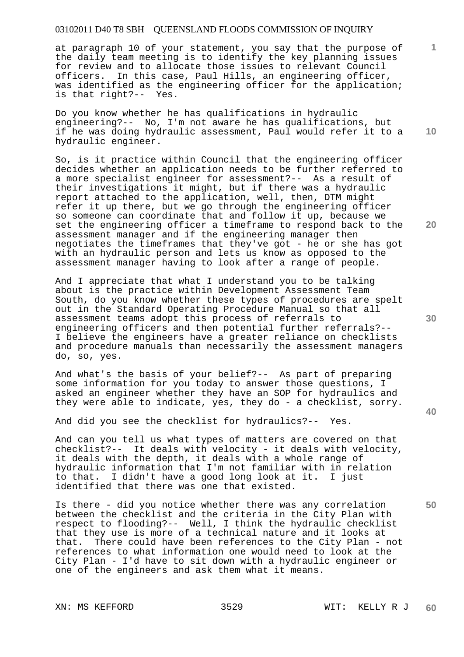at paragraph 10 of your statement, you say that the purpose of the daily team meeting is to identify the key planning issues for review and to allocate those issues to relevant Council officers. In this case, Paul Hills, an engineering officer, was identified as the engineering officer for the application;<br>is that right?-- Yes. is that right? $--$ 

Do you know whether he has qualifications in hydraulic engineering?-- No, I'm not aware he has qualifications, but if he was doing hydraulic assessment, Paul would refer it to a hydraulic engineer.

So, is it practice within Council that the engineering officer decides whether an application needs to be further referred to a more specialist engineer for assessment?-- As a result of their investigations it might, but if there was a hydraulic report attached to the application, well, then, DTM might refer it up there, but we go through the engineering officer so someone can coordinate that and follow it up, because we set the engineering officer a timeframe to respond back to the assessment manager and if the engineering manager then negotiates the timeframes that they've got - he or she has got with an hydraulic person and lets us know as opposed to the assessment manager having to look after a range of people.

And I appreciate that what I understand you to be talking about is the practice within Development Assessment Team South, do you know whether these types of procedures are spelt out in the Standard Operating Procedure Manual so that all assessment teams adopt this process of referrals to engineering officers and then potential further referrals?-- I believe the engineers have a greater reliance on checklists and procedure manuals than necessarily the assessment managers do, so, yes.

And what's the basis of your belief?-- As part of preparing some information for you today to answer those questions, I asked an engineer whether they have an SOP for hydraulics and they were able to indicate, yes, they do - a checklist, sorry.

And did you see the checklist for hydraulics?-- Yes.

And can you tell us what types of matters are covered on that checklist?-- It deals with velocity - it deals with velocity, it deals with the depth, it deals with a whole range of hydraulic information that I'm not familiar with in relation to that. I didn't have a good long look at it. I just identified that there was one that existed.

Is there - did you notice whether there was any correlation between the checklist and the criteria in the City Plan with respect to flooding?-- Well, I think the hydraulic checklist that they use is more of a technical nature and it looks at that. There could have been references to the City Plan - not references to what information one would need to look at the City Plan - I'd have to sit down with a hydraulic engineer or one of the engineers and ask them what it means.

**20** 

**10** 

**1**

**30** 

**40**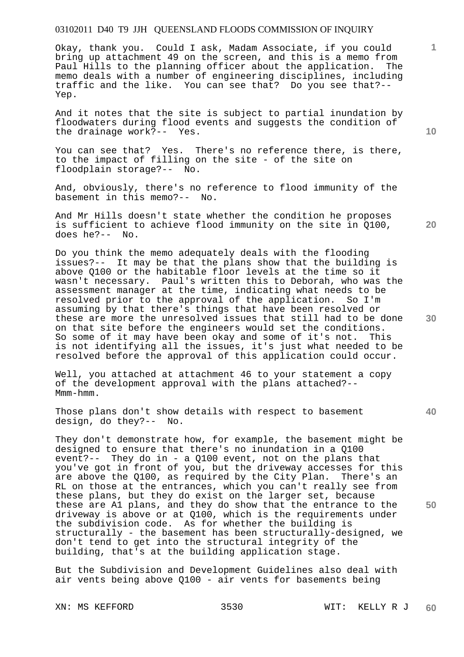Okay, thank you. Could I ask, Madam Associate, if you could bring up attachment 49 on the screen, and this is a memo from<br>Paul Hills to the planning officer about the application. The Paul Hills to the planning officer about the application. memo deals with a number of engineering disciplines, including traffic and the like. You can see that? Do you see that?-- Yep.

And it notes that the site is subject to partial inundation by floodwaters during flood events and suggests the condition of the drainage work?-- Yes.

You can see that? Yes. There's no reference there, is there, to the impact of filling on the site - of the site on floodplain storage?-- No.

And, obviously, there's no reference to flood immunity of the basement in this memo?-- No.

And Mr Hills doesn't state whether the condition he proposes is sufficient to achieve flood immunity on the site in Q100, does he?-- No.

Do you think the memo adequately deals with the flooding issues?-- It may be that the plans show that the building is above Q100 or the habitable floor levels at the time so it wasn't necessary. Paul's written this to Deborah, who was the assessment manager at the time, indicating what needs to be resolved prior to the approval of the application. So I'm assuming by that there's things that have been resolved or these are more the unresolved issues that still had to be done on that site before the engineers would set the conditions. So some of it may have been okay and some of it's not. This is not identifying all the issues, it's just what needed to be resolved before the approval of this application could occur.

Well, you attached at attachment 46 to your statement a copy of the development approval with the plans attached?-- Mmm-hmm.

Those plans don't show details with respect to basement design, do they?-- No.

They don't demonstrate how, for example, the basement might be designed to ensure that there's no inundation in a Q100 event?-- They do in - a Q100 event, not on the plans that you've got in front of you, but the driveway accesses for this are above the Q100, as required by the City Plan. There's an RL on those at the entrances, which you can't really see from these plans, but they do exist on the larger set, because these are A1 plans, and they do show that the entrance to the driveway is above or at Q100, which is the requirements under the subdivision code. As for whether the building is structurally - the basement has been structurally-designed, we don't tend to get into the structural integrity of the building, that's at the building application stage.

But the Subdivision and Development Guidelines also deal with air vents being above Q100 - air vents for basements being

**10** 

**1**

**20** 

**30** 

**40**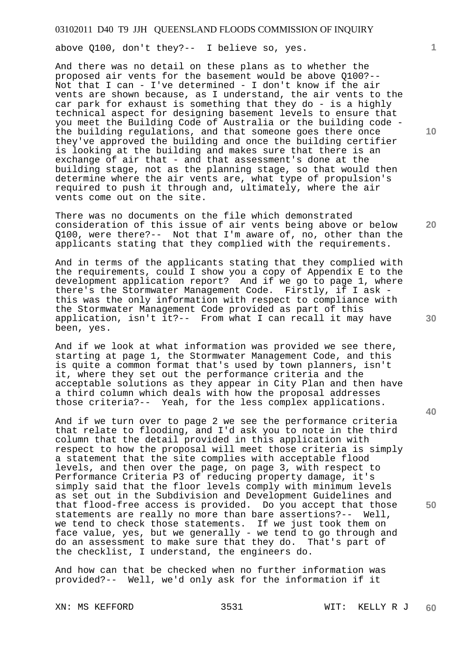above Q100, don't they?-- I believe so, yes.

And there was no detail on these plans as to whether the proposed air vents for the basement would be above Q100?-- Not that I can - I've determined - I don't know if the air vents are shown because, as I understand, the air vents to the car park for exhaust is something that they do - is a highly technical aspect for designing basement levels to ensure that you meet the Building Code of Australia or the building code the building regulations, and that someone goes there once they've approved the building and once the building certifier is looking at the building and makes sure that there is an exchange of air that - and that assessment's done at the building stage, not as the planning stage, so that would then determine where the air vents are, what type of propulsion's required to push it through and, ultimately, where the air vents come out on the site.

There was no documents on the file which demonstrated consideration of this issue of air vents being above or below Q100, were there?-- Not that I'm aware of, no, other than the applicants stating that they complied with the requirements.

And in terms of the applicants stating that they complied with the requirements, could I show you a copy of Appendix E to the development application report? And if we go to page 1, where there's the Stormwater Management Code. Firstly, if I ask this was the only information with respect to compliance with the Stormwater Management Code provided as part of this application, isn't it?-- From what I can recall it may have been, yes.

And if we look at what information was provided we see there, starting at page 1, the Stormwater Management Code, and this is quite a common format that's used by town planners, isn't it, where they set out the performance criteria and the acceptable solutions as they appear in City Plan and then have a third column which deals with how the proposal addresses those criteria?-- Yeah, for the less complex applications.

And if we turn over to page 2 we see the performance criteria that relate to flooding, and I'd ask you to note in the third column that the detail provided in this application with respect to how the proposal will meet those criteria is simply a statement that the site complies with acceptable flood levels, and then over the page, on page 3, with respect to Performance Criteria P3 of reducing property damage, it's simply said that the floor levels comply with minimum levels as set out in the Subdivision and Development Guidelines and that flood-free access is provided. Do you accept that those statements are really no more than bare assertions?-- Well, we tend to check those statements. If we just took them on face value, yes, but we generally - we tend to go through and do an assessment to make sure that they do. That's part of the checklist, I understand, the engineers do.

And how can that be checked when no further information was provided?-- Well, we'd only ask for the information if it

**10** 

**1**

**20** 

**50**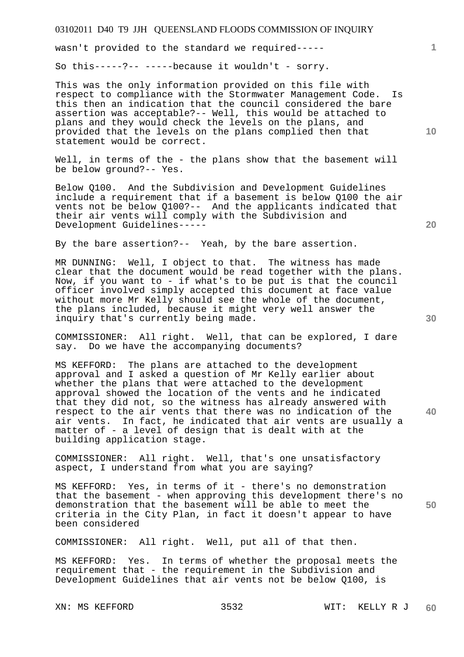wasn't provided to the standard we required-----

So this-----?-- -----because it wouldn't - sorry.

This was the only information provided on this file with respect to compliance with the Stormwater Management Code. Is this then an indication that the council considered the bare assertion was acceptable?-- Well, this would be attached to plans and they would check the levels on the plans, and provided that the levels on the plans complied then that statement would be correct.

Well, in terms of the - the plans show that the basement will be below ground?-- Yes.

Below Q100. And the Subdivision and Development Guidelines include a requirement that if a basement is below Q100 the air vents not be below Q100?-- And the applicants indicated that their air vents will comply with the Subdivision and Development Guidelines-----

By the bare assertion?-- Yeah, by the bare assertion.

MR DUNNING: Well, I object to that. The witness has made clear that the document would be read together with the plans. Now, if you want to - if what's to be put is that the council officer involved simply accepted this document at face value without more Mr Kelly should see the whole of the document, the plans included, because it might very well answer the inquiry that's currently being made.

COMMISSIONER: All right. Well, that can be explored, I dare say. Do we have the accompanying documents?

MS KEFFORD: The plans are attached to the development approval and I asked a question of Mr Kelly earlier about whether the plans that were attached to the development approval showed the location of the vents and he indicated that they did not, so the witness has already answered with respect to the air vents that there was no indication of the air vents. In fact, he indicated that air vents are usually a matter of - a level of design that is dealt with at the building application stage.

COMMISSIONER: All right. Well, that's one unsatisfactory aspect, I understand from what you are saying?

MS KEFFORD: Yes, in terms of it - there's no demonstration that the basement - when approving this development there's no demonstration that the basement will be able to meet the criteria in the City Plan, in fact it doesn't appear to have been considered

COMMISSIONER: All right. Well, put all of that then.

MS KEFFORD: Yes. In terms of whether the proposal meets the requirement that - the requirement in the Subdivision and Development Guidelines that air vents not be below Q100, is

**20** 

**1**

**10** 

**40**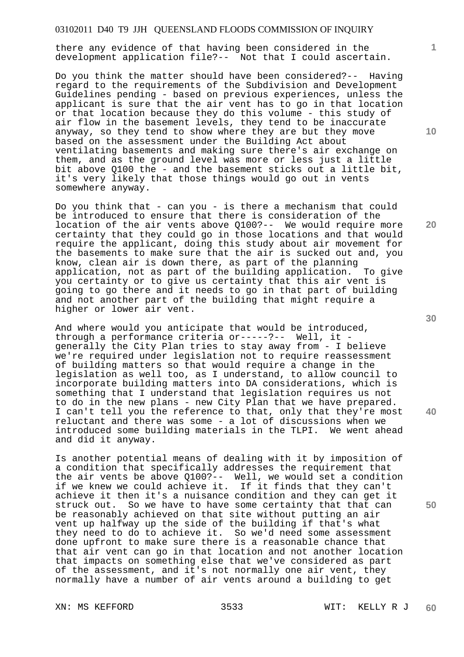there any evidence of that having been considered in the development application file?-- Not that I could ascertain.

Do you think the matter should have been considered?-- Having regard to the requirements of the Subdivision and Development Guidelines pending - based on previous experiences, unless the applicant is sure that the air vent has to go in that location or that location because they do this volume - this study of air flow in the basement levels, they tend to be inaccurate anyway, so they tend to show where they are but they move based on the assessment under the Building Act about ventilating basements and making sure there's air exchange on them, and as the ground level was more or less just a little bit above Q100 the - and the basement sticks out a little bit, it's very likely that those things would go out in vents somewhere anyway.

Do you think that - can you - is there a mechanism that could be introduced to ensure that there is consideration of the location of the air vents above Q100?-- We would require more certainty that they could go in those locations and that would require the applicant, doing this study about air movement for the basements to make sure that the air is sucked out and, you know, clean air is down there, as part of the planning<br>application, not as part of the building application. To give application, not as part of the building application. you certainty or to give us certainty that this air vent is going to go there and it needs to go in that part of building and not another part of the building that might require a higher or lower air vent.

And where would you anticipate that would be introduced, through a performance criteria or-----?-- Well, it generally the City Plan tries to stay away from - I believe we're required under legislation not to require reassessment of building matters so that would require a change in the legislation as well too, as I understand, to allow council to incorporate building matters into DA considerations, which is something that I understand that legislation requires us not to do in the new plans - new City Plan that we have prepared. I can't tell you the reference to that, only that they're most reluctant and there was some - a lot of discussions when we introduced some building materials in the TLPI. We went ahead and did it anyway.

Is another potential means of dealing with it by imposition of a condition that specifically addresses the requirement that the air vents be above Q100?-- Well, we would set a condition if we knew we could achieve it. If it finds that they can't achieve it then it's a nuisance condition and they can get it struck out. So we have to have some certainty that that can be reasonably achieved on that site without putting an air vent up halfway up the side of the building if that's what they need to do to achieve it. So we'd need some assessment done upfront to make sure there is a reasonable chance that that air vent can go in that location and not another location that impacts on something else that we've considered as part of the assessment, and it's not normally one air vent, they normally have a number of air vents around a building to get

**20** 

**10** 

**1**

**40**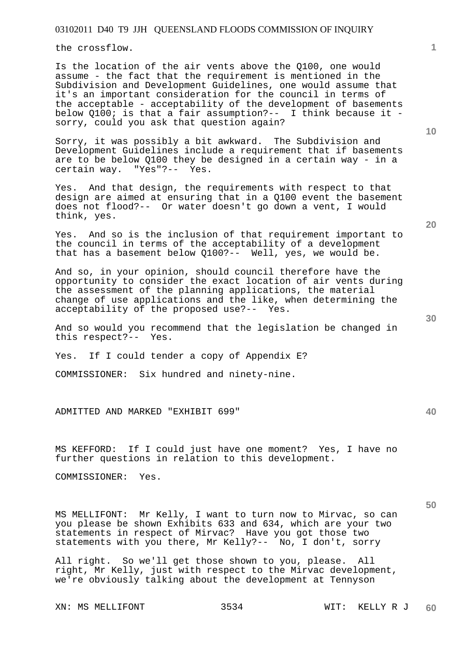the crossflow.

Is the location of the air vents above the Q100, one would assume - the fact that the requirement is mentioned in the Subdivision and Development Guidelines, one would assume that it's an important consideration for the council in terms of the acceptable - acceptability of the development of basements below Q100; is that a fair assumption?-- I think because it sorry, could you ask that question again?

Sorry, it was possibly a bit awkward. The Subdivision and Development Guidelines include a requirement that if basements are to be below Q100 they be designed in a certain way - in a certain way. "Yes"?-- Yes. "Yes"?--  $Yes.$ 

Yes. And that design, the requirements with respect to that design are aimed at ensuring that in a Q100 event the basement does not flood?-- Or water doesn't go down a vent, I would think, yes.

Yes. And so is the inclusion of that requirement important to the council in terms of the acceptability of a development that has a basement below Q100?-- Well, yes, we would be.

And so, in your opinion, should council therefore have the opportunity to consider the exact location of air vents during the assessment of the planning applications, the material change of use applications and the like, when determining the acceptability of the proposed use?-- Yes.

And so would you recommend that the legislation be changed in this respect?-- Yes.

Yes. If I could tender a copy of Appendix E?

COMMISSIONER: Six hundred and ninety-nine.

ADMITTED AND MARKED "EXHIBIT 699"

MS KEFFORD: If I could just have one moment? Yes, I have no further questions in relation to this development.

COMMISSIONER: Yes.

MS MELLIFONT: Mr Kelly, I want to turn now to Mirvac, so can you please be shown Exhibits 633 and 634, which are your two statements in respect of Mirvac? Have you got those two statements with you there, Mr Kelly?-- No, I don't, sorry

All right. So we'll get those shown to you, please. All right, Mr Kelly, just with respect to the Mirvac development, we're obviously talking about the development at Tennyson

XN: MS MELLIFONT 3534 WIT: KELLY R J

**20** 

**10** 

**1**

**40**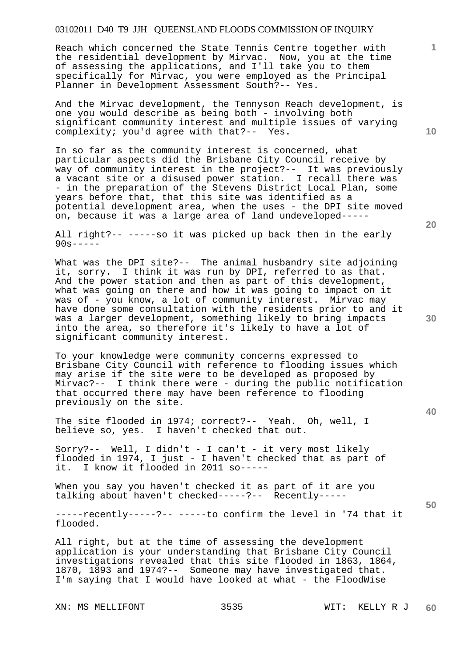Reach which concerned the State Tennis Centre together with the residential development by Mirvac. Now, you at the time of assessing the applications, and I'll take you to them specifically for Mirvac, you were employed as the Principal Planner in Development Assessment South?-- Yes.

And the Mirvac development, the Tennyson Reach development, is one you would describe as being both - involving both significant community interest and multiple issues of varying complexity; you'd agree with that?-- Yes.

In so far as the community interest is concerned, what particular aspects did the Brisbane City Council receive by way of community interest in the project?-- It was previously a vacant site or a disused power station. I recall there was - in the preparation of the Stevens District Local Plan, some years before that, that this site was identified as a potential development area, when the uses - the DPI site moved on, because it was a large area of land undeveloped-----

All right?-- -----so it was picked up back then in the early  $90s---$ 

What was the DPI site?-- The animal husbandry site adjoining it, sorry. I think it was run by DPI, referred to as that. And the power station and then as part of this development, what was going on there and how it was going to impact on it was of - you know, a lot of community interest. Mirvac may have done some consultation with the residents prior to and it was a larger development, something likely to bring impacts into the area, so therefore it's likely to have a lot of significant community interest.

To your knowledge were community concerns expressed to Brisbane City Council with reference to flooding issues which may arise if the site were to be developed as proposed by Mirvac?-- I think there were - during the public notification that occurred there may have been reference to flooding previously on the site.

The site flooded in 1974; correct?-- Yeah. Oh, well, I believe so, yes. I haven't checked that out.

Sorry?-- Well, I didn't - I can't - it very most likely flooded in 1974, I just - I haven't checked that as part of it. I know it flooded in 2011 so-----

When you say you haven't checked it as part of it are you talking about haven't checked-----?-- Recently-----

-----recently-----?-- -----to confirm the level in '74 that it flooded.

All right, but at the time of assessing the development application is your understanding that Brisbane City Council investigations revealed that this site flooded in 1863, 1864, 1870, 1893 and 1974?-- Someone may have investigated that. I'm saying that I would have looked at what - the FloodWise

XN: MS MELLIFONT 3535 WIT: KELLY R J

**10** 

**1**

**40**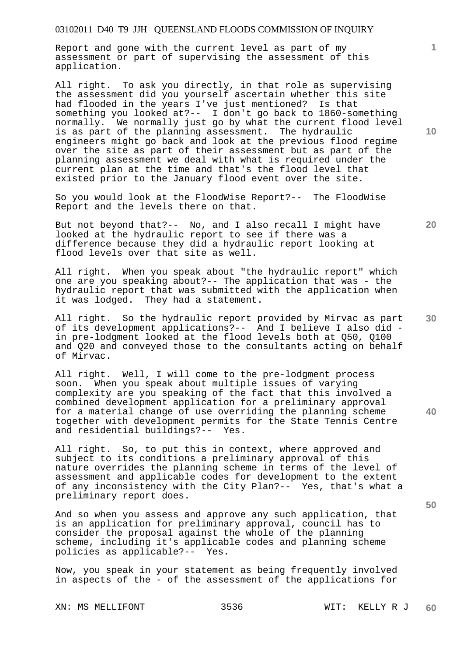Report and gone with the current level as part of my assessment or part of supervising the assessment of this application.

All right. To ask you directly, in that role as supervising the assessment did you yourself ascertain whether this site had flooded in the years I've just mentioned? Is that something you looked at?-- I don't go back to 1860-something normally. We normally just go by what the current flood level is as part of the planning assessment. The hydraulic engineers might go back and look at the previous flood regime over the site as part of their assessment but as part of the planning assessment we deal with what is required under the current plan at the time and that's the flood level that existed prior to the January flood event over the site.

So you would look at the FloodWise Report?-- The FloodWise Report and the levels there on that.

But not beyond that?-- No, and I also recall I might have looked at the hydraulic report to see if there was a difference because they did a hydraulic report looking at flood levels over that site as well.

All right. When you speak about "the hydraulic report" which one are you speaking about?-- The application that was - the hydraulic report that was submitted with the application when it was lodged. They had a statement.

All right. So the hydraulic report provided by Mirvac as part of its development applications?-- And I believe I also did in pre-lodgment looked at the flood levels both at Q50, Q100 and Q20 and conveyed those to the consultants acting on behalf of Mirvac.

All right. Well, I will come to the pre-lodgment process soon. When you speak about multiple issues of varying complexity are you speaking of the fact that this involved a combined development application for a preliminary approval for a material change of use overriding the planning scheme together with development permits for the State Tennis Centre and residential buildings?-- Yes.

All right. So, to put this in context, where approved and subject to its conditions a preliminary approval of this nature overrides the planning scheme in terms of the level of assessment and applicable codes for development to the extent of any inconsistency with the City Plan?-- Yes, that's what a preliminary report does.

And so when you assess and approve any such application, that is an application for preliminary approval, council has to consider the proposal against the whole of the planning scheme, including it's applicable codes and planning scheme policies as applicable?-- Yes.

Now, you speak in your statement as being frequently involved in aspects of the - of the assessment of the applications for

XN: MS MELLIFONT 3536 WIT: KELLY R J

**10** 

**1**

**20** 

**30** 

**40**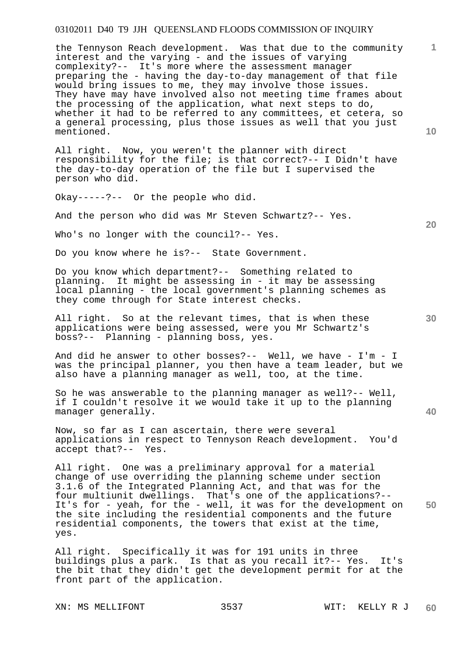the Tennyson Reach development. Was that due to the community interest and the varying - and the issues of varying complexity?-- It's more where the assessment manager preparing the - having the day-to-day management of that file would bring issues to me, they may involve those issues. They have may have involved also not meeting time frames about the processing of the application, what next steps to do, whether it had to be referred to any committees, et cetera, so a general processing, plus those issues as well that you just mentioned.

All right. Now, you weren't the planner with direct responsibility for the file; is that correct?-- I Didn't have the day-to-day operation of the file but I supervised the person who did.

Okay-----?-- Or the people who did.

And the person who did was Mr Steven Schwartz?-- Yes.

Who's no longer with the council?-- Yes.

Do you know where he is?-- State Government.

Do you know which department?-- Something related to planning. It might be assessing in - it may be assessing local planning - the local government's planning schemes as they come through for State interest checks.

All right. So at the relevant times, that is when these applications were being assessed, were you Mr Schwartz's boss?-- Planning - planning boss, yes.

And did he answer to other bosses?-- Well, we have - I'm - I was the principal planner, you then have a team leader, but we also have a planning manager as well, too, at the time.

So he was answerable to the planning manager as well?-- Well, if I couldn't resolve it we would take it up to the planning manager generally.

Now, so far as I can ascertain, there were several applications in respect to Tennyson Reach development. You'd accept that?-- Yes.

**50**  All right. One was a preliminary approval for a material change of use overriding the planning scheme under section 3.1.6 of the Integrated Planning Act, and that was for the four multiunit dwellings. That's one of the applications?-- It's for - yeah, for the - well, it was for the development on the site including the residential components and the future residential components, the towers that exist at the time, yes.

All right. Specifically it was for 191 units in three buildings plus a park. Is that as you recall it?-- Yes. It's the bit that they didn't get the development permit for at the front part of the application.

XN: MS MELLIFONT 3537 WIT: KELLY R J

**10** 

**1**

**20** 

**30**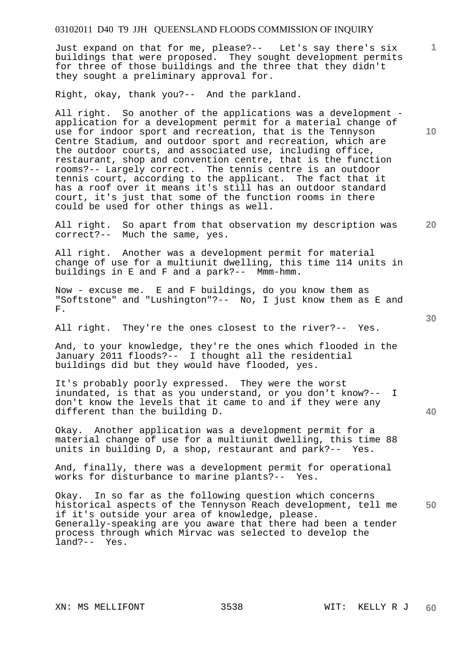Just expand on that for me, please?-- Let's say there's six buildings that were proposed. They sought development permits for three of those buildings and the three that they didn't they sought a preliminary approval for.

Right, okay, thank you?-- And the parkland.

All right. So another of the applications was a development application for a development permit for a material change of use for indoor sport and recreation, that is the Tennyson Centre Stadium, and outdoor sport and recreation, which are the outdoor courts, and associated use, including office, restaurant, shop and convention centre, that is the function rooms?-- Largely correct. The tennis centre is an outdoor tennis court, according to the applicant. The fact that it has a roof over it means it's still has an outdoor standard court, it's just that some of the function rooms in there could be used for other things as well.

**20**  All right. So apart from that observation my description was correct?-- Much the same, yes.

All right. Another was a development permit for material change of use for a multiunit dwelling, this time 114 units in buildings in E and F and a park?-- Mmm-hmm.

Now - excuse me. E and F buildings, do you know them as "Softstone" and "Lushington"?-- No, I just know them as E and F.

All right. They're the ones closest to the river?-- Yes.

And, to your knowledge, they're the ones which flooded in the January 2011 floods?-- I thought all the residential buildings did but they would have flooded, yes.

It's probably poorly expressed. They were the worst inundated, is that as you understand, or you don't know?-- I don't know the levels that it came to and if they were any different than the building D.

Okay. Another application was a development permit for a material change of use for a multiunit dwelling, this time 88 units in building D, a shop, restaurant and park?-- Yes.

And, finally, there was a development permit for operational works for disturbance to marine plants?-- Yes.

**50**  Okay. In so far as the following question which concerns historical aspects of the Tennyson Reach development, tell me if it's outside your area of knowledge, please. Generally-speaking are you aware that there had been a tender process through which Mirvac was selected to develop the land?-- Yes.

**10** 

**1**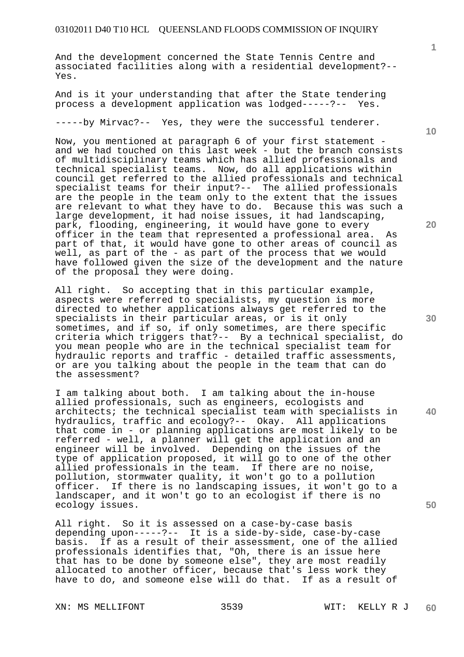And the development concerned the State Tennis Centre and associated facilities along with a residential development?-- Yes.

And is it your understanding that after the State tendering process a development application was lodged-----?-- Yes.

-----by Mirvac?-- Yes, they were the successful tenderer.

Now, you mentioned at paragraph 6 of your first statement and we had touched on this last week - but the branch consists of multidisciplinary teams which has allied professionals and technical specialist teams. Now, do all applications within council get referred to the allied professionals and technical specialist teams for their input?-- The allied professionals are the people in the team only to the extent that the issues are relevant to what they have to do. Because this was such a large development, it had noise issues, it had landscaping, park, flooding, engineering, it would have gone to every officer in the team that represented a professional area. As part of that, it would have gone to other areas of council as well, as part of the - as part of the process that we would have followed given the size of the development and the nature of the proposal they were doing.

All right. So accepting that in this particular example, aspects were referred to specialists, my question is more directed to whether applications always get referred to the specialists in their particular areas, or is it only sometimes, and if so, if only sometimes, are there specific criteria which triggers that?-- By a technical specialist, do you mean people who are in the technical specialist team for hydraulic reports and traffic - detailed traffic assessments, or are you talking about the people in the team that can do the assessment?

I am talking about both. I am talking about the in-house allied professionals, such as engineers, ecologists and architects; the technical specialist team with specialists in hydraulics, traffic and ecology?-- Okay. All applications that come in - or planning applications are most likely to be referred - well, a planner will get the application and an engineer will be involved. Depending on the issues of the type of application proposed, it will go to one of the other allied professionals in the team. If there are no noise, pollution, stormwater quality, it won't go to a pollution officer. If there is no landscaping issues, it won't go to a landscaper, and it won't go to an ecologist if there is no ecology issues.

All right. So it is assessed on a case-by-case basis depending upon-----?-- It is a side-by-side, case-by-case basis. If as a result of their assessment, one of the allied professionals identifies that, "Oh, there is an issue here that has to be done by someone else", they are most readily allocated to another officer, because that's less work they have to do, and someone else will do that. If as a result of

XN: MS MELLIFONT 3539 WIT: KELLY R J

**1**

**20** 

**40**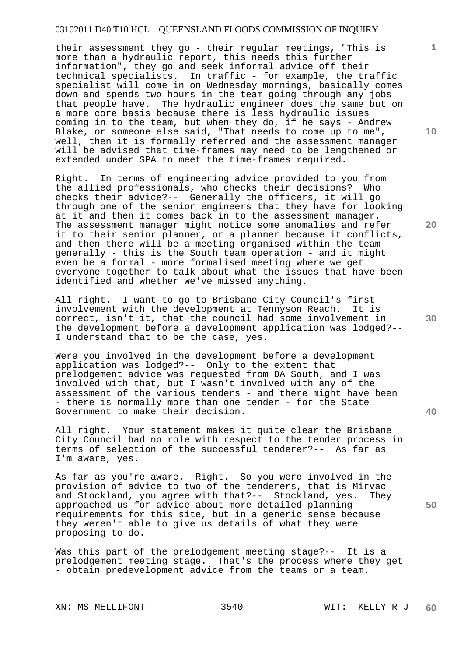their assessment they go - their regular meetings, "This is more than a hydraulic report, this needs this further information", they go and seek informal advice off their technical specialists. In traffic - for example, the traffic specialist will come in on Wednesday mornings, basically comes down and spends two hours in the team going through any jobs that people have. The hydraulic engineer does the same but on a more core basis because there is less hydraulic issues coming in to the team, but when they do, if he says - Andrew Blake, or someone else said, "That needs to come up to me", well, then it is formally referred and the assessment manager will be advised that time-frames may need to be lengthened or extended under SPA to meet the time-frames required.

Right. In terms of engineering advice provided to you from the allied professionals, who checks their decisions? Who checks their advice?-- Generally the officers, it will go through one of the senior engineers that they have for looking at it and then it comes back in to the assessment manager. The assessment manager might notice some anomalies and refer it to their senior planner, or a planner because it conflicts, and then there will be a meeting organised within the team generally - this is the South team operation - and it might even be a formal - more formalised meeting where we get everyone together to talk about what the issues that have been identified and whether we've missed anything.

All right. I want to go to Brisbane City Council's first involvement with the development at Tennyson Reach. It is correct, isn't it, that the council had some involvement in the development before a development application was lodged?-- I understand that to be the case, yes.

Were you involved in the development before a development application was lodged?-- Only to the extent that prelodgement advice was requested from DA South, and I was involved with that, but I wasn't involved with any of the assessment of the various tenders - and there might have been - there is normally more than one tender - for the State Government to make their decision.

All right. Your statement makes it quite clear the Brisbane City Council had no role with respect to the tender process in terms of selection of the successful tenderer?-- As far as I'm aware, yes.

As far as you're aware. Right. So you were involved in the provision of advice to two of the tenderers, that is Mirvac and Stockland, you agree with that?-- Stockland, yes. They approached us for advice about more detailed planning requirements for this site, but in a generic sense because they weren't able to give us details of what they were proposing to do.

Was this part of the prelodgement meeting stage?-- It is a prelodgement meeting stage. That's the process where they get - obtain predevelopment advice from the teams or a team.

XN: MS MELLIFONT 3540 WIT: KELLY R J

**10** 

**1**

**20** 

**30** 

**40**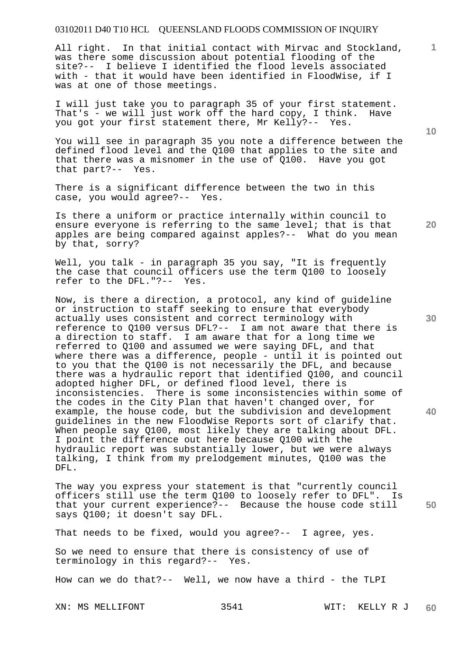All right. In that initial contact with Mirvac and Stockland, was there some discussion about potential flooding of the site?-- I believe I identified the flood levels associated with - that it would have been identified in FloodWise, if I was at one of those meetings.

I will just take you to paragraph 35 of your first statement. That's - we will just work off the hard copy, I think. Have you got your first statement there, Mr Kelly?-- Yes.

You will see in paragraph 35 you note a difference between the defined flood level and the Q100 that applies to the site and that there was a misnomer in the use of Q100. Have you got that part?-- Yes.

There is a significant difference between the two in this case, you would agree?-- Yes.

Is there a uniform or practice internally within council to ensure everyone is referring to the same level; that is that apples are being compared against apples?-- What do you mean by that, sorry?

Well, you talk - in paragraph 35 you say, "It is frequently the case that council officers use the term Q100 to loosely refer to the DFL."?-- Yes.

Now, is there a direction, a protocol, any kind of guideline or instruction to staff seeking to ensure that everybody actually uses consistent and correct terminology with reference to Q100 versus DFL?-- I am not aware that there is a direction to staff. I am aware that for a long time we referred to Q100 and assumed we were saying DFL, and that where there was a difference, people - until it is pointed out to you that the Q100 is not necessarily the DFL, and because there was a hydraulic report that identified Q100, and council adopted higher DFL, or defined flood level, there is inconsistencies. There is some inconsistencies within some of the codes in the City Plan that haven't changed over, for example, the house code, but the subdivision and development guidelines in the new FloodWise Reports sort of clarify that. When people say Q100, most likely they are talking about DFL. I point the difference out here because Q100 with the hydraulic report was substantially lower, but we were always talking, I think from my prelodgement minutes, Q100 was the DFL.

**50**  The way you express your statement is that "currently council officers still use the term Q100 to loosely refer to DFL". Is that your current experience?-- Because the house code still says Q100; it doesn't say DFL.

That needs to be fixed, would you agree?-- I agree, yes.

So we need to ensure that there is consistency of use of terminology in this regard?-- Yes.

How can we do that?-- Well, we now have a third - the TLPI

**10** 

**1**

**30** 

**40**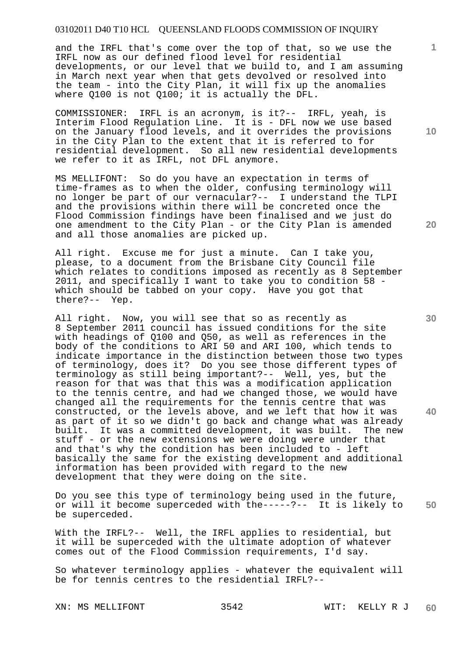and the IRFL that's come over the top of that, so we use the IRFL now as our defined flood level for residential developments, or our level that we build to, and I am assuming in March next year when that gets devolved or resolved into the team - into the City Plan, it will fix up the anomalies where Q100 is not Q100; it is actually the DFL.

COMMISSIONER: IRFL is an acronym, is it?-- IRFL, yeah, is Interim Flood Regulation Line. It is - DFL now we use based on the January flood levels, and it overrides the provisions in the City Plan to the extent that it is referred to for residential development. So all new residential developments we refer to it as IRFL, not DFL anymore.

MS MELLIFONT: So do you have an expectation in terms of time-frames as to when the older, confusing terminology will no longer be part of our vernacular?-- I understand the TLPI and the provisions within there will be concreted once the Flood Commission findings have been finalised and we just do one amendment to the City Plan - or the City Plan is amended and all those anomalies are picked up.

All right. Excuse me for just a minute. Can I take you, please, to a document from the Brisbane City Council file which relates to conditions imposed as recently as 8 September 2011, and specifically I want to take you to condition 58 which should be tabbed on your copy. Have you got that there?-- Yep.

All right. Now, you will see that so as recently as 8 September 2011 council has issued conditions for the site with headings of Q100 and Q50, as well as references in the body of the conditions to ARI 50 and ARI 100, which tends to indicate importance in the distinction between those two types of terminology, does it? Do you see those different types of terminology as still being important?-- Well, yes, but the reason for that was that this was a modification application to the tennis centre, and had we changed those, we would have changed all the requirements for the tennis centre that was constructed, or the levels above, and we left that how it was as part of it so we didn't go back and change what was already built. It was a committed development, it was built. The new stuff - or the new extensions we were doing were under that and that's why the condition has been included to - left basically the same for the existing development and additional information has been provided with regard to the new development that they were doing on the site.

**50**  Do you see this type of terminology being used in the future, or will it become superceded with the-----?-- It is likely to be superceded.

With the IRFL?-- Well, the IRFL applies to residential, but it will be superceded with the ultimate adoption of whatever comes out of the Flood Commission requirements, I'd say.

So whatever terminology applies - whatever the equivalent will be for tennis centres to the residential IRFL?--

XN: MS MELLIFONT 3542 WIT: KELLY R J

**10** 

**1**

**30** 

**40**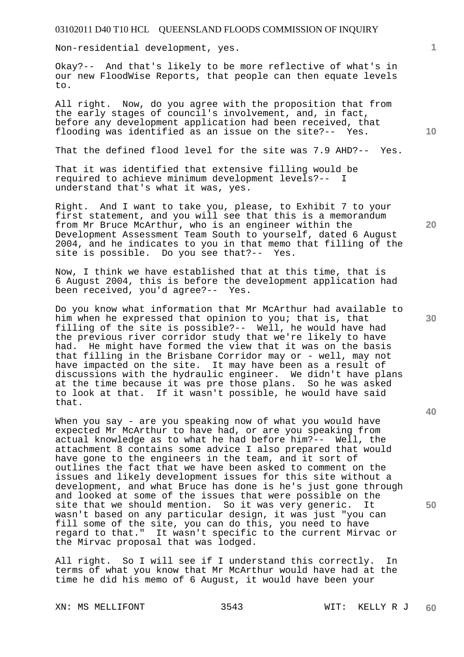Non-residential development, yes.

Okay?-- And that's likely to be more reflective of what's in our new FloodWise Reports, that people can then equate levels to.

All right. Now, do you agree with the proposition that from the early stages of council's involvement, and, in fact, before any development application had been received, that flooding was identified as an issue on the site?-- Yes.

That the defined flood level for the site was 7.9 AHD?-- Yes.

That it was identified that extensive filling would be required to achieve minimum development levels?-- I understand that's what it was, yes.

Right. And I want to take you, please, to Exhibit 7 to your first statement, and you will see that this is a memorandum from Mr Bruce McArthur, who is an engineer within the Development Assessment Team South to yourself, dated 6 August 2004, and he indicates to you in that memo that filling of the site is possible. Do you see that?-- Yes.

Now, I think we have established that at this time, that is 6 August 2004, this is before the development application had been received, you'd agree?-- Yes.

Do you know what information that Mr McArthur had available to him when he expressed that opinion to you; that is, that filling of the site is possible?-- Well, he would have had the previous river corridor study that we're likely to have had. He might have formed the view that it was on the basis that filling in the Brisbane Corridor may or - well, may not have impacted on the site. It may have been as a result of discussions with the hydraulic engineer. We didn't have plans at the time because it was pre those plans. So he was asked to look at that. If it wasn't possible, he would have said that.

When you say - are you speaking now of what you would have expected Mr McArthur to have had, or are you speaking from actual knowledge as to what he had before him?-- Well, the attachment 8 contains some advice I also prepared that would have gone to the engineers in the team, and it sort of outlines the fact that we have been asked to comment on the issues and likely development issues for this site without a development, and what Bruce has done is he's just gone through and looked at some of the issues that were possible on the site that we should mention. So it was very generic. It wasn't based on any particular design, it was just "you can fill some of the site, you can do this, you need to have regard to that." It wasn't specific to the current Mirvac or the Mirvac proposal that was lodged.

All right. So I will see if I understand this correctly. In terms of what you know that Mr McArthur would have had at the time he did his memo of 6 August, it would have been your

XN: MS MELLIFONT 3543 WIT: KELLY R J

**1**

**20** 

**40** 

**30**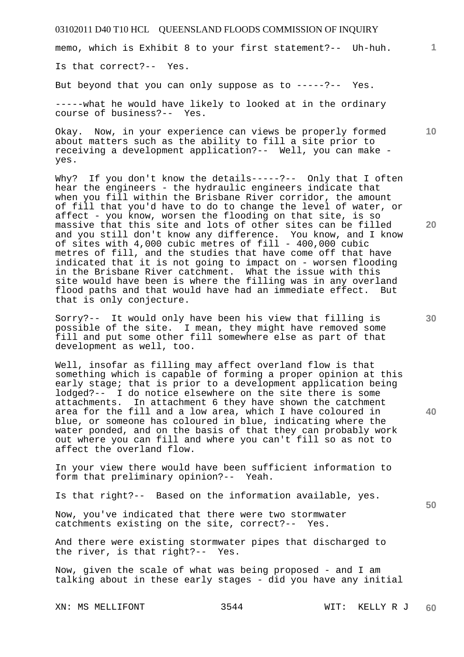memo, which is Exhibit 8 to your first statement?-- Uh-huh.

Is that correct?-- Yes.

But beyond that you can only suppose as to -----?-- Yes.

-----what he would have likely to looked at in the ordinary course of business?-- Yes.

Okay. Now, in your experience can views be properly formed about matters such as the ability to fill a site prior to receiving a development application?-- Well, you can make yes.

Why? If you don't know the details-----?-- Only that I often hear the engineers - the hydraulic engineers indicate that when you fill within the Brisbane River corridor, the amount of fill that you'd have to do to change the level of water, or affect - you know, worsen the flooding on that site, is so massive that this site and lots of other sites can be filled and you still don't know any difference. You know, and I know of sites with 4,000 cubic metres of fill - 400,000 cubic metres of fill, and the studies that have come off that have indicated that it is not going to impact on - worsen flooding in the Brisbane River catchment. What the issue with this site would have been is where the filling was in any overland flood paths and that would have had an immediate effect. But that is only conjecture.

Sorry?-- It would only have been his view that filling is possible of the site. I mean, they might have removed some fill and put some other fill somewhere else as part of that development as well, too.

Well, insofar as filling may affect overland flow is that something which is capable of forming a proper opinion at this early stage; that is prior to a development application being lodged?-- I do notice elsewhere on the site there is some attachments. In attachment 6 they have shown the catchment area for the fill and a low area, which I have coloured in blue, or someone has coloured in blue, indicating where the water ponded, and on the basis of that they can probably work out where you can fill and where you can't fill so as not to affect the overland flow.

In your view there would have been sufficient information to form that preliminary opinion?-- Yeah.

Is that right?-- Based on the information available, yes.

Now, you've indicated that there were two stormwater catchments existing on the site, correct?-- Yes.

And there were existing stormwater pipes that discharged to the river, is that right?-- Yes.

Now, given the scale of what was being proposed - and I am talking about in these early stages - did you have any initial

**20** 

**10** 

**40** 

**50**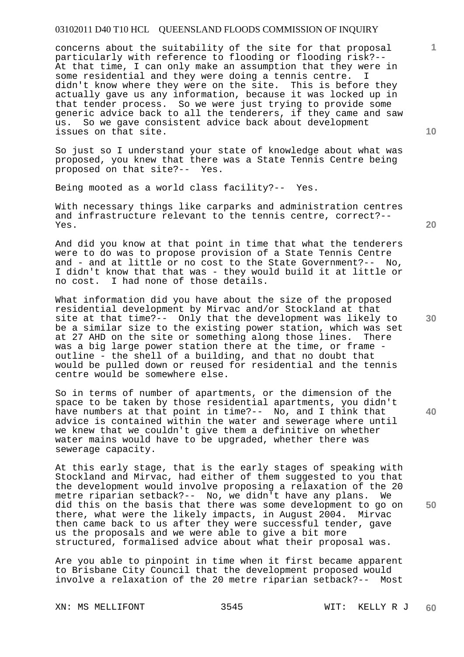concerns about the suitability of the site for that proposal particularly with reference to flooding or flooding risk?-- At that time, I can only make an assumption that they were in some residential and they were doing a tennis centre. I didn't know where they were on the site. This is before they actually gave us any information, because it was locked up in that tender process. So we were just trying to provide some generic advice back to all the tenderers, if they came and saw us. So we gave consistent advice back about development issues on that site.

So just so I understand your state of knowledge about what was proposed, you knew that there was a State Tennis Centre being proposed on that site?-- Yes.

Being mooted as a world class facility?-- Yes.

With necessary things like carparks and administration centres and infrastructure relevant to the tennis centre, correct?-- Yes.

And did you know at that point in time that what the tenderers were to do was to propose provision of a State Tennis Centre and - and at little or no cost to the State Government?-- No, I didn't know that that was - they would build it at little or no cost. I had none of those details.

What information did you have about the size of the proposed residential development by Mirvac and/or Stockland at that site at that time?-- Only that the development was likely to be a similar size to the existing power station, which was set at 27 AHD on the site or something along those lines. There was a big large power station there at the time, or frame outline - the shell of a building, and that no doubt that would be pulled down or reused for residential and the tennis centre would be somewhere else.

So in terms of number of apartments, or the dimension of the space to be taken by those residential apartments, you didn't have numbers at that point in time?-- No, and I think that advice is contained within the water and sewerage where until we knew that we couldn't give them a definitive on whether water mains would have to be upgraded, whether there was sewerage capacity.

At this early stage, that is the early stages of speaking with Stockland and Mirvac, had either of them suggested to you that the development would involve proposing a relaxation of the 20 metre riparian setback?-- No, we didn't have any plans. We did this on the basis that there was some development to go on there, what were the likely impacts, in August 2004. Mirvac then came back to us after they were successful tender, gave us the proposals and we were able to give a bit more structured, formalised advice about what their proposal was.

Are you able to pinpoint in time when it first became apparent to Brisbane City Council that the development proposed would involve a relaxation of the 20 metre riparian setback?-- Most

XN: MS MELLIFONT 3545 WIT: KELLY R J

**20** 

**10** 

**40** 

**50**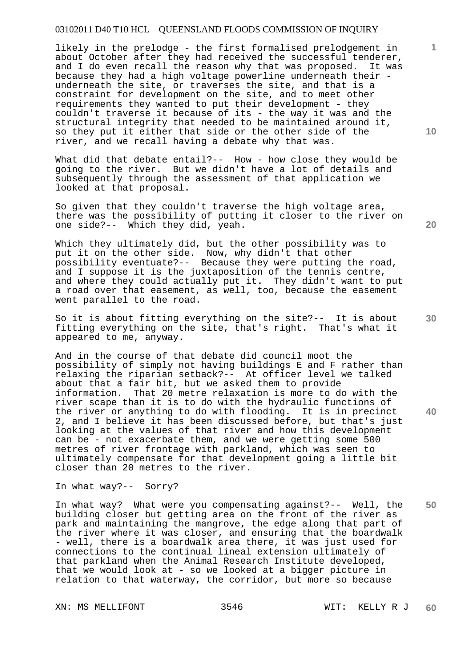likely in the prelodge - the first formalised prelodgement in about October after they had received the successful tenderer, and I do even recall the reason why that was proposed. It was because they had a high voltage powerline underneath their underneath the site, or traverses the site, and that is a constraint for development on the site, and to meet other requirements they wanted to put their development - they couldn't traverse it because of its - the way it was and the structural integrity that needed to be maintained around it, so they put it either that side or the other side of the river, and we recall having a debate why that was.

What did that debate entail?-- How - how close they would be going to the river. But we didn't have a lot of details and subsequently through the assessment of that application we looked at that proposal.

So given that they couldn't traverse the high voltage area, there was the possibility of putting it closer to the river on one side?-- Which they did, yeah.

Which they ultimately did, but the other possibility was to put it on the other side. Now, why didn't that other possibility eventuate?-- Because they were putting the road, and I suppose it is the juxtaposition of the tennis centre, and where they could actually put it. They didn't want to put a road over that easement, as well, too, because the easement went parallel to the road.

So it is about fitting everything on the site?-- It is about fitting everything on the site, that's right. That's what it appeared to me, anyway.

And in the course of that debate did council moot the possibility of simply not having buildings E and F rather than relaxing the riparian setback?-- At officer level we talked about that a fair bit, but we asked them to provide information. That 20 metre relaxation is more to do with the river scape than it is to do with the hydraulic functions of<br>the river or anything to do with flooding. It is in precinct the river or anything to do with flooding. 2, and I believe it has been discussed before, but that's just looking at the values of that river and how this development can be - not exacerbate them, and we were getting some 500 metres of river frontage with parkland, which was seen to ultimately compensate for that development going a little bit closer than 20 metres to the river.

In what way?-- Sorry?

**50**  In what way? What were you compensating against?-- Well, the building closer but getting area on the front of the river as park and maintaining the mangrove, the edge along that part of the river where it was closer, and ensuring that the boardwalk - well, there is a boardwalk area there, it was just used for connections to the continual lineal extension ultimately of that parkland when the Animal Research Institute developed, that we would look at - so we looked at a bigger picture in relation to that waterway, the corridor, but more so because

**10** 

**20** 

**1**

**30**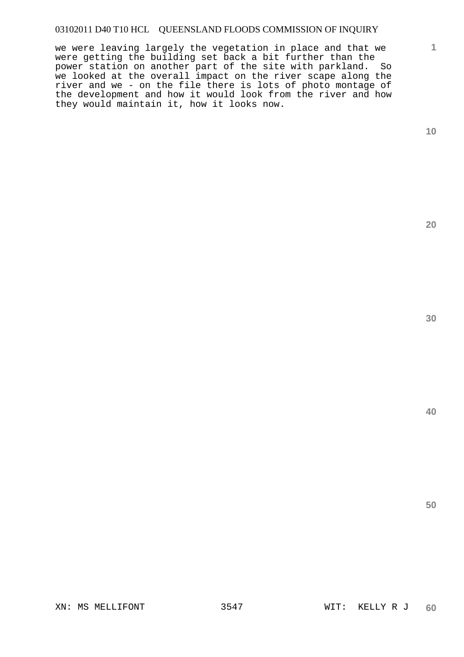we were leaving largely the vegetation in place and that we were getting the building set back a bit further than the power station on another part of the site with parkland. So we looked at the overall impact on the river scape along the river and we - on the file there is lots of photo montage of the development and how it would look from the river and how they would maintain it, how it looks now.

**10** 

**1**

**20** 

**30**